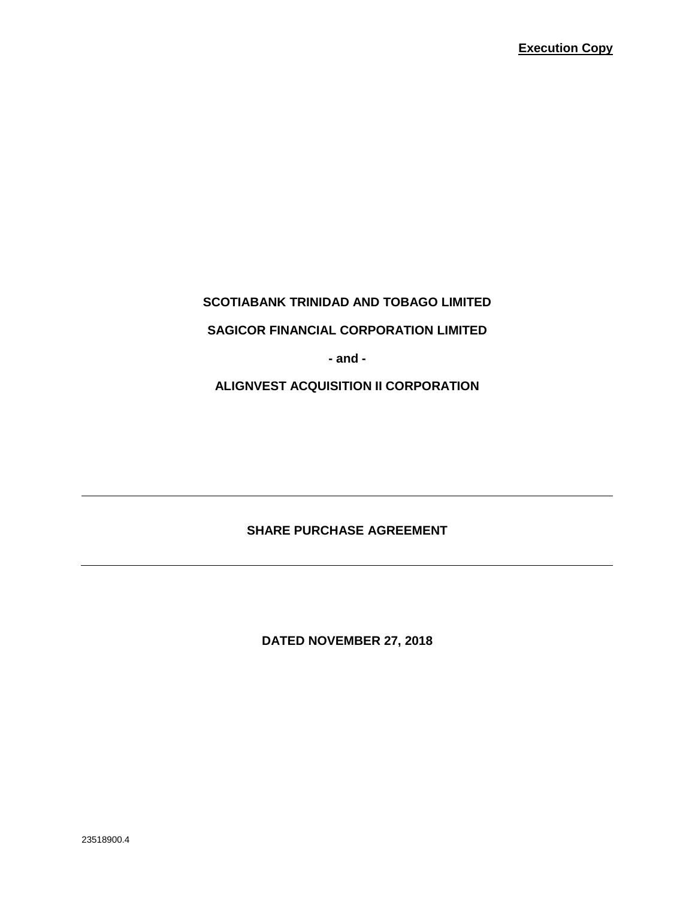## **SCOTIABANK TRINIDAD AND TOBAGO LIMITED**

#### **SAGICOR FINANCIAL CORPORATION LIMITED**

**- and -**

**ALIGNVEST ACQUISITION II CORPORATION**

## **SHARE PURCHASE AGREEMENT**

**DATED NOVEMBER 27, 2018**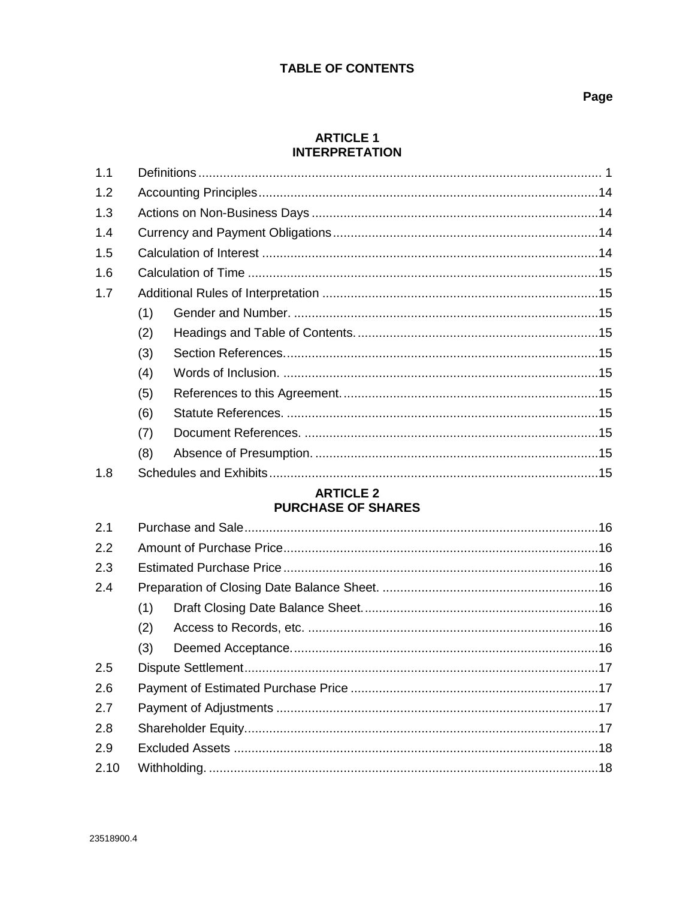## **TABLE OF CONTENTS**

#### **ARTICLE 1 INTERPRETATION**

| 1.1 |     |  |  |
|-----|-----|--|--|
| 1.2 |     |  |  |
| 1.3 |     |  |  |
| 1.4 |     |  |  |
| 1.5 |     |  |  |
| 1.6 |     |  |  |
| 1.7 |     |  |  |
|     | (1) |  |  |
|     | (2) |  |  |
|     | (3) |  |  |
|     | (4) |  |  |
|     | (5) |  |  |
|     | (6) |  |  |
|     | (7) |  |  |
|     | (8) |  |  |
| 1.8 |     |  |  |

## **ARTICLE 2 PURCHASE OF SHARES**

| (1) |  |  |
|-----|--|--|
| (2) |  |  |
| (3) |  |  |
|     |  |  |
|     |  |  |
|     |  |  |
|     |  |  |
|     |  |  |
|     |  |  |
|     |  |  |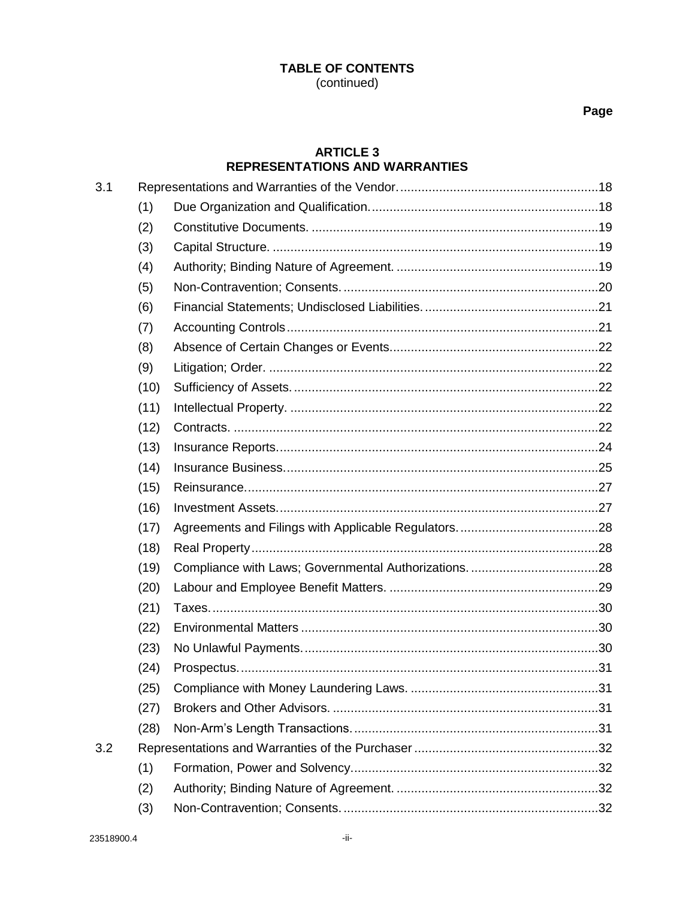## Page

## **ARTICLE 3 REPRESENTATIONS AND WARRANTIES**

| 3.1 |      |     |
|-----|------|-----|
|     | (1)  |     |
|     | (2)  |     |
|     | (3)  |     |
|     | (4)  |     |
|     | (5)  |     |
|     | (6)  |     |
|     | (7)  |     |
|     | (8)  |     |
|     | (9)  |     |
|     | (10) |     |
|     | (11) |     |
|     | (12) |     |
|     | (13) |     |
|     | (14) |     |
|     | (15) |     |
|     | (16) |     |
|     | (17) |     |
|     | (18) |     |
|     | (19) |     |
|     | (20) |     |
|     | (21) |     |
|     | (22) |     |
|     | (23) |     |
|     | (24) |     |
|     | (25) | .31 |
|     | (27) |     |
|     | (28) |     |
| 3.2 |      |     |
|     | (1)  |     |
|     | (2)  |     |
|     | (3)  |     |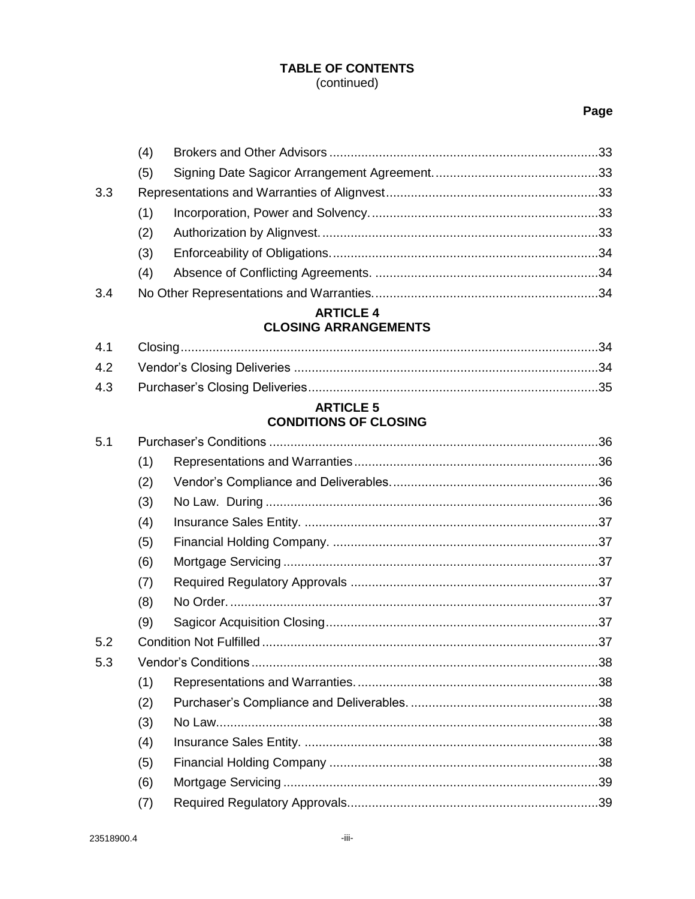## Page

|     | (4) |  |
|-----|-----|--|
|     | (5) |  |
| 3.3 |     |  |
|     | (1) |  |
|     | (2) |  |
|     | (3) |  |
|     | (4) |  |
| 3.4 |     |  |

# **ARTICLE 4**

# **CLOSING ARRANGEMENTS**

#### **ARTICLE 5 CONDITIONS OF CLOSING**

| 5.1 |     |  |  |
|-----|-----|--|--|
|     | (1) |  |  |
|     | (2) |  |  |
|     | (3) |  |  |
|     | (4) |  |  |
|     | (5) |  |  |
|     | (6) |  |  |
|     | (7) |  |  |
|     | (8) |  |  |
|     | (9) |  |  |
| 5.2 |     |  |  |
| 5.3 |     |  |  |
|     | (1) |  |  |
|     | (2) |  |  |
|     | (3) |  |  |
|     | (4) |  |  |
|     | (5) |  |  |
|     | (6) |  |  |
|     | (7) |  |  |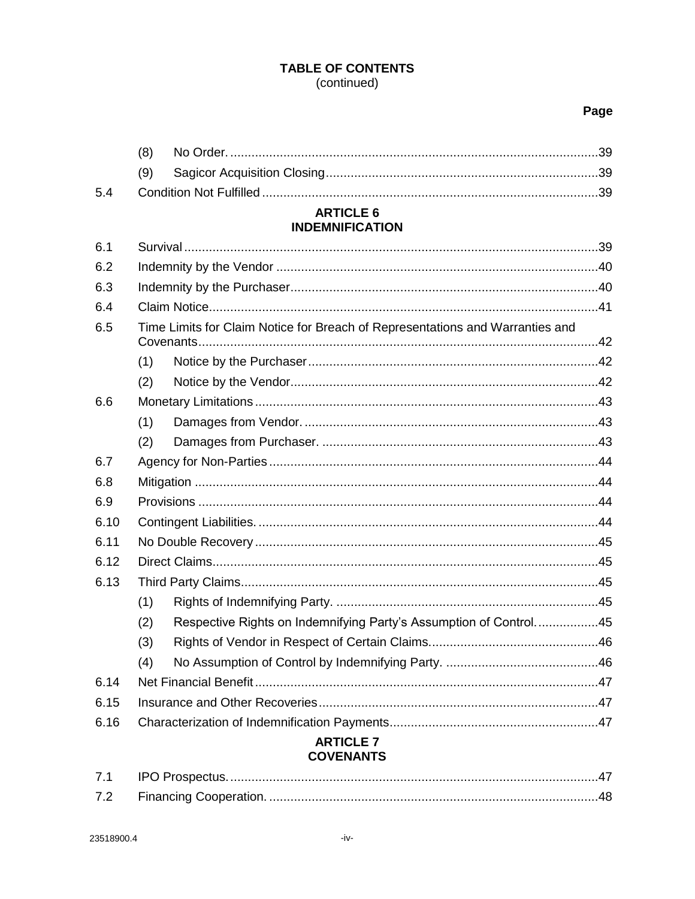## Page

|      | (8) |                                                                               |  |
|------|-----|-------------------------------------------------------------------------------|--|
|      | (9) |                                                                               |  |
| 5.4  |     |                                                                               |  |
|      |     | <b>ARTICLE 6</b>                                                              |  |
|      |     | <b>INDEMNIFICATION</b>                                                        |  |
| 6.1  |     |                                                                               |  |
| 6.2  |     |                                                                               |  |
| 6.3  |     |                                                                               |  |
| 6.4  |     |                                                                               |  |
| 6.5  |     | Time Limits for Claim Notice for Breach of Representations and Warranties and |  |
|      | (1) |                                                                               |  |
|      | (2) |                                                                               |  |
| 6.6  |     |                                                                               |  |
|      | (1) |                                                                               |  |
|      | (2) |                                                                               |  |
| 6.7  |     |                                                                               |  |
| 6.8  |     |                                                                               |  |
| 6.9  |     |                                                                               |  |
| 6.10 |     |                                                                               |  |
| 6.11 |     |                                                                               |  |
| 6.12 |     |                                                                               |  |
| 6.13 |     |                                                                               |  |
|      | (1) |                                                                               |  |
|      | (2) | Respective Rights on Indemnifying Party's Assumption of Control45             |  |
|      | (3) |                                                                               |  |
|      | (4) |                                                                               |  |
| 6.14 |     |                                                                               |  |
| 6.15 |     |                                                                               |  |
| 6.16 |     |                                                                               |  |
|      |     | <b>ARTICLE 7</b>                                                              |  |

## **COVENANTS**

| 7.1 |  |
|-----|--|
| 7.2 |  |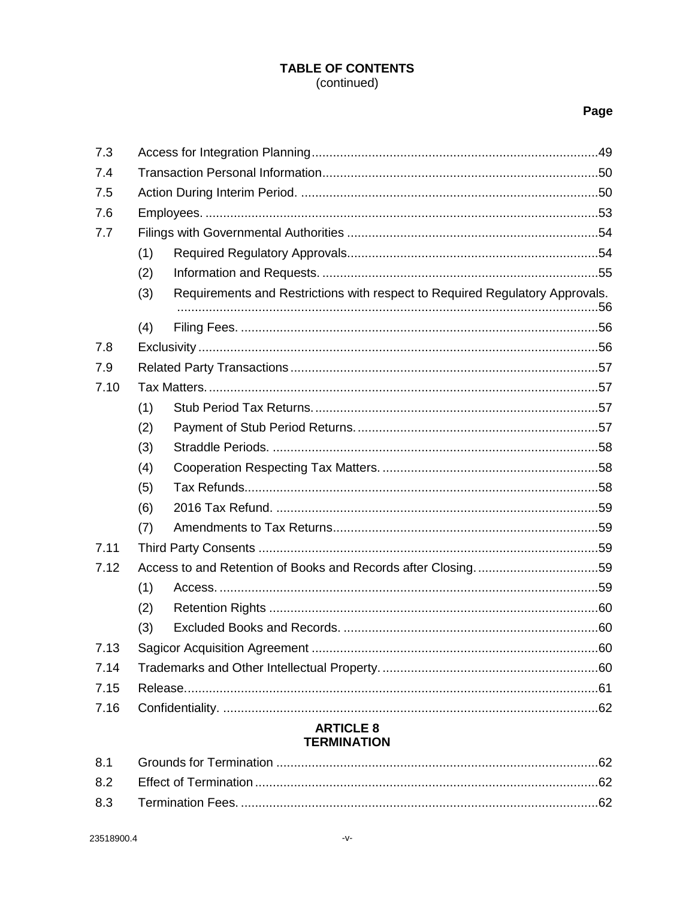## Page

| 7.3  |     |                                                                              |  |
|------|-----|------------------------------------------------------------------------------|--|
| 7.4  |     |                                                                              |  |
| 7.5  |     |                                                                              |  |
| 7.6  |     |                                                                              |  |
| 7.7  |     |                                                                              |  |
|      | (1) |                                                                              |  |
|      | (2) |                                                                              |  |
|      | (3) | Requirements and Restrictions with respect to Required Regulatory Approvals. |  |
|      | (4) |                                                                              |  |
| 7.8  |     |                                                                              |  |
| 7.9  |     |                                                                              |  |
| 7.10 |     |                                                                              |  |
|      | (1) |                                                                              |  |
|      | (2) |                                                                              |  |
|      | (3) |                                                                              |  |
|      | (4) |                                                                              |  |
|      | (5) |                                                                              |  |
|      | (6) |                                                                              |  |
|      | (7) |                                                                              |  |
| 7.11 |     |                                                                              |  |
| 7.12 |     |                                                                              |  |
|      | (1) |                                                                              |  |
|      | (2) |                                                                              |  |
|      | (3) |                                                                              |  |
| 7.13 |     |                                                                              |  |
| 7.14 |     |                                                                              |  |
| 7.15 |     |                                                                              |  |
| 7.16 |     |                                                                              |  |
|      |     | <b>ARTICLE 8</b><br><b>TERMINATION</b>                                       |  |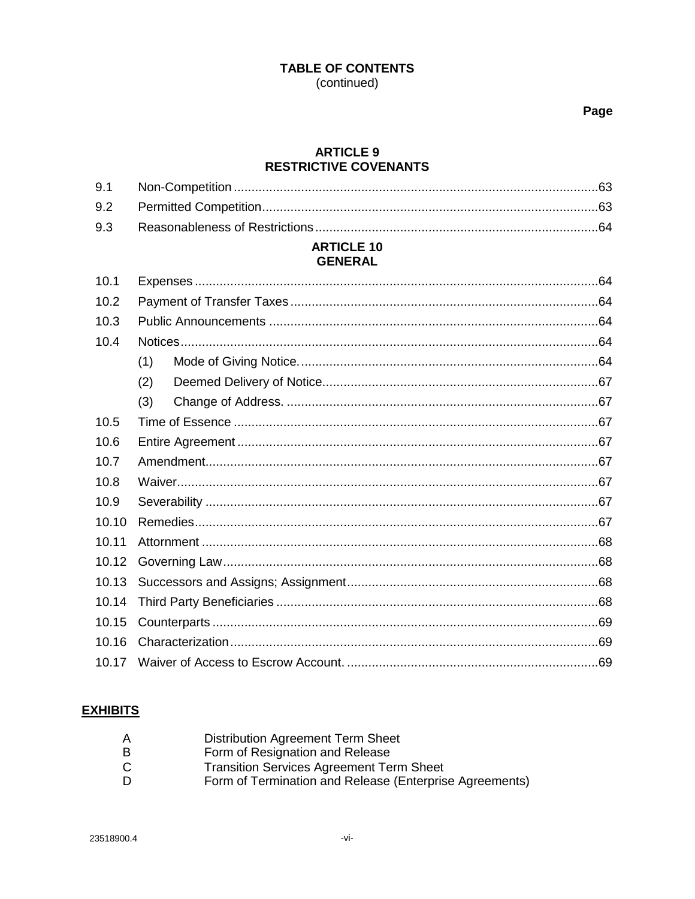Page

#### **ARTICLE 9 RESTRICTIVE COVENANTS**

#### **ARTICLE 10 GENERAL**

| 10.1  |     |  |  |
|-------|-----|--|--|
| 10.2  |     |  |  |
| 10.3  |     |  |  |
| 10.4  |     |  |  |
|       | (1) |  |  |
|       | (2) |  |  |
|       | (3) |  |  |
| 10.5  |     |  |  |
| 10.6  |     |  |  |
| 10.7  |     |  |  |
| 10.8  |     |  |  |
| 10.9  |     |  |  |
| 10.10 |     |  |  |
| 10.11 |     |  |  |
| 10.12 |     |  |  |
| 10.13 |     |  |  |
| 10.14 |     |  |  |
| 10.15 |     |  |  |
| 10.16 |     |  |  |
| 10.17 |     |  |  |

## **EXHIBITS**

| A | <b>Distribution Agreement Term Sheet</b>                |
|---|---------------------------------------------------------|
| B | Form of Resignation and Release                         |
| C | <b>Transition Services Agreement Term Sheet</b>         |
| D | Form of Termination and Release (Enterprise Agreements) |
|   |                                                         |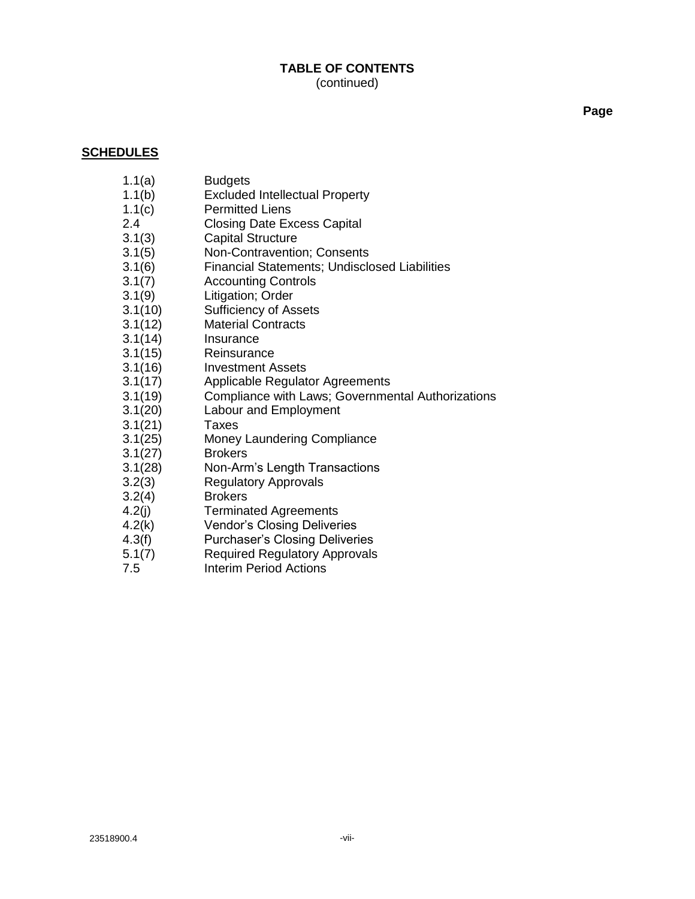**Page**

#### **SCHEDULES**

- [1.1\(](#page-8-0)a) Budgets
- [1.1\(](#page-8-0)b) Excluded Intellectual Property
- [1.1\(](#page-8-0)c) Permitted Liens
- [2.4](#page-23-0) Closing Date Excess Capital
- [3.1\(3\)](#page-26-0) Capital Structure
- [3.1\(5\)](#page-27-0) Non-Contravention; Consents
- [3.1\(6\)](#page-28-0) Financial Statements; Undisclosed Liabilities
- **Accounting Controls**
- [3.1\(9\)](#page-29-0) Litigation; Order
- [3.1\(10\)](#page-29-0) Sufficiency of Assets
- [3.1\(12\)](#page-29-0) Material Contracts
- [3.1\(14\)](#page-32-0) Insurance
- [3.1\(15\)](#page-34-0) Reinsurance
- [3.1\(16\)](#page-34-0) Investment Assets
- [3.1\(17\)](#page-35-0) Applicable Regulator Agreements
- [3.1\(19\)](#page-35-0) Compliance with Laws; Governmental Authorizations
- [3.1\(20\)](#page-36-0) Labour and Employment
- [3.1\(21\)](#page-37-0) Taxes
- [3.1\(25\)](#page-38-0) Money Laundering Compliance
- [3.1\(27\)](#page-38-0) Brokers
- [3.1\(28\)](#page-38-0) Non-Arm's Length Transactions
- [3.2\(3\)](#page-39-0) Regulatory Approvals
- [3.2\(4\)](#page-40-0) Brokers
- [4.2\(j\)](#page-42-0) Terminated Agreements
- [4.2\(k\)](#page-42-0) Vendor's Closing Deliveries
- [4.3\(f\)](#page-43-0) Purchaser's Closing Deliveries
- [5.1\(7\)](#page-44-0) Required Regulatory Approvals
- [7.5](#page-57-0) Interim Period Actions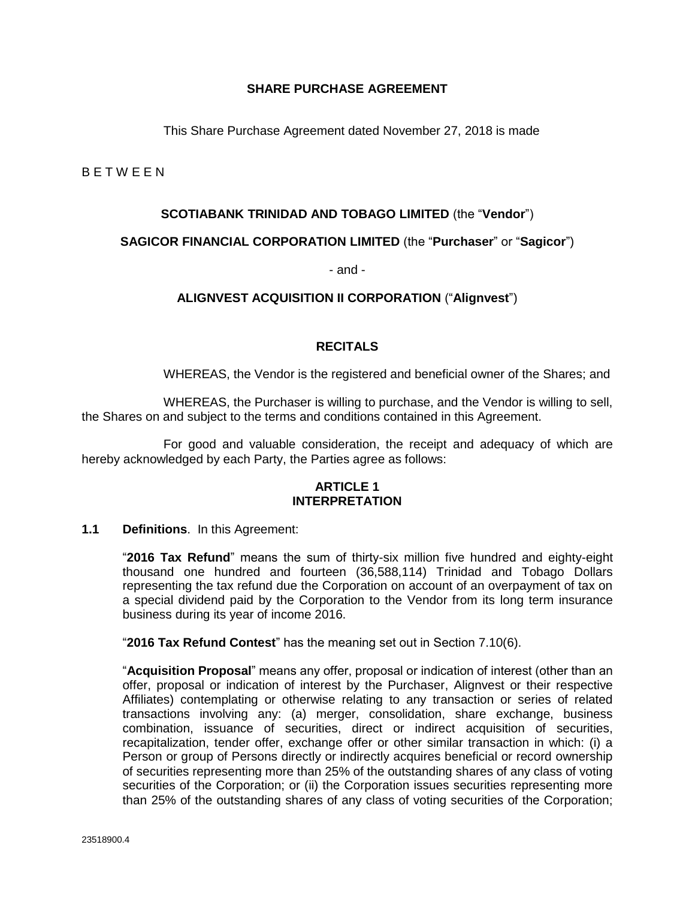#### **SHARE PURCHASE AGREEMENT**

This Share Purchase Agreement dated November 27, 2018 is made

<span id="page-8-0"></span>B E T W E E N

#### **SCOTIABANK TRINIDAD AND TOBAGO LIMITED** (the "**Vendor**")

#### **SAGICOR FINANCIAL CORPORATION LIMITED** (the "**Purchaser**" or "**Sagicor**")

- and -

#### **ALIGNVEST ACQUISITION II CORPORATION** ("**Alignvest**")

#### **RECITALS**

WHEREAS, the Vendor is the registered and beneficial owner of the Shares; and

WHEREAS, the Purchaser is willing to purchase, and the Vendor is willing to sell, the Shares on and subject to the terms and conditions contained in this Agreement.

For good and valuable consideration, the receipt and adequacy of which are hereby acknowledged by each Party, the Parties agree as follows:

#### **ARTICLE 1 INTERPRETATION**

#### **1.1 Definitions**. In this Agreement:

"**2016 Tax Refund**" means the sum of thirty-six million five hundred and eighty-eight thousand one hundred and fourteen (36,588,114) Trinidad and Tobago Dollars representing the tax refund due the Corporation on account of an overpayment of tax on a special dividend paid by the Corporation to the Vendor from its long term insurance business during its year of income 2016.

"**2016 Tax Refund Contest**" has the meaning set out in Section [7.10\(6\).](#page-66-0)

"**Acquisition Proposal**" means any offer, proposal or indication of interest (other than an offer, proposal or indication of interest by the Purchaser, Alignvest or their respective Affiliates) contemplating or otherwise relating to any transaction or series of related transactions involving any: (a) merger, consolidation, share exchange, business combination, issuance of securities, direct or indirect acquisition of securities, recapitalization, tender offer, exchange offer or other similar transaction in which: (i) a Person or group of Persons directly or indirectly acquires beneficial or record ownership of securities representing more than 25% of the outstanding shares of any class of voting securities of the Corporation; or (ii) the Corporation issues securities representing more than 25% of the outstanding shares of any class of voting securities of the Corporation;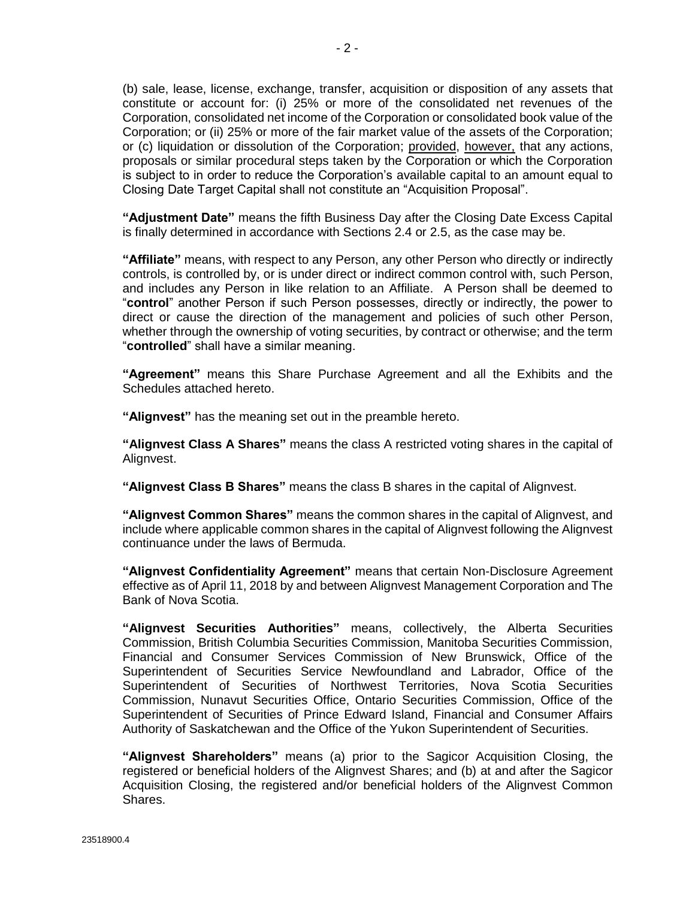(b) sale, lease, license, exchange, transfer, acquisition or disposition of any assets that constitute or account for: (i) 25% or more of the consolidated net revenues of the Corporation, consolidated net income of the Corporation or consolidated book value of the Corporation; or (ii) 25% or more of the fair market value of the assets of the Corporation; or (c) liquidation or dissolution of the Corporation; provided, however, that any actions, proposals or similar procedural steps taken by the Corporation or which the Corporation is subject to in order to reduce the Corporation's available capital to an amount equal to Closing Date Target Capital shall not constitute an "Acquisition Proposal".

**"Adjustment Date"** means the fifth Business Day after the Closing Date Excess Capital is finally determined in accordance with Sections [2.4](#page-23-0) or [2.5,](#page-24-0) as the case may be.

**"Affiliate"** means, with respect to any Person, any other Person who directly or indirectly controls, is controlled by, or is under direct or indirect common control with, such Person, and includes any Person in like relation to an Affiliate. A Person shall be deemed to "**control**" another Person if such Person possesses, directly or indirectly, the power to direct or cause the direction of the management and policies of such other Person, whether through the ownership of voting securities, by contract or otherwise; and the term "**controlled**" shall have a similar meaning.

**"Agreement"** means this Share Purchase Agreement and all the Exhibits and the Schedules attached hereto.

**"Alignvest"** has the meaning set out in the preamble hereto.

**"Alignvest Class A Shares"** means the class A restricted voting shares in the capital of Alignvest.

**"Alignvest Class B Shares"** means the class B shares in the capital of Alignvest.

**"Alignvest Common Shares"** means the common shares in the capital of Alignvest, and include where applicable common shares in the capital of Alignvest following the Alignvest continuance under the laws of Bermuda.

**"Alignvest Confidentiality Agreement"** means that certain Non-Disclosure Agreement effective as of April 11, 2018 by and between Alignvest Management Corporation and The Bank of Nova Scotia.

**"Alignvest Securities Authorities"** means, collectively, the Alberta Securities Commission, British Columbia Securities Commission, Manitoba Securities Commission, Financial and Consumer Services Commission of New Brunswick, Office of the Superintendent of Securities Service Newfoundland and Labrador, Office of the Superintendent of Securities of Northwest Territories, Nova Scotia Securities Commission, Nunavut Securities Office, Ontario Securities Commission, Office of the Superintendent of Securities of Prince Edward Island, Financial and Consumer Affairs Authority of Saskatchewan and the Office of the Yukon Superintendent of Securities.

**"Alignvest Shareholders"** means (a) prior to the Sagicor Acquisition Closing, the registered or beneficial holders of the Alignvest Shares; and (b) at and after the Sagicor Acquisition Closing, the registered and/or beneficial holders of the Alignvest Common Shares.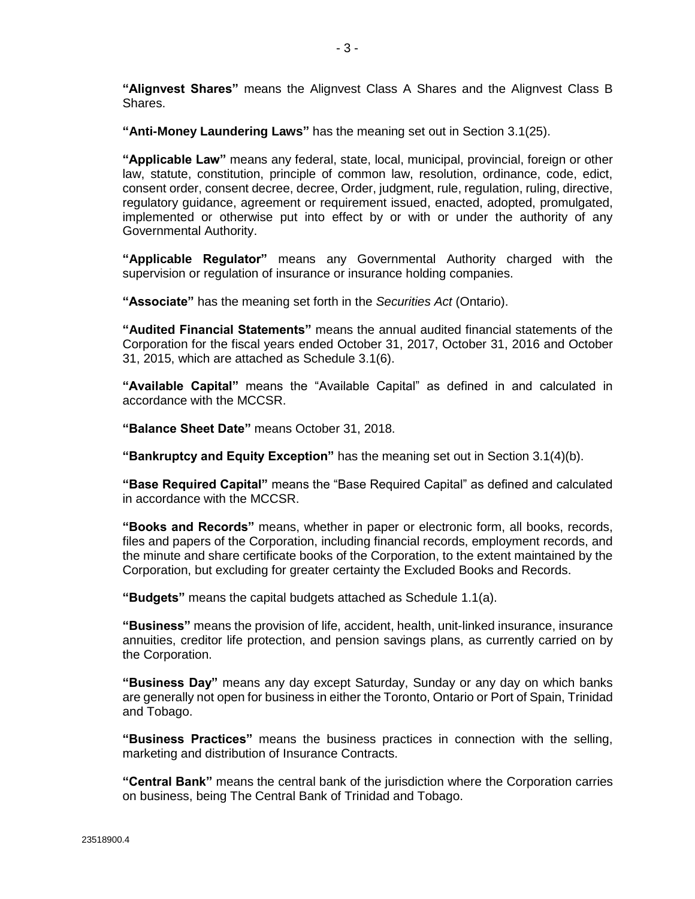**"Alignvest Shares"** means the Alignvest Class A Shares and the Alignvest Class B Shares.

**"Anti-Money Laundering Laws"** has the meaning set out in Section [3.1\(25\).](#page-38-0)

**"Applicable Law"** means any federal, state, local, municipal, provincial, foreign or other law, statute, constitution, principle of common law, resolution, ordinance, code, edict, consent order, consent decree, decree, Order, judgment, rule, regulation, ruling, directive, regulatory guidance, agreement or requirement issued, enacted, adopted, promulgated, implemented or otherwise put into effect by or with or under the authority of any Governmental Authority.

**"Applicable Regulator"** means any Governmental Authority charged with the supervision or regulation of insurance or insurance holding companies.

**"Associate"** has the meaning set forth in the *Securities Act* (Ontario).

**"Audited Financial Statements"** means the annual audited financial statements of the Corporation for the fiscal years ended October 31, 2017, October 31, 2016 and October 31, 2015, which are attached as Schedule [3.1\(6\).](#page-28-0)

**"Available Capital"** means the "Available Capital" as defined in and calculated in accordance with the MCCSR.

**"Balance Sheet Date"** means October 31, 2018.

**"Bankruptcy and Equity Exception"** has the meaning set out in Section [3.1\(4\)\(b\).](#page-27-0)

**"Base Required Capital"** means the "Base Required Capital" as defined and calculated in accordance with the MCCSR.

**"Books and Records"** means, whether in paper or electronic form, all books, records, files and papers of the Corporation, including financial records, employment records, and the minute and share certificate books of the Corporation, to the extent maintained by the Corporation, but excluding for greater certainty the Excluded Books and Records.

**"Budgets"** means the capital budgets attached as Schedule [1.1\(](#page-8-0)a).

**"Business"** means the provision of life, accident, health, unit-linked insurance, insurance annuities, creditor life protection, and pension savings plans, as currently carried on by the Corporation.

**"Business Day"** means any day except Saturday, Sunday or any day on which banks are generally not open for business in either the Toronto, Ontario or Port of Spain, Trinidad and Tobago.

**"Business Practices"** means the business practices in connection with the selling, marketing and distribution of Insurance Contracts.

**"Central Bank"** means the central bank of the jurisdiction where the Corporation carries on business, being The Central Bank of Trinidad and Tobago.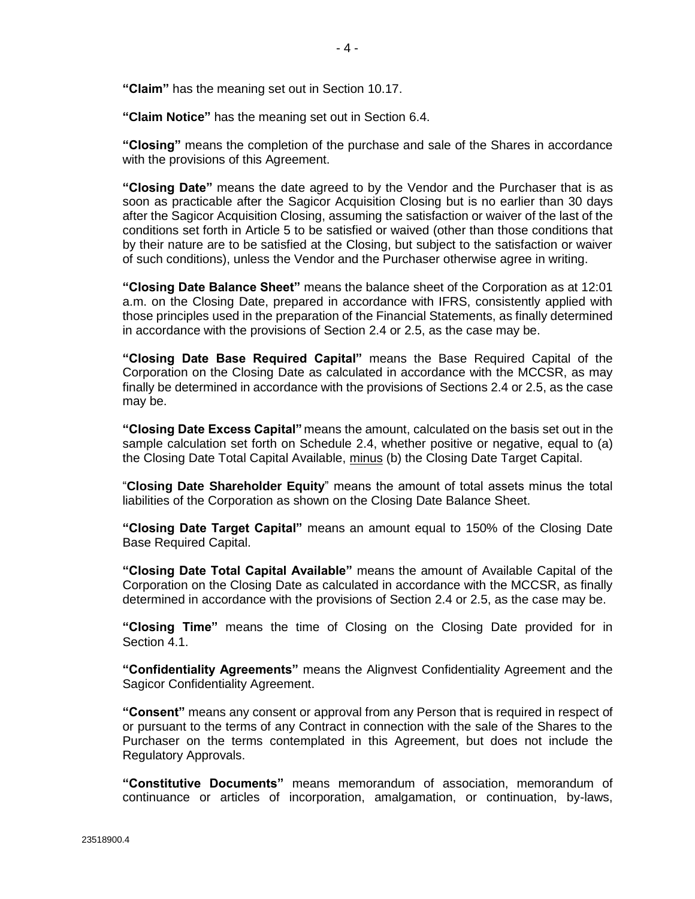**"Claim"** has the meaning set out in Section [10.17.](#page-76-0)

**"Claim Notice"** has the meaning set out in Section [6.4.](#page-48-0)

**"Closing"** means the completion of the purchase and sale of the Shares in accordance with the provisions of this Agreement.

**"Closing Date"** means the date agreed to by the Vendor and the Purchaser that is as soon as practicable after the Sagicor Acquisition Closing but is no earlier than 30 days after the Sagicor Acquisition Closing, assuming the satisfaction or waiver of the last of the conditions set forth in [Article 5](#page-43-0) to be satisfied or waived (other than those conditions that by their nature are to be satisfied at the Closing, but subject to the satisfaction or waiver of such conditions), unless the Vendor and the Purchaser otherwise agree in writing.

**"Closing Date Balance Sheet"** means the balance sheet of the Corporation as at 12:01 a.m. on the Closing Date, prepared in accordance with IFRS, consistently applied with those principles used in the preparation of the Financial Statements, as finally determined in accordance with the provisions of Sectio[n 2.4](#page-23-0) or [2.5,](#page-24-0) as the case may be.

**"Closing Date Base Required Capital"** means the Base Required Capital of the Corporation on the Closing Date as calculated in accordance with the MCCSR, as may finally be determined in accordance with the provisions of Sections [2.4](#page-23-0) o[r 2.5,](#page-24-0) as the case may be.

**"Closing Date Excess Capital"** means the amount, calculated on the basis set out in the sample calculation set forth on Schedule [2.4,](#page-23-0) whether positive or negative, equal to (a) the Closing Date Total Capital Available, minus (b) the Closing Date Target Capital.

"**Closing Date Shareholder Equity**" means the amount of total assets minus the total liabilities of the Corporation as shown on the Closing Date Balance Sheet.

**"Closing Date Target Capital"** means an amount equal to 150% of the Closing Date Base Required Capital.

**"Closing Date Total Capital Available"** means the amount of Available Capital of the Corporation on the Closing Date as calculated in accordance with the MCCSR, as finally determined in accordance with the provisions of Sectio[n 2.4](#page-23-0) or [2.5,](#page-24-0) as the case may be.

**"Closing Time"** means the time of Closing on the Closing Date provided for in Section [4.1.](#page-41-0)

**"Confidentiality Agreements"** means the Alignvest Confidentiality Agreement and the Sagicor Confidentiality Agreement.

**"Consent"** means any consent or approval from any Person that is required in respect of or pursuant to the terms of any Contract in connection with the sale of the Shares to the Purchaser on the terms contemplated in this Agreement, but does not include the Regulatory Approvals.

**"Constitutive Documents"** means memorandum of association, memorandum of continuance or articles of incorporation, amalgamation, or continuation, by-laws,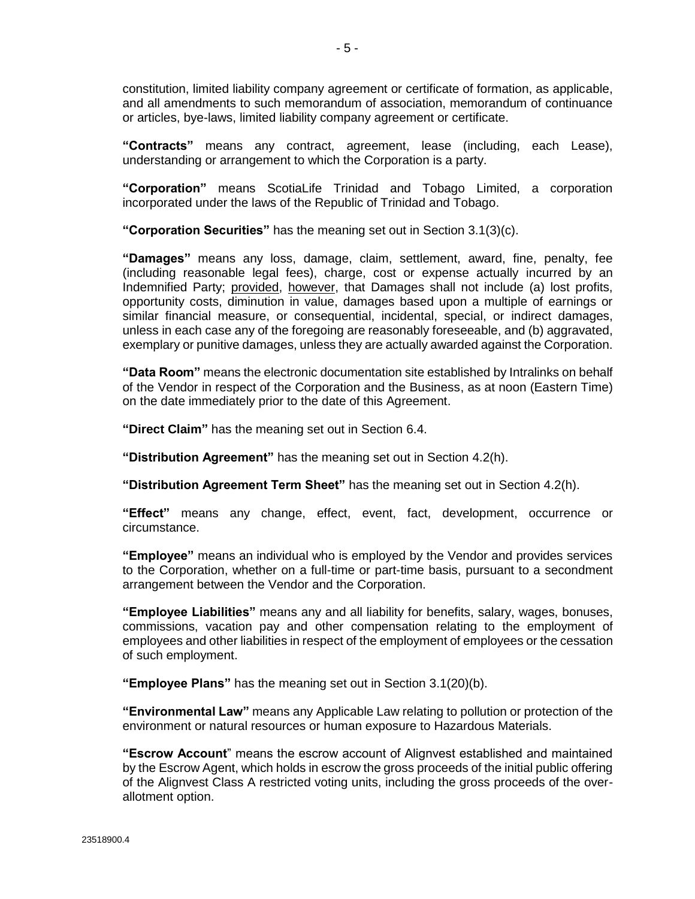constitution, limited liability company agreement or certificate of formation, as applicable, and all amendments to such memorandum of association, memorandum of continuance or articles, bye-laws, limited liability company agreement or certificate.

**"Contracts"** means any contract, agreement, lease (including, each Lease), understanding or arrangement to which the Corporation is a party.

**"Corporation"** means ScotiaLife Trinidad and Tobago Limited, a corporation incorporated under the laws of the Republic of Trinidad and Tobago.

**"Corporation Securities"** has the meaning set out in Section [3.1\(3\)\(c\).](#page-26-0)

**"Damages"** means any loss, damage, claim, settlement, award, fine, penalty, fee (including reasonable legal fees), charge, cost or expense actually incurred by an Indemnified Party; provided, however, that Damages shall not include (a) lost profits, opportunity costs, diminution in value, damages based upon a multiple of earnings or similar financial measure, or consequential, incidental, special, or indirect damages, unless in each case any of the foregoing are reasonably foreseeable, and (b) aggravated, exemplary or punitive damages, unless they are actually awarded against the Corporation.

**"Data Room"** means the electronic documentation site established by Intralinks on behalf of the Vendor in respect of the Corporation and the Business, as at noon (Eastern Time) on the date immediately prior to the date of this Agreement.

**"Direct Claim"** has the meaning set out in Section [6.4.](#page-48-0)

**"Distribution Agreement"** has the meaning set out in Sectio[n 4.2\(h\).](#page-42-0)

**"Distribution Agreement Term Sheet"** has the meaning set out in Sectio[n 4.2\(h\).](#page-42-0)

**"Effect"** means any change, effect, event, fact, development, occurrence or circumstance.

**"Employee"** means an individual who is employed by the Vendor and provides services to the Corporation, whether on a full-time or part-time basis, pursuant to a secondment arrangement between the Vendor and the Corporation.

**"Employee Liabilities"** means any and all liability for benefits, salary, wages, bonuses, commissions, vacation pay and other compensation relating to the employment of employees and other liabilities in respect of the employment of employees or the cessation of such employment.

**"Employee Plans"** has the meaning set out in Section [3.1\(20\)\(b\).](#page-36-0)

**"Environmental Law"** means any Applicable Law relating to pollution or protection of the environment or natural resources or human exposure to Hazardous Materials.

**"Escrow Account**" means the escrow account of Alignvest established and maintained by the Escrow Agent, which holds in escrow the gross proceeds of the initial public offering of the Alignvest Class A restricted voting units, including the gross proceeds of the overallotment option.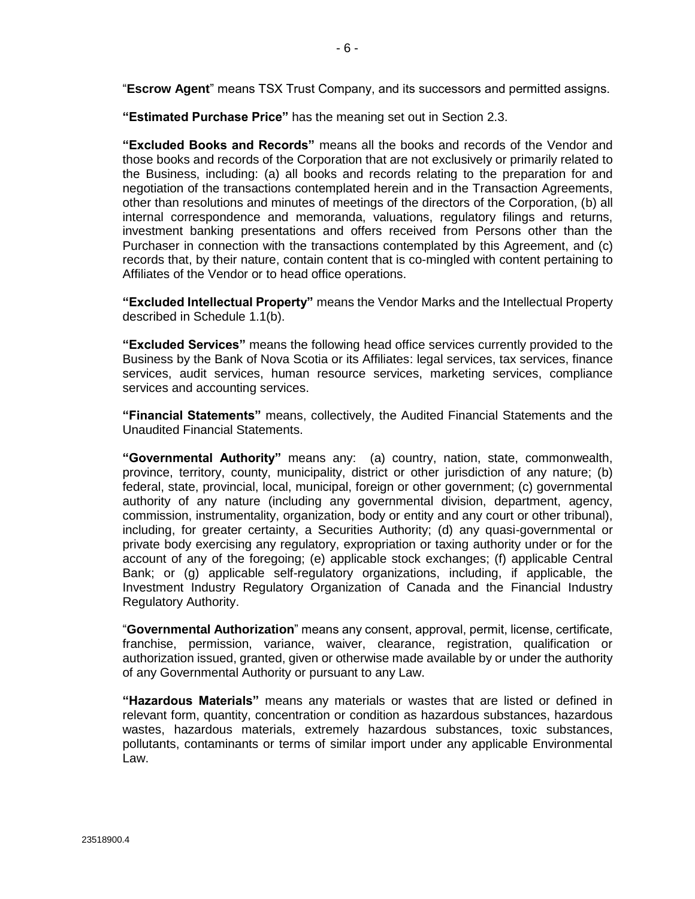"**Escrow Agent**" means TSX Trust Company, and its successors and permitted assigns.

**"Estimated Purchase Price"** has the meaning set out in Sectio[n 2.3.](#page-23-0)

**"Excluded Books and Records"** means all the books and records of the Vendor and those books and records of the Corporation that are not exclusively or primarily related to the Business, including: (a) all books and records relating to the preparation for and negotiation of the transactions contemplated herein and in the Transaction Agreements, other than resolutions and minutes of meetings of the directors of the Corporation, (b) all internal correspondence and memoranda, valuations, regulatory filings and returns, investment banking presentations and offers received from Persons other than the Purchaser in connection with the transactions contemplated by this Agreement, and (c) records that, by their nature, contain content that is co-mingled with content pertaining to Affiliates of the Vendor or to head office operations.

**"Excluded Intellectual Property"** means the Vendor Marks and the Intellectual Property described in Schedule [1.1\(](#page-8-0)b).

**"Excluded Services"** means the following head office services currently provided to the Business by the Bank of Nova Scotia or its Affiliates: legal services, tax services, finance services, audit services, human resource services, marketing services, compliance services and accounting services.

**"Financial Statements"** means, collectively, the Audited Financial Statements and the Unaudited Financial Statements.

**"Governmental Authority"** means any: (a) country, nation, state, commonwealth, province, territory, county, municipality, district or other jurisdiction of any nature; (b) federal, state, provincial, local, municipal, foreign or other government; (c) governmental authority of any nature (including any governmental division, department, agency, commission, instrumentality, organization, body or entity and any court or other tribunal), including, for greater certainty, a Securities Authority; (d) any quasi-governmental or private body exercising any regulatory, expropriation or taxing authority under or for the account of any of the foregoing; (e) applicable stock exchanges; (f) applicable Central Bank; or (g) applicable self-regulatory organizations, including, if applicable, the Investment Industry Regulatory Organization of Canada and the Financial Industry Regulatory Authority.

"**Governmental Authorization**" means any consent, approval, permit, license, certificate, franchise, permission, variance, waiver, clearance, registration, qualification or authorization issued, granted, given or otherwise made available by or under the authority of any Governmental Authority or pursuant to any Law.

**"Hazardous Materials"** means any materials or wastes that are listed or defined in relevant form, quantity, concentration or condition as hazardous substances, hazardous wastes, hazardous materials, extremely hazardous substances, toxic substances, pollutants, contaminants or terms of similar import under any applicable Environmental Law.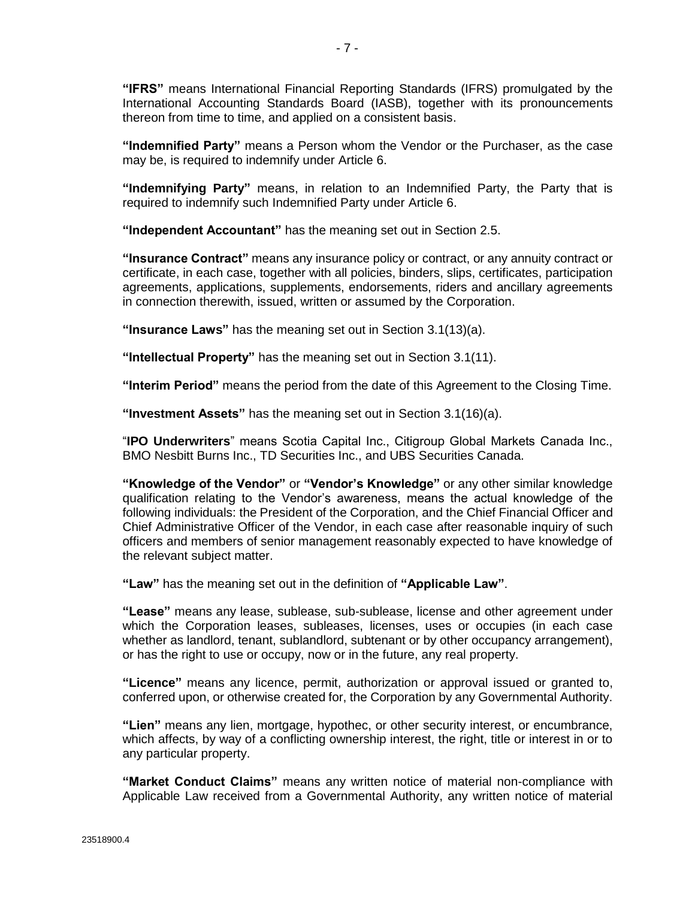**"IFRS"** means International Financial Reporting Standards (IFRS) promulgated by the International Accounting Standards Board (IASB), together with its pronouncements thereon from time to time, and applied on a consistent basis.

**"Indemnified Party"** means a Person whom the Vendor or the Purchaser, as the case may be, is required to indemnify unde[r Article 6.](#page-46-0)

**"Indemnifying Party"** means, in relation to an Indemnified Party, the Party that is required to indemnify such Indemnified Party under [Article 6.](#page-46-0)

**"Independent Accountant"** has the meaning set out in Section [2.5.](#page-24-0)

**"Insurance Contract"** means any insurance policy or contract, or any annuity contract or certificate, in each case, together with all policies, binders, slips, certificates, participation agreements, applications, supplements, endorsements, riders and ancillary agreements in connection therewith, issued, written or assumed by the Corporation.

**"Insurance Laws"** has the meaning set out in Section [3.1\(13\)\(a\).](#page-31-0)

**"Intellectual Property"** has the meaning set out in Section [3.1\(11\).](#page-29-0)

**"Interim Period"** means the period from the date of this Agreement to the Closing Time.

**"Investment Assets"** has the meaning set out in Sectio[n 3.1\(16\)\(a\).](#page-34-0)

"**IPO Underwriters**" means Scotia Capital Inc., Citigroup Global Markets Canada Inc., BMO Nesbitt Burns Inc., TD Securities Inc., and UBS Securities Canada.

**"Knowledge of the Vendor"** or **"Vendor's Knowledge"** or any other similar knowledge qualification relating to the Vendor's awareness, means the actual knowledge of the following individuals: the President of the Corporation, and the Chief Financial Officer and Chief Administrative Officer of the Vendor, in each case after reasonable inquiry of such officers and members of senior management reasonably expected to have knowledge of the relevant subject matter.

**"Law"** has the meaning set out in the definition of **"Applicable Law"**.

**"Lease"** means any lease, sublease, sub-sublease, license and other agreement under which the Corporation leases, subleases, licenses, uses or occupies (in each case whether as landlord, tenant, sublandlord, subtenant or by other occupancy arrangement), or has the right to use or occupy, now or in the future, any real property.

**"Licence"** means any licence, permit, authorization or approval issued or granted to, conferred upon, or otherwise created for, the Corporation by any Governmental Authority.

**"Lien"** means any lien, mortgage, hypothec, or other security interest, or encumbrance, which affects, by way of a conflicting ownership interest, the right, title or interest in or to any particular property.

**"Market Conduct Claims"** means any written notice of material non-compliance with Applicable Law received from a Governmental Authority, any written notice of material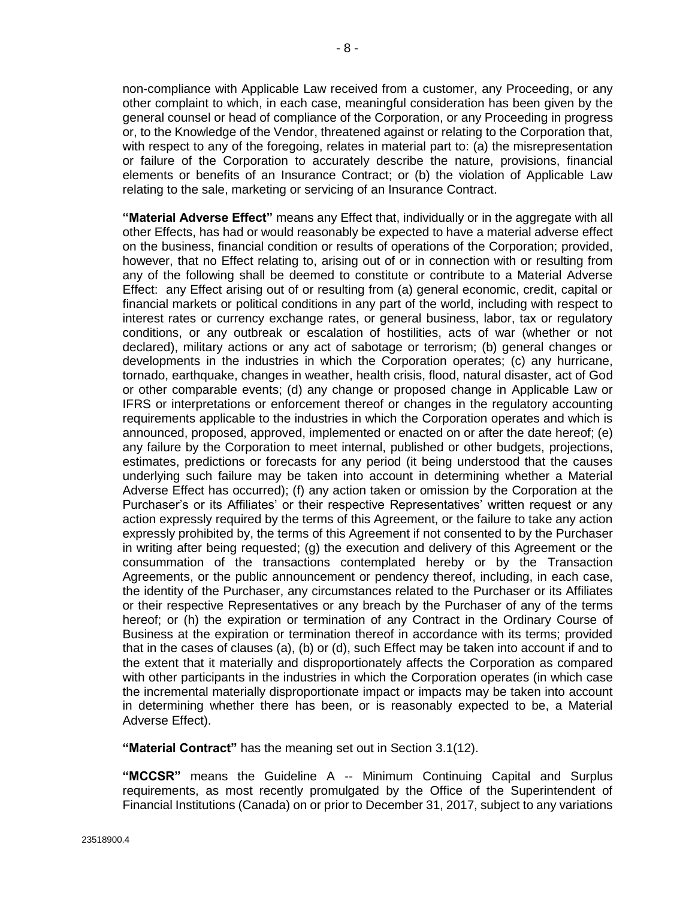non-compliance with Applicable Law received from a customer, any Proceeding, or any other complaint to which, in each case, meaningful consideration has been given by the general counsel or head of compliance of the Corporation, or any Proceeding in progress or, to the Knowledge of the Vendor, threatened against or relating to the Corporation that, with respect to any of the foregoing, relates in material part to: (a) the misrepresentation or failure of the Corporation to accurately describe the nature, provisions, financial elements or benefits of an Insurance Contract; or (b) the violation of Applicable Law relating to the sale, marketing or servicing of an Insurance Contract.

**"Material Adverse Effect"** means any Effect that, individually or in the aggregate with all other Effects, has had or would reasonably be expected to have a material adverse effect on the business, financial condition or results of operations of the Corporation; provided, however, that no Effect relating to, arising out of or in connection with or resulting from any of the following shall be deemed to constitute or contribute to a Material Adverse Effect: any Effect arising out of or resulting from (a) general economic, credit, capital or financial markets or political conditions in any part of the world, including with respect to interest rates or currency exchange rates, or general business, labor, tax or regulatory conditions, or any outbreak or escalation of hostilities, acts of war (whether or not declared), military actions or any act of sabotage or terrorism; (b) general changes or developments in the industries in which the Corporation operates; (c) any hurricane, tornado, earthquake, changes in weather, health crisis, flood, natural disaster, act of God or other comparable events; (d) any change or proposed change in Applicable Law or IFRS or interpretations or enforcement thereof or changes in the regulatory accounting requirements applicable to the industries in which the Corporation operates and which is announced, proposed, approved, implemented or enacted on or after the date hereof; (e) any failure by the Corporation to meet internal, published or other budgets, projections, estimates, predictions or forecasts for any period (it being understood that the causes underlying such failure may be taken into account in determining whether a Material Adverse Effect has occurred); (f) any action taken or omission by the Corporation at the Purchaser's or its Affiliates' or their respective Representatives' written request or any action expressly required by the terms of this Agreement, or the failure to take any action expressly prohibited by, the terms of this Agreement if not consented to by the Purchaser in writing after being requested; (g) the execution and delivery of this Agreement or the consummation of the transactions contemplated hereby or by the Transaction Agreements, or the public announcement or pendency thereof, including, in each case, the identity of the Purchaser, any circumstances related to the Purchaser or its Affiliates or their respective Representatives or any breach by the Purchaser of any of the terms hereof; or (h) the expiration or termination of any Contract in the Ordinary Course of Business at the expiration or termination thereof in accordance with its terms; provided that in the cases of clauses (a), (b) or (d), such Effect may be taken into account if and to the extent that it materially and disproportionately affects the Corporation as compared with other participants in the industries in which the Corporation operates (in which case the incremental materially disproportionate impact or impacts may be taken into account in determining whether there has been, or is reasonably expected to be, a Material Adverse Effect).

**"Material Contract"** has the meaning set out in Section [3.1\(12\).](#page-29-0)

**"MCCSR"** means the Guideline A -- Minimum Continuing Capital and Surplus requirements, as most recently promulgated by the Office of the Superintendent of Financial Institutions (Canada) on or prior to December 31, 2017, subject to any variations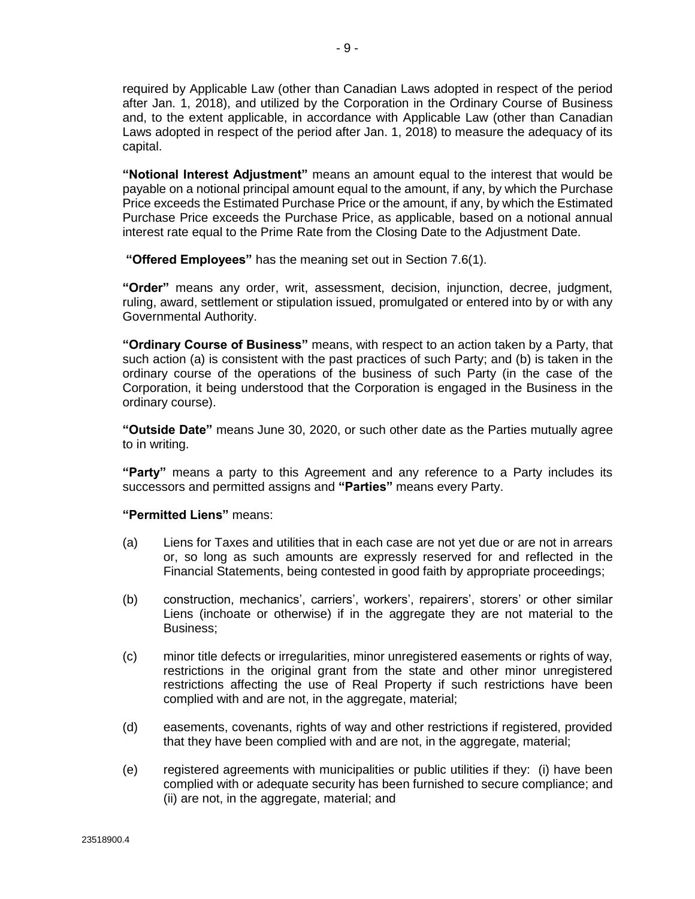required by Applicable Law (other than Canadian Laws adopted in respect of the period after Jan. 1, 2018), and utilized by the Corporation in the Ordinary Course of Business and, to the extent applicable, in accordance with Applicable Law (other than Canadian Laws adopted in respect of the period after Jan. 1, 2018) to measure the adequacy of its capital.

**"Notional Interest Adjustment"** means an amount equal to the interest that would be payable on a notional principal amount equal to the amount, if any, by which the Purchase Price exceeds the Estimated Purchase Price or the amount, if any, by which the Estimated Purchase Price exceeds the Purchase Price, as applicable, based on a notional annual interest rate equal to the Prime Rate from the Closing Date to the Adjustment Date.

**"Offered Employees"** has the meaning set out in Section [7.6\(1\).](#page-60-0)

**"Order"** means any order, writ, assessment, decision, injunction, decree, judgment, ruling, award, settlement or stipulation issued, promulgated or entered into by or with any Governmental Authority.

**"Ordinary Course of Business"** means, with respect to an action taken by a Party, that such action (a) is consistent with the past practices of such Party; and (b) is taken in the ordinary course of the operations of the business of such Party (in the case of the Corporation, it being understood that the Corporation is engaged in the Business in the ordinary course).

**"Outside Date"** means June 30, 2020, or such other date as the Parties mutually agree to in writing.

**"Party"** means a party to this Agreement and any reference to a Party includes its successors and permitted assigns and **"Parties"** means every Party.

#### **"Permitted Liens"** means:

- (a) Liens for Taxes and utilities that in each case are not yet due or are not in arrears or, so long as such amounts are expressly reserved for and reflected in the Financial Statements, being contested in good faith by appropriate proceedings;
- (b) construction, mechanics', carriers', workers', repairers', storers' or other similar Liens (inchoate or otherwise) if in the aggregate they are not material to the Business;
- (c) minor title defects or irregularities, minor unregistered easements or rights of way, restrictions in the original grant from the state and other minor unregistered restrictions affecting the use of Real Property if such restrictions have been complied with and are not, in the aggregate, material;
- (d) easements, covenants, rights of way and other restrictions if registered, provided that they have been complied with and are not, in the aggregate, material;
- (e) registered agreements with municipalities or public utilities if they: (i) have been complied with or adequate security has been furnished to secure compliance; and (ii) are not, in the aggregate, material; and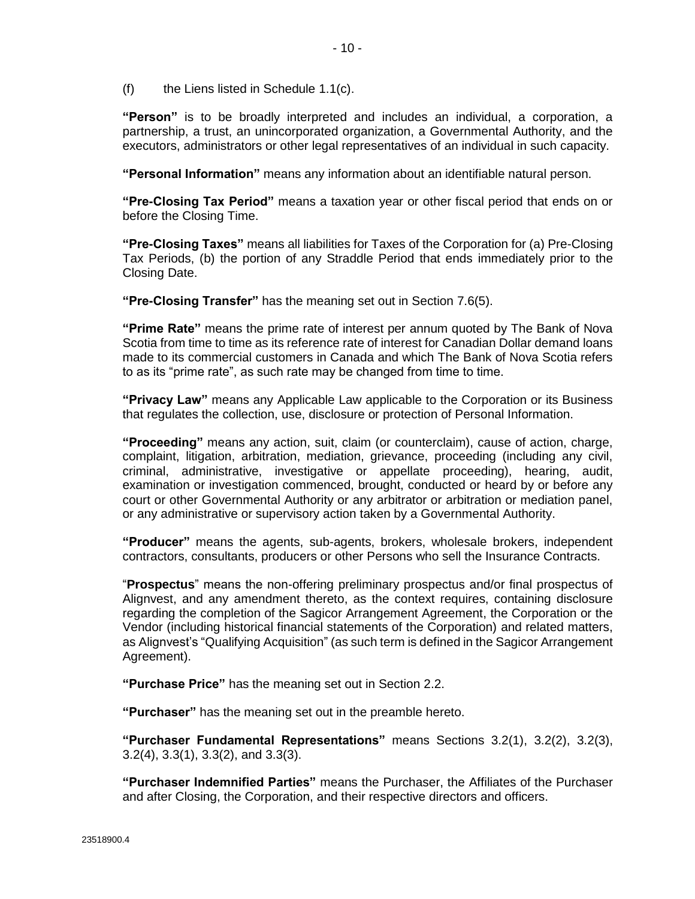$(f)$  the Liens listed in Schedule [1.1\(](#page-8-0)c).

**"Person"** is to be broadly interpreted and includes an individual, a corporation, a partnership, a trust, an unincorporated organization, a Governmental Authority, and the executors, administrators or other legal representatives of an individual in such capacity.

**"Personal Information"** means any information about an identifiable natural person.

**"Pre-Closing Tax Period"** means a taxation year or other fiscal period that ends on or before the Closing Time.

**"Pre-Closing Taxes"** means all liabilities for Taxes of the Corporation for (a) Pre-Closing Tax Periods, (b) the portion of any Straddle Period that ends immediately prior to the Closing Date.

**"Pre-Closing Transfer"** has the meaning set out in Section [7.6\(5\).](#page-61-0)

**"Prime Rate"** means the prime rate of interest per annum quoted by The Bank of Nova Scotia from time to time as its reference rate of interest for Canadian Dollar demand loans made to its commercial customers in Canada and which The Bank of Nova Scotia refers to as its "prime rate", as such rate may be changed from time to time.

**"Privacy Law"** means any Applicable Law applicable to the Corporation or its Business that regulates the collection, use, disclosure or protection of Personal Information.

**"Proceeding"** means any action, suit, claim (or counterclaim), cause of action, charge, complaint, litigation, arbitration, mediation, grievance, proceeding (including any civil, criminal, administrative, investigative or appellate proceeding), hearing, audit, examination or investigation commenced, brought, conducted or heard by or before any court or other Governmental Authority or any arbitrator or arbitration or mediation panel, or any administrative or supervisory action taken by a Governmental Authority.

**"Producer"** means the agents, sub-agents, brokers, wholesale brokers, independent contractors, consultants, producers or other Persons who sell the Insurance Contracts.

"**Prospectus**" means the non-offering preliminary prospectus and/or final prospectus of Alignvest, and any amendment thereto, as the context requires, containing disclosure regarding the completion of the Sagicor Arrangement Agreement, the Corporation or the Vendor (including historical financial statements of the Corporation) and related matters, as Alignvest's "Qualifying Acquisition" (as such term is defined in the Sagicor Arrangement Agreement).

**"Purchase Price"** has the meaning set out in Section [2.2.](#page-23-0)

**"Purchaser"** has the meaning set out in the preamble hereto.

**"Purchaser Fundamental Representations"** means Sections [3.2\(1\),](#page-39-0) [3.2\(2\), 3.2\(3\),](#page-39-0) [3.2\(4\), 3.3\(1\), 3.3\(2\),](#page-40-0) and [3.3\(3\).](#page-41-0)

**"Purchaser Indemnified Parties"** means the Purchaser, the Affiliates of the Purchaser and after Closing, the Corporation, and their respective directors and officers.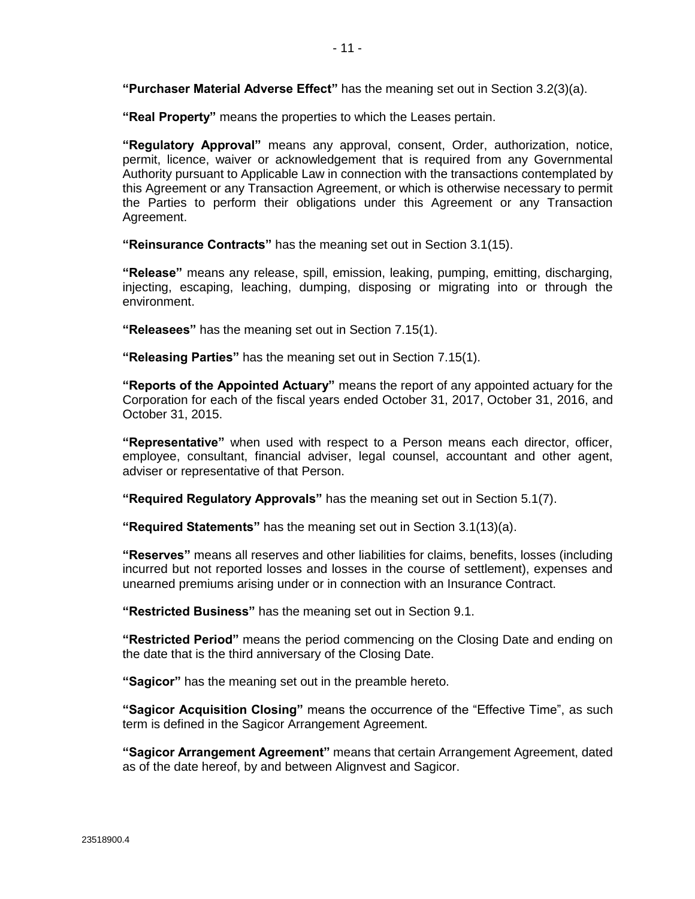**"Purchaser Material Adverse Effect"** has the meaning set out in Section [3.2\(3\)\(a\).](#page-39-0)

**"Real Property"** means the properties to which the Leases pertain.

**"Regulatory Approval"** means any approval, consent, Order, authorization, notice, permit, licence, waiver or acknowledgement that is required from any Governmental Authority pursuant to Applicable Law in connection with the transactions contemplated by this Agreement or any Transaction Agreement, or which is otherwise necessary to permit the Parties to perform their obligations under this Agreement or any Transaction Agreement.

**"Reinsurance Contracts"** has the meaning set out in Section [3.1\(15\).](#page-34-0)

**"Release"** means any release, spill, emission, leaking, pumping, emitting, discharging, injecting, escaping, leaching, dumping, disposing or migrating into or through the environment.

**"Releasees"** has the meaning set out in Section [7.15\(1\).](#page-68-0)

**"Releasing Parties"** has the meaning set out in Section [7.15\(1\).](#page-68-0)

**"Reports of the Appointed Actuary"** means the report of any appointed actuary for the Corporation for each of the fiscal years ended October 31, 2017, October 31, 2016, and October 31, 2015.

**"Representative"** when used with respect to a Person means each director, officer, employee, consultant, financial adviser, legal counsel, accountant and other agent, adviser or representative of that Person.

**"Required Regulatory Approvals"** has the meaning set out in Sectio[n 5.1\(7\).](#page-44-0)

**"Required Statements"** has the meaning set out in Sectio[n 3.1\(13\)\(a\).](#page-31-0)

**"Reserves"** means all reserves and other liabilities for claims, benefits, losses (including incurred but not reported losses and losses in the course of settlement), expenses and unearned premiums arising under or in connection with an Insurance Contract.

**"Restricted Business"** has the meaning set out in Section [9.1.](#page-70-0)

**"Restricted Period"** means the period commencing on the Closing Date and ending on the date that is the third anniversary of the Closing Date.

**"Sagicor"** has the meaning set out in the preamble hereto.

**"Sagicor Acquisition Closing"** means the occurrence of the "Effective Time", as such term is defined in the Sagicor Arrangement Agreement.

**"Sagicor Arrangement Agreement"** means that certain Arrangement Agreement, dated as of the date hereof, by and between Alignvest and Sagicor.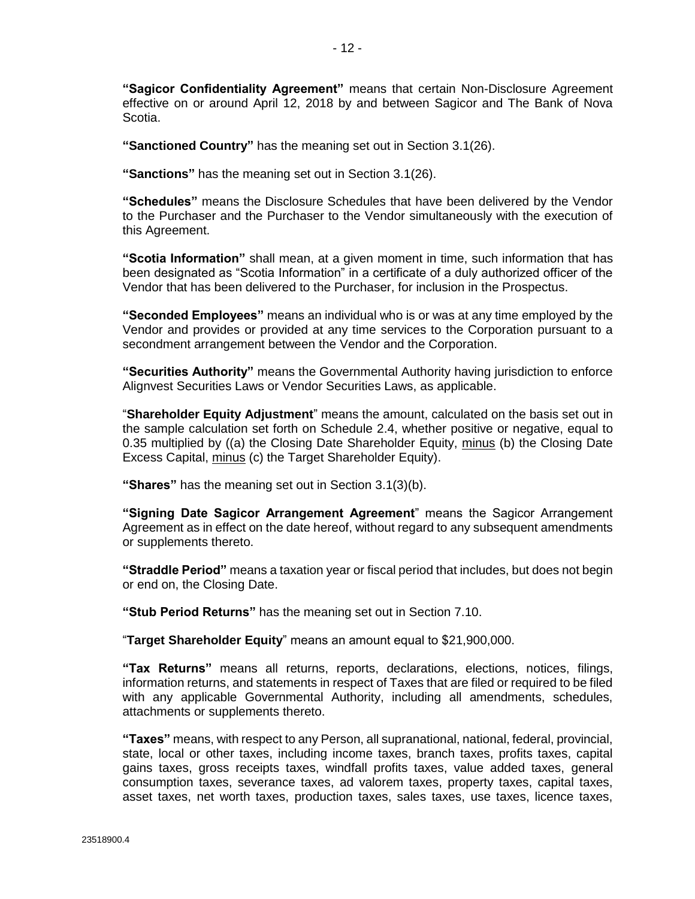**"Sagicor Confidentiality Agreement"** means that certain Non-Disclosure Agreement effective on or around April 12, 2018 by and between Sagicor and The Bank of Nova Scotia.

**"Sanctioned Country"** has the meaning set out in Section [3.1\(26\).](#page-38-0)

**"Sanctions"** has the meaning set out in Section [3.1\(26\).](#page-38-0)

**"Schedules"** means the Disclosure Schedules that have been delivered by the Vendor to the Purchaser and the Purchaser to the Vendor simultaneously with the execution of this Agreement.

**"Scotia Information"** shall mean, at a given moment in time, such information that has been designated as "Scotia Information" in a certificate of a duly authorized officer of the Vendor that has been delivered to the Purchaser, for inclusion in the Prospectus.

**"Seconded Employees"** means an individual who is or was at any time employed by the Vendor and provides or provided at any time services to the Corporation pursuant to a secondment arrangement between the Vendor and the Corporation.

**"Securities Authority"** means the Governmental Authority having jurisdiction to enforce Alignvest Securities Laws or Vendor Securities Laws, as applicable.

"**Shareholder Equity Adjustment**" means the amount, calculated on the basis set out in the sample calculation set forth on Schedule [2.4,](#page-23-0) whether positive or negative, equal to 0.35 multiplied by ((a) the Closing Date Shareholder Equity, minus (b) the Closing Date Excess Capital, minus (c) the Target Shareholder Equity).

**"Shares"** has the meaning set out in Section [3.1\(3\)\(b\).](#page-26-0)

**"Signing Date Sagicor Arrangement Agreement**" means the Sagicor Arrangement Agreement as in effect on the date hereof, without regard to any subsequent amendments or supplements thereto.

**"Straddle Period"** means a taxation year or fiscal period that includes, but does not begin or end on, the Closing Date.

**"Stub Period Returns"** has the meaning set out in Sectio[n 7.10.](#page-64-0)

"**Target Shareholder Equity**" means an amount equal to \$21,900,000.

**"Tax Returns"** means all returns, reports, declarations, elections, notices, filings, information returns, and statements in respect of Taxes that are filed or required to be filed with any applicable Governmental Authority, including all amendments, schedules, attachments or supplements thereto.

**"Taxes"** means, with respect to any Person, all supranational, national, federal, provincial, state, local or other taxes, including income taxes, branch taxes, profits taxes, capital gains taxes, gross receipts taxes, windfall profits taxes, value added taxes, general consumption taxes, severance taxes, ad valorem taxes, property taxes, capital taxes, asset taxes, net worth taxes, production taxes, sales taxes, use taxes, licence taxes,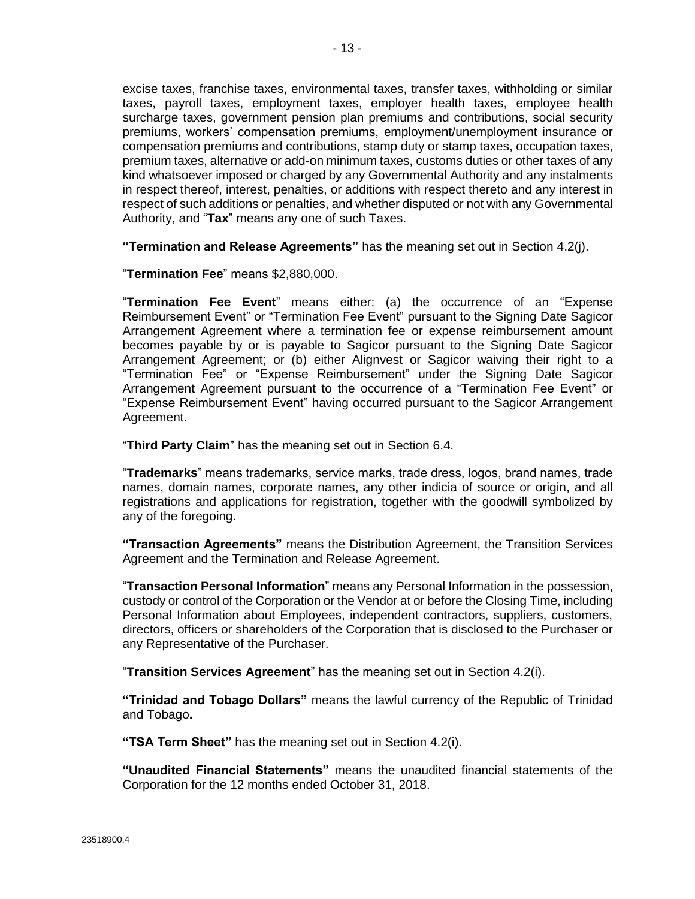excise taxes, franchise taxes, environmental taxes, transfer taxes, withholding or similar taxes, payroll taxes, employment taxes, employer health taxes, employee health surcharge taxes, government pension plan premiums and contributions, social security premiums, workers' compensation premiums, employment/unemployment insurance or compensation premiums and contributions, stamp duty or stamp taxes, occupation taxes, premium taxes, alternative or add-on minimum taxes, customs duties or other taxes of any kind whatsoever imposed or charged by any Governmental Authority and any instalments in respect thereof, interest, penalties, or additions with respect thereto and any interest in respect of such additions or penalties, and whether disputed or not with any Governmental Authority, and "**Tax**" means any one of such Taxes.

**"Termination and Release Agreements"** has the meaning set out in Section [4.2\(j\).](#page-42-0)

"**Termination Fee**" means \$2,880,000.

"**Termination Fee Event**" means either: (a) the occurrence of an "Expense Reimbursement Event" or "Termination Fee Event" pursuant to the Signing Date Sagicor Arrangement Agreement where a termination fee or expense reimbursement amount becomes payable by or is payable to Sagicor pursuant to the Signing Date Sagicor Arrangement Agreement; or (b) either Alignvest or Sagicor waiving their right to a "Termination Fee" or "Expense Reimbursement" under the Signing Date Sagicor Arrangement Agreement pursuant to the occurrence of a "Termination Fee Event" or "Expense Reimbursement Event" having occurred pursuant to the Sagicor Arrangement Agreement.

"**Third Party Claim**" has the meaning set out in Section [6.4.](#page-48-0)

"**Trademarks**" means trademarks, service marks, trade dress, logos, brand names, trade names, domain names, corporate names, any other indicia of source or origin, and all registrations and applications for registration, together with the goodwill symbolized by any of the foregoing.

**"Transaction Agreements"** means the Distribution Agreement, the Transition Services Agreement and the Termination and Release Agreement.

"**Transaction Personal Information**" means any Personal Information in the possession, custody or control of the Corporation or the Vendor at or before the Closing Time, including Personal Information about Employees, independent contractors, suppliers, customers, directors, officers or shareholders of the Corporation that is disclosed to the Purchaser or any Representative of the Purchaser.

"**Transition Services Agreement**" has the meaning set out in Sectio[n 4.2\(i\).](#page-42-0)

**"Trinidad and Tobago Dollars"** means the lawful currency of the Republic of Trinidad and Tobago**.**

**"TSA Term Sheet"** has the meaning set out in Sectio[n 4.2\(i\).](#page-42-0)

**"Unaudited Financial Statements"** means the unaudited financial statements of the Corporation for the 12 months ended October 31, 2018.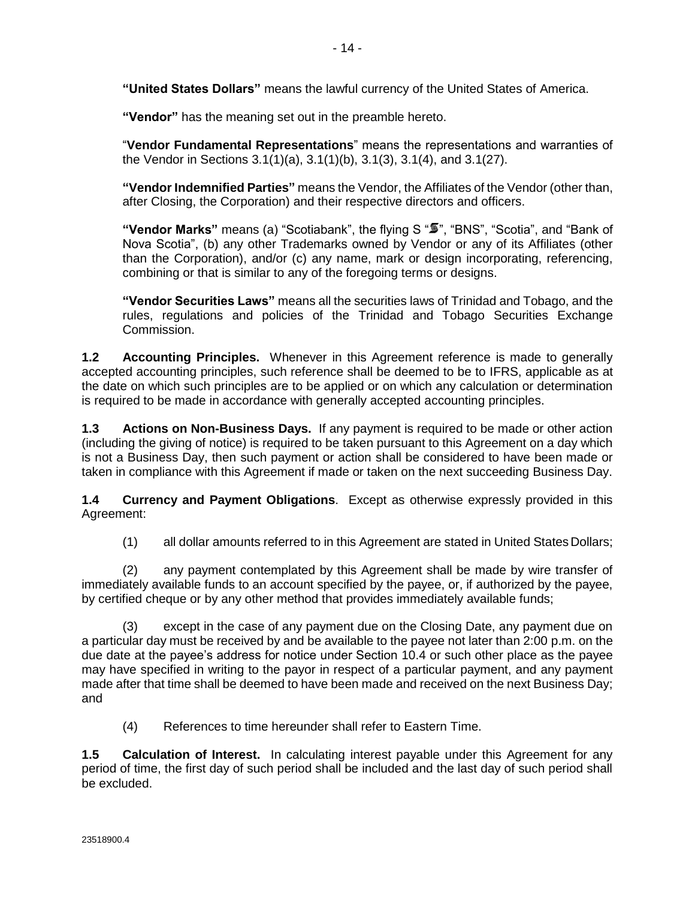**"United States Dollars"** means the lawful currency of the United States of America.

**"Vendor"** has the meaning set out in the preamble hereto.

"**Vendor Fundamental Representations**" means the representations and warranties of the Vendor in Sections [3.1\(1\)\(a\), 3.1\(1\)\(b\),](#page-25-0) [3.1\(3\), 3.1\(4\),](#page-26-0) and [3.1\(27\).](#page-38-0)

**"Vendor Indemnified Parties"** means the Vendor, the Affiliates of the Vendor (other than, after Closing, the Corporation) and their respective directors and officers.

"**Vendor Marks**" means (a) "Scotiabank", the flying S " $\overline{\bullet}$ ", "BNS", "Scotia", and "Bank of Nova Scotia", (b) any other Trademarks owned by Vendor or any of its Affiliates (other than the Corporation), and/or (c) any name, mark or design incorporating, referencing, combining or that is similar to any of the foregoing terms or designs.

**"Vendor Securities Laws"** means all the securities laws of Trinidad and Tobago, and the rules, regulations and policies of the Trinidad and Tobago Securities Exchange Commission.

**1.2 Accounting Principles.** Whenever in this Agreement reference is made to generally accepted accounting principles, such reference shall be deemed to be to IFRS, applicable as at the date on which such principles are to be applied or on which any calculation or determination is required to be made in accordance with generally accepted accounting principles.

**1.3 Actions on Non-Business Days.** If any payment is required to be made or other action (including the giving of notice) is required to be taken pursuant to this Agreement on a day which is not a Business Day, then such payment or action shall be considered to have been made or taken in compliance with this Agreement if made or taken on the next succeeding Business Day.

**1.4 Currency and Payment Obligations**. Except as otherwise expressly provided in this Agreement:

(1) all dollar amounts referred to in this Agreement are stated in United States Dollars;

(2) any payment contemplated by this Agreement shall be made by wire transfer of immediately available funds to an account specified by the payee, or, if authorized by the payee, by certified cheque or by any other method that provides immediately available funds;

(3) except in the case of any payment due on the Closing Date, any payment due on a particular day must be received by and be available to the payee not later than 2:00 p.m. on the due date at the payee's address for notice under Section [10.4](#page-71-0) or such other place as the payee may have specified in writing to the payor in respect of a particular payment, and any payment made after that time shall be deemed to have been made and received on the next Business Day; and

(4) References to time hereunder shall refer to Eastern Time.

**1.5 Calculation of Interest.** In calculating interest payable under this Agreement for any period of time, the first day of such period shall be included and the last day of such period shall be excluded.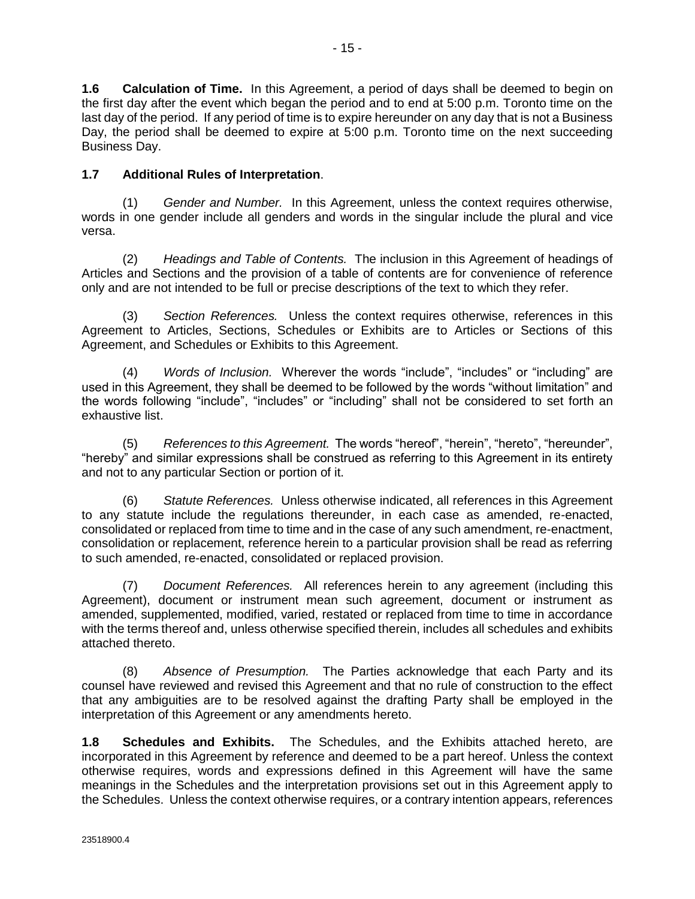**1.6 Calculation of Time.** In this Agreement, a period of days shall be deemed to begin on the first day after the event which began the period and to end at 5:00 p.m. Toronto time on the last day of the period. If any period of time is to expire hereunder on any day that is not a Business Day, the period shall be deemed to expire at 5:00 p.m. Toronto time on the next succeeding Business Day.

## **1.7 Additional Rules of Interpretation**.

(1) *Gender and Number.* In this Agreement, unless the context requires otherwise, words in one gender include all genders and words in the singular include the plural and vice versa.

(2) *Headings and Table of Contents.* The inclusion in this Agreement of headings of Articles and Sections and the provision of a table of contents are for convenience of reference only and are not intended to be full or precise descriptions of the text to which they refer.

(3) *Section References.* Unless the context requires otherwise, references in this Agreement to Articles, Sections, Schedules or Exhibits are to Articles or Sections of this Agreement, and Schedules or Exhibits to this Agreement.

(4) *Words of Inclusion.* Wherever the words "include", "includes" or "including" are used in this Agreement, they shall be deemed to be followed by the words "without limitation" and the words following "include", "includes" or "including" shall not be considered to set forth an exhaustive list.

(5) *References to this Agreement.* The words "hereof", "herein", "hereto", "hereunder", "hereby" and similar expressions shall be construed as referring to this Agreement in its entirety and not to any particular Section or portion of it.

(6) *Statute References.* Unless otherwise indicated, all references in this Agreement to any statute include the regulations thereunder, in each case as amended, re-enacted, consolidated or replaced from time to time and in the case of any such amendment, re-enactment, consolidation or replacement, reference herein to a particular provision shall be read as referring to such amended, re-enacted, consolidated or replaced provision.

(7) *Document References.* All references herein to any agreement (including this Agreement), document or instrument mean such agreement, document or instrument as amended, supplemented, modified, varied, restated or replaced from time to time in accordance with the terms thereof and, unless otherwise specified therein, includes all schedules and exhibits attached thereto.

(8) *Absence of Presumption.* The Parties acknowledge that each Party and its counsel have reviewed and revised this Agreement and that no rule of construction to the effect that any ambiguities are to be resolved against the drafting Party shall be employed in the interpretation of this Agreement or any amendments hereto.

**1.8 Schedules and Exhibits.** The Schedules, and the Exhibits attached hereto, are incorporated in this Agreement by reference and deemed to be a part hereof. Unless the context otherwise requires, words and expressions defined in this Agreement will have the same meanings in the Schedules and the interpretation provisions set out in this Agreement apply to the Schedules. Unless the context otherwise requires, or a contrary intention appears, references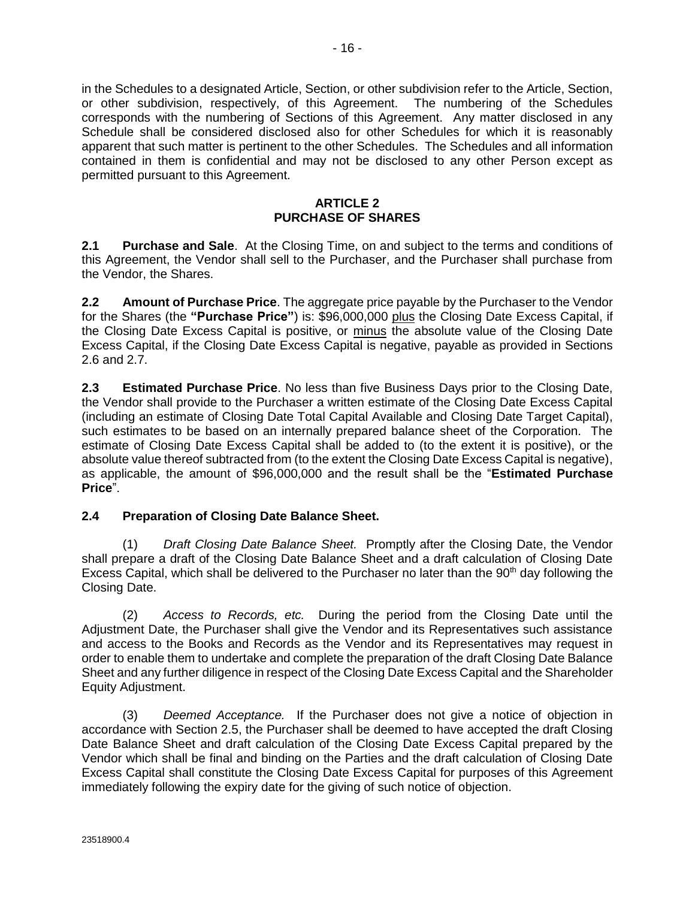<span id="page-23-0"></span>in the Schedules to a designated Article, Section, or other subdivision refer to the Article, Section, or other subdivision, respectively, of this Agreement. The numbering of the Schedules corresponds with the numbering of Sections of this Agreement. Any matter disclosed in any Schedule shall be considered disclosed also for other Schedules for which it is reasonably apparent that such matter is pertinent to the other Schedules. The Schedules and all information contained in them is confidential and may not be disclosed to any other Person except as permitted pursuant to this Agreement.

#### **ARTICLE 2 PURCHASE OF SHARES**

**2.1 Purchase and Sale**. At the Closing Time, on and subject to the terms and conditions of this Agreement, the Vendor shall sell to the Purchaser, and the Purchaser shall purchase from the Vendor, the Shares.

**2.2 Amount of Purchase Price**. The aggregate price payable by the Purchaser to the Vendor for the Shares (the **"Purchase Price"**) is: \$96,000,000 plus the Closing Date Excess Capital, if the Closing Date Excess Capital is positive, or minus the absolute value of the Closing Date Excess Capital, if the Closing Date Excess Capital is negative, payable as provided in Sections [2.6](#page-24-0) and [2.7.](#page-24-0)

**2.3 Estimated Purchase Price**. No less than five Business Days prior to the Closing Date, the Vendor shall provide to the Purchaser a written estimate of the Closing Date Excess Capital (including an estimate of Closing Date Total Capital Available and Closing Date Target Capital), such estimates to be based on an internally prepared balance sheet of the Corporation. The estimate of Closing Date Excess Capital shall be added to (to the extent it is positive), or the absolute value thereof subtracted from (to the extent the Closing Date Excess Capital is negative), as applicable, the amount of \$96,000,000 and the result shall be the "**Estimated Purchase Price**".

#### **2.4 Preparation of Closing Date Balance Sheet.**

(1) *Draft Closing Date Balance Sheet.* Promptly after the Closing Date, the Vendor shall prepare a draft of the Closing Date Balance Sheet and a draft calculation of Closing Date Excess Capital, which shall be delivered to the Purchaser no later than the  $90<sup>th</sup>$  day following the Closing Date.

(2) *Access to Records, etc.* During the period from the Closing Date until the Adjustment Date, the Purchaser shall give the Vendor and its Representatives such assistance and access to the Books and Records as the Vendor and its Representatives may request in order to enable them to undertake and complete the preparation of the draft Closing Date Balance Sheet and any further diligence in respect of the Closing Date Excess Capital and the Shareholder Equity Adjustment.

(3) *Deemed Acceptance.* If the Purchaser does not give a notice of objection in accordance with Section [2.5,](#page-24-0) the Purchaser shall be deemed to have accepted the draft Closing Date Balance Sheet and draft calculation of the Closing Date Excess Capital prepared by the Vendor which shall be final and binding on the Parties and the draft calculation of Closing Date Excess Capital shall constitute the Closing Date Excess Capital for purposes of this Agreement immediately following the expiry date for the giving of such notice of objection.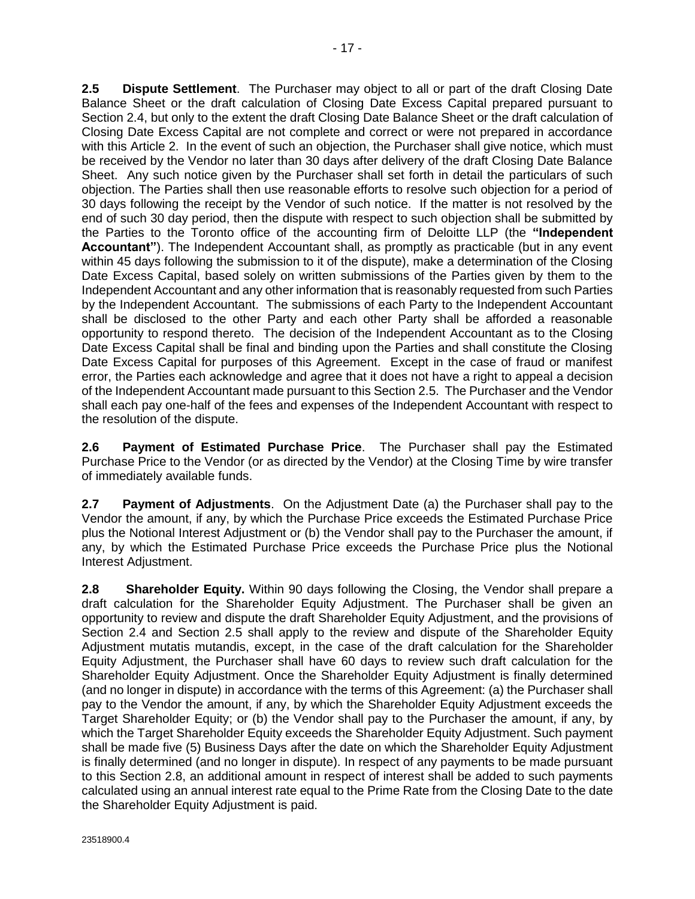<span id="page-24-0"></span>**2.5 Dispute Settlement**. The Purchaser may object to all or part of the draft Closing Date Balance Sheet or the draft calculation of Closing Date Excess Capital prepared pursuant to Section [2.4,](#page-23-0) but only to the extent the draft Closing Date Balance Sheet or the draft calculation of Closing Date Excess Capital are not complete and correct or were not prepared in accordance with this [Article 2.](#page-23-0) In the event of such an objection, the Purchaser shall give notice, which must be received by the Vendor no later than 30 days after delivery of the draft Closing Date Balance Sheet. Any such notice given by the Purchaser shall set forth in detail the particulars of such objection. The Parties shall then use reasonable efforts to resolve such objection for a period of 30 days following the receipt by the Vendor of such notice. If the matter is not resolved by the end of such 30 day period, then the dispute with respect to such objection shall be submitted by the Parties to the Toronto office of the accounting firm of Deloitte LLP (the **"Independent Accountant"**). The Independent Accountant shall, as promptly as practicable (but in any event within 45 days following the submission to it of the dispute), make a determination of the Closing Date Excess Capital, based solely on written submissions of the Parties given by them to the Independent Accountant and any other information that is reasonably requested from such Parties by the Independent Accountant. The submissions of each Party to the Independent Accountant shall be disclosed to the other Party and each other Party shall be afforded a reasonable opportunity to respond thereto. The decision of the Independent Accountant as to the Closing Date Excess Capital shall be final and binding upon the Parties and shall constitute the Closing Date Excess Capital for purposes of this Agreement. Except in the case of fraud or manifest error, the Parties each acknowledge and agree that it does not have a right to appeal a decision of the Independent Accountant made pursuant to this Section 2.5. The Purchaser and the Vendor shall each pay one-half of the fees and expenses of the Independent Accountant with respect to the resolution of the dispute.

**2.6 Payment of Estimated Purchase Price**. The Purchaser shall pay the Estimated Purchase Price to the Vendor (or as directed by the Vendor) at the Closing Time by wire transfer of immediately available funds.

**2.7 Payment of Adjustments**. On the Adjustment Date (a) the Purchaser shall pay to the Vendor the amount, if any, by which the Purchase Price exceeds the Estimated Purchase Price plus the Notional Interest Adjustment or (b) the Vendor shall pay to the Purchaser the amount, if any, by which the Estimated Purchase Price exceeds the Purchase Price plus the Notional Interest Adjustment.

**2.8 Shareholder Equity.** Within 90 days following the Closing, the Vendor shall prepare a draft calculation for the Shareholder Equity Adjustment. The Purchaser shall be given an opportunity to review and dispute the draft Shareholder Equity Adjustment, and the provisions of Section [2.4](#page-23-0) and Section 2.5 shall apply to the review and dispute of the Shareholder Equity Adjustment mutatis mutandis, except, in the case of the draft calculation for the Shareholder Equity Adjustment, the Purchaser shall have 60 days to review such draft calculation for the Shareholder Equity Adjustment. Once the Shareholder Equity Adjustment is finally determined (and no longer in dispute) in accordance with the terms of this Agreement: (a) the Purchaser shall pay to the Vendor the amount, if any, by which the Shareholder Equity Adjustment exceeds the Target Shareholder Equity; or (b) the Vendor shall pay to the Purchaser the amount, if any, by which the Target Shareholder Equity exceeds the Shareholder Equity Adjustment. Such payment shall be made five (5) Business Days after the date on which the Shareholder Equity Adjustment is finally determined (and no longer in dispute). In respect of any payments to be made pursuant to this Section 2.8, an additional amount in respect of interest shall be added to such payments calculated using an annual interest rate equal to the Prime Rate from the Closing Date to the date the Shareholder Equity Adjustment is paid.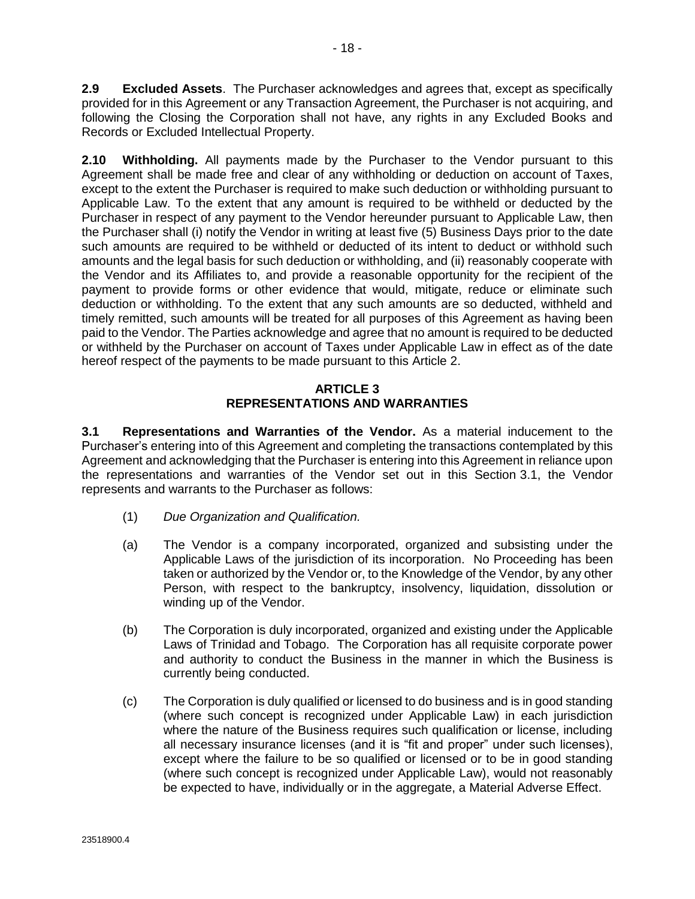<span id="page-25-0"></span>**2.9 Excluded Assets**. The Purchaser acknowledges and agrees that, except as specifically provided for in this Agreement or any Transaction Agreement, the Purchaser is not acquiring, and following the Closing the Corporation shall not have, any rights in any Excluded Books and Records or Excluded Intellectual Property.

**2.10 Withholding.** All payments made by the Purchaser to the Vendor pursuant to this Agreement shall be made free and clear of any withholding or deduction on account of Taxes, except to the extent the Purchaser is required to make such deduction or withholding pursuant to Applicable Law. To the extent that any amount is required to be withheld or deducted by the Purchaser in respect of any payment to the Vendor hereunder pursuant to Applicable Law, then the Purchaser shall (i) notify the Vendor in writing at least five (5) Business Days prior to the date such amounts are required to be withheld or deducted of its intent to deduct or withhold such amounts and the legal basis for such deduction or withholding, and (ii) reasonably cooperate with the Vendor and its Affiliates to, and provide a reasonable opportunity for the recipient of the payment to provide forms or other evidence that would, mitigate, reduce or eliminate such deduction or withholding. To the extent that any such amounts are so deducted, withheld and timely remitted, such amounts will be treated for all purposes of this Agreement as having been paid to the Vendor. The Parties acknowledge and agree that no amount is required to be deducted or withheld by the Purchaser on account of Taxes under Applicable Law in effect as of the date hereof respect of the payments to be made pursuant to thi[s Article 2.](#page-23-0)

#### **ARTICLE 3 REPRESENTATIONS AND WARRANTIES**

**3.1 Representations and Warranties of the Vendor.** As a material inducement to the Purchaser's entering into of this Agreement and completing the transactions contemplated by this Agreement and acknowledging that the Purchaser is entering into this Agreement in reliance upon the representations and warranties of the Vendor set out in this Section 3.1, the Vendor represents and warrants to the Purchaser as follows:

- (1) *Due Organization and Qualification.*
- (a) The Vendor is a company incorporated, organized and subsisting under the Applicable Laws of the jurisdiction of its incorporation. No Proceeding has been taken or authorized by the Vendor or, to the Knowledge of the Vendor, by any other Person, with respect to the bankruptcy, insolvency, liquidation, dissolution or winding up of the Vendor.
- (b) The Corporation is duly incorporated, organized and existing under the Applicable Laws of Trinidad and Tobago. The Corporation has all requisite corporate power and authority to conduct the Business in the manner in which the Business is currently being conducted.
- (c) The Corporation is duly qualified or licensed to do business and is in good standing (where such concept is recognized under Applicable Law) in each jurisdiction where the nature of the Business requires such qualification or license, including all necessary insurance licenses (and it is "fit and proper" under such licenses), except where the failure to be so qualified or licensed or to be in good standing (where such concept is recognized under Applicable Law), would not reasonably be expected to have, individually or in the aggregate, a Material Adverse Effect.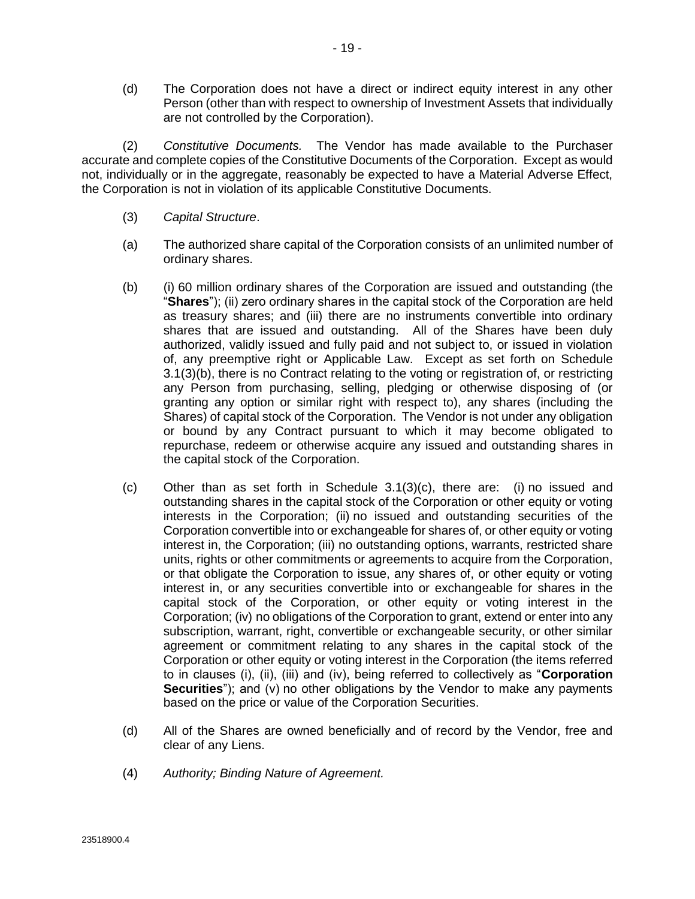<span id="page-26-0"></span>(d) The Corporation does not have a direct or indirect equity interest in any other Person (other than with respect to ownership of Investment Assets that individually are not controlled by the Corporation).

(2) *Constitutive Documents.* The Vendor has made available to the Purchaser accurate and complete copies of the Constitutive Documents of the Corporation. Except as would not, individually or in the aggregate, reasonably be expected to have a Material Adverse Effect, the Corporation is not in violation of its applicable Constitutive Documents.

- (3) *Capital Structure*.
- (a) The authorized share capital of the Corporation consists of an unlimited number of ordinary shares.
- (b) (i) 60 million ordinary shares of the Corporation are issued and outstanding (the "**Shares**"); (ii) zero ordinary shares in the capital stock of the Corporation are held as treasury shares; and (iii) there are no instruments convertible into ordinary shares that are issued and outstanding. All of the Shares have been duly authorized, validly issued and fully paid and not subject to, or issued in violation of, any preemptive right or Applicable Law. Except as set forth on Schedule 3.1(3)(b), there is no Contract relating to the voting or registration of, or restricting any Person from purchasing, selling, pledging or otherwise disposing of (or granting any option or similar right with respect to), any shares (including the Shares) of capital stock of the Corporation. The Vendor is not under any obligation or bound by any Contract pursuant to which it may become obligated to repurchase, redeem or otherwise acquire any issued and outstanding shares in the capital stock of the Corporation.
- (c) Other than as set forth in Schedule  $3.1(3)(c)$ , there are: (i) no issued and outstanding shares in the capital stock of the Corporation or other equity or voting interests in the Corporation; (ii) no issued and outstanding securities of the Corporation convertible into or exchangeable for shares of, or other equity or voting interest in, the Corporation; (iii) no outstanding options, warrants, restricted share units, rights or other commitments or agreements to acquire from the Corporation, or that obligate the Corporation to issue, any shares of, or other equity or voting interest in, or any securities convertible into or exchangeable for shares in the capital stock of the Corporation, or other equity or voting interest in the Corporation; (iv) no obligations of the Corporation to grant, extend or enter into any subscription, warrant, right, convertible or exchangeable security, or other similar agreement or commitment relating to any shares in the capital stock of the Corporation or other equity or voting interest in the Corporation (the items referred to in clauses (i), (ii), (iii) and (iv), being referred to collectively as "**Corporation Securities**"); and (v) no other obligations by the Vendor to make any payments based on the price or value of the Corporation Securities.
- (d) All of the Shares are owned beneficially and of record by the Vendor, free and clear of any Liens.
- (4) *Authority; Binding Nature of Agreement.*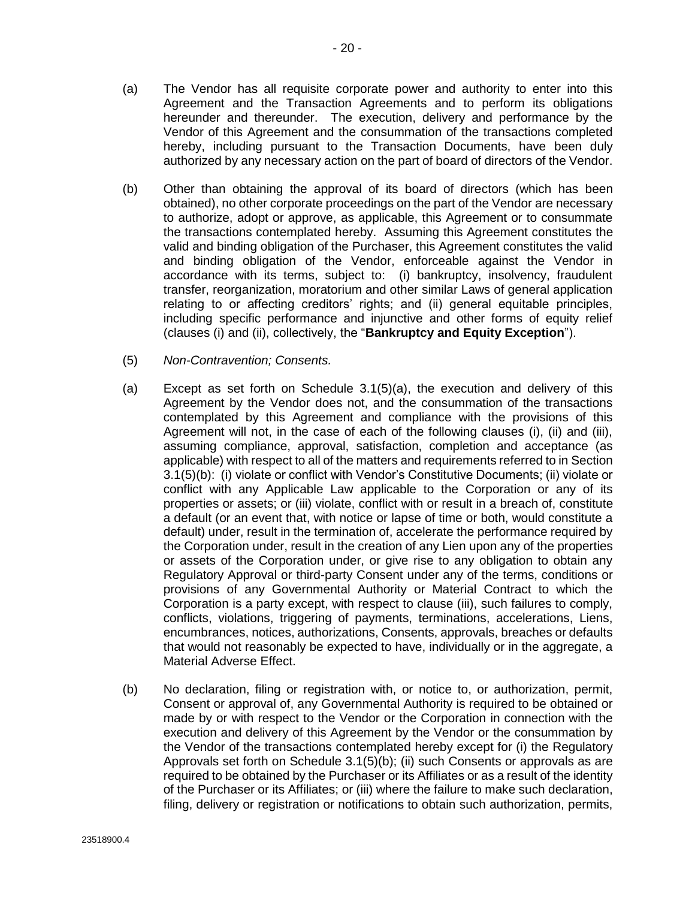- <span id="page-27-0"></span>(a) The Vendor has all requisite corporate power and authority to enter into this Agreement and the Transaction Agreements and to perform its obligations hereunder and thereunder. The execution, delivery and performance by the Vendor of this Agreement and the consummation of the transactions completed hereby, including pursuant to the Transaction Documents, have been duly authorized by any necessary action on the part of board of directors of the Vendor.
- (b) Other than obtaining the approval of its board of directors (which has been obtained), no other corporate proceedings on the part of the Vendor are necessary to authorize, adopt or approve, as applicable, this Agreement or to consummate the transactions contemplated hereby. Assuming this Agreement constitutes the valid and binding obligation of the Purchaser, this Agreement constitutes the valid and binding obligation of the Vendor, enforceable against the Vendor in accordance with its terms, subject to: (i) bankruptcy, insolvency, fraudulent transfer, reorganization, moratorium and other similar Laws of general application relating to or affecting creditors' rights; and (ii) general equitable principles, including specific performance and injunctive and other forms of equity relief (clauses (i) and (ii), collectively, the "**Bankruptcy and Equity Exception**").
- (5) *Non-Contravention; Consents.*
- (a) Except as set forth on Schedule 3.1(5)(a), the execution and delivery of this Agreement by the Vendor does not, and the consummation of the transactions contemplated by this Agreement and compliance with the provisions of this Agreement will not, in the case of each of the following clauses (i), (ii) and (iii), assuming compliance, approval, satisfaction, completion and acceptance (as applicable) with respect to all of the matters and requirements referred to in Section 3.1(5)(b): (i) violate or conflict with Vendor's Constitutive Documents; (ii) violate or conflict with any Applicable Law applicable to the Corporation or any of its properties or assets; or (iii) violate, conflict with or result in a breach of, constitute a default (or an event that, with notice or lapse of time or both, would constitute a default) under, result in the termination of, accelerate the performance required by the Corporation under, result in the creation of any Lien upon any of the properties or assets of the Corporation under, or give rise to any obligation to obtain any Regulatory Approval or third-party Consent under any of the terms, conditions or provisions of any Governmental Authority or Material Contract to which the Corporation is a party except, with respect to clause (iii), such failures to comply, conflicts, violations, triggering of payments, terminations, accelerations, Liens, encumbrances, notices, authorizations, Consents, approvals, breaches or defaults that would not reasonably be expected to have, individually or in the aggregate, a Material Adverse Effect.
- (b) No declaration, filing or registration with, or notice to, or authorization, permit, Consent or approval of, any Governmental Authority is required to be obtained or made by or with respect to the Vendor or the Corporation in connection with the execution and delivery of this Agreement by the Vendor or the consummation by the Vendor of the transactions contemplated hereby except for (i) the Regulatory Approvals set forth on Schedule 3.1(5)(b); (ii) such Consents or approvals as are required to be obtained by the Purchaser or its Affiliates or as a result of the identity of the Purchaser or its Affiliates; or (iii) where the failure to make such declaration, filing, delivery or registration or notifications to obtain such authorization, permits,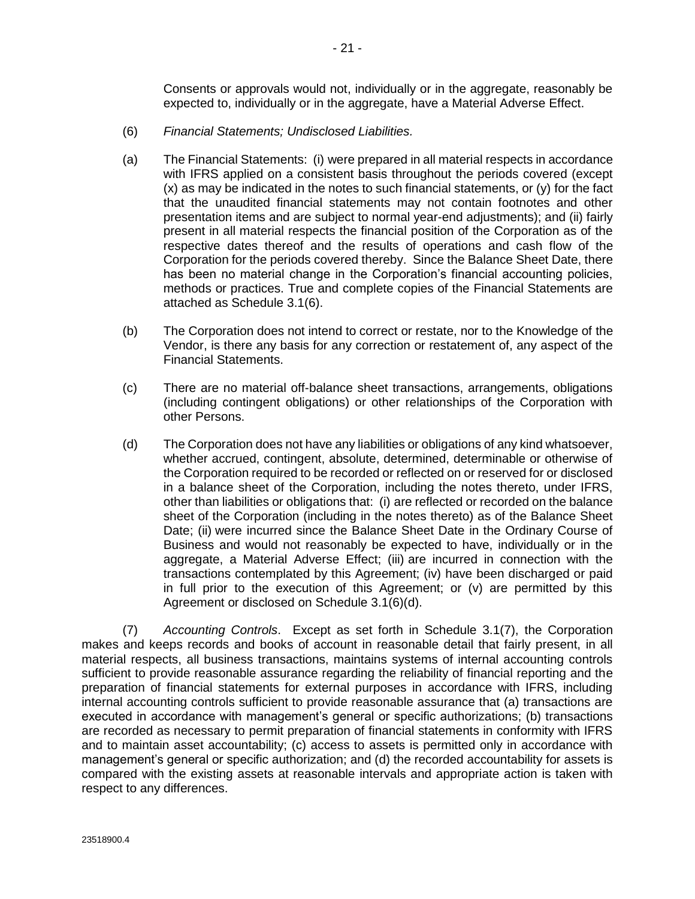Consents or approvals would not, individually or in the aggregate, reasonably be expected to, individually or in the aggregate, have a Material Adverse Effect.

- <span id="page-28-0"></span>(6) *Financial Statements; Undisclosed Liabilities.*
- (a) The Financial Statements: (i) were prepared in all material respects in accordance with IFRS applied on a consistent basis throughout the periods covered (except  $(x)$  as may be indicated in the notes to such financial statements, or  $(y)$  for the fact that the unaudited financial statements may not contain footnotes and other presentation items and are subject to normal year-end adjustments); and (ii) fairly present in all material respects the financial position of the Corporation as of the respective dates thereof and the results of operations and cash flow of the Corporation for the periods covered thereby. Since the Balance Sheet Date, there has been no material change in the Corporation's financial accounting policies, methods or practices. True and complete copies of the Financial Statements are attached as Schedule 3.1(6).
- (b) The Corporation does not intend to correct or restate, nor to the Knowledge of the Vendor, is there any basis for any correction or restatement of, any aspect of the Financial Statements.
- (c) There are no material off-balance sheet transactions, arrangements, obligations (including contingent obligations) or other relationships of the Corporation with other Persons.
- (d) The Corporation does not have any liabilities or obligations of any kind whatsoever, whether accrued, contingent, absolute, determined, determinable or otherwise of the Corporation required to be recorded or reflected on or reserved for or disclosed in a balance sheet of the Corporation, including the notes thereto, under IFRS, other than liabilities or obligations that: (i) are reflected or recorded on the balance sheet of the Corporation (including in the notes thereto) as of the Balance Sheet Date; (ii) were incurred since the Balance Sheet Date in the Ordinary Course of Business and would not reasonably be expected to have, individually or in the aggregate, a Material Adverse Effect; (iii) are incurred in connection with the transactions contemplated by this Agreement; (iv) have been discharged or paid in full prior to the execution of this Agreement; or  $(v)$  are permitted by this Agreement or disclosed on Schedule 3.1(6)(d).

(7) *Accounting Controls*. Except as set forth in Schedule 3.1(7), the Corporation makes and keeps records and books of account in reasonable detail that fairly present, in all material respects, all business transactions, maintains systems of internal accounting controls sufficient to provide reasonable assurance regarding the reliability of financial reporting and the preparation of financial statements for external purposes in accordance with IFRS, including internal accounting controls sufficient to provide reasonable assurance that (a) transactions are executed in accordance with management's general or specific authorizations; (b) transactions are recorded as necessary to permit preparation of financial statements in conformity with IFRS and to maintain asset accountability; (c) access to assets is permitted only in accordance with management's general or specific authorization; and (d) the recorded accountability for assets is compared with the existing assets at reasonable intervals and appropriate action is taken with respect to any differences.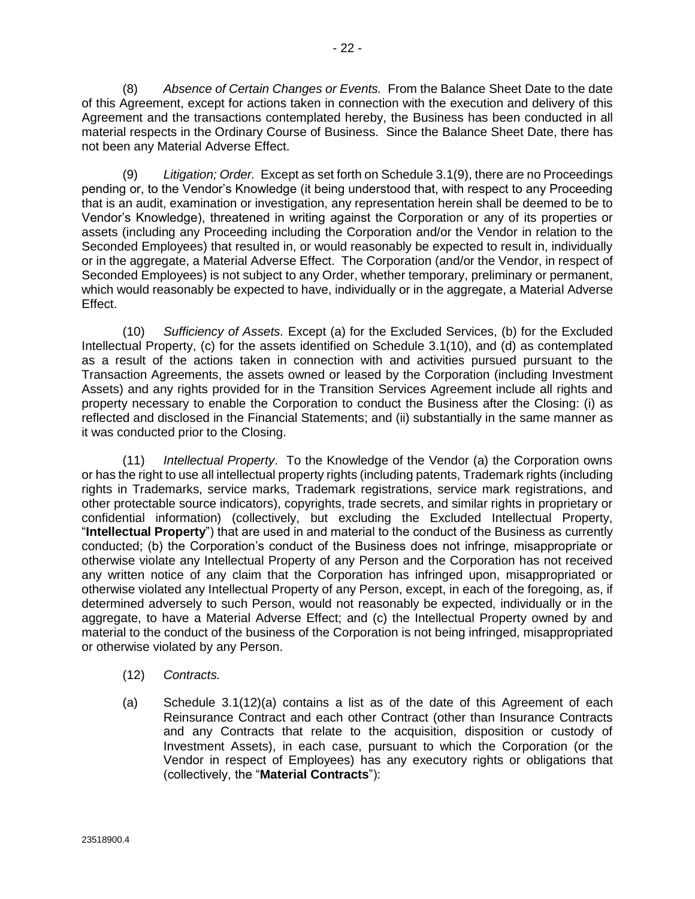<span id="page-29-0"></span>(8) *Absence of Certain Changes or Events.* From the Balance Sheet Date to the date of this Agreement, except for actions taken in connection with the execution and delivery of this Agreement and the transactions contemplated hereby, the Business has been conducted in all material respects in the Ordinary Course of Business. Since the Balance Sheet Date, there has not been any Material Adverse Effect.

(9) *Litigation; Order.* Except as set forth on Schedule 3.1(9), there are no Proceedings pending or, to the Vendor's Knowledge (it being understood that, with respect to any Proceeding that is an audit, examination or investigation, any representation herein shall be deemed to be to Vendor's Knowledge), threatened in writing against the Corporation or any of its properties or assets (including any Proceeding including the Corporation and/or the Vendor in relation to the Seconded Employees) that resulted in, or would reasonably be expected to result in, individually or in the aggregate, a Material Adverse Effect. The Corporation (and/or the Vendor, in respect of Seconded Employees) is not subject to any Order, whether temporary, preliminary or permanent, which would reasonably be expected to have, individually or in the aggregate, a Material Adverse Effect.

(10) *Sufficiency of Assets.* Except (a) for the Excluded Services, (b) for the Excluded Intellectual Property, (c) for the assets identified on Schedule 3.1(10), and (d) as contemplated as a result of the actions taken in connection with and activities pursued pursuant to the Transaction Agreements, the assets owned or leased by the Corporation (including Investment Assets) and any rights provided for in the Transition Services Agreement include all rights and property necessary to enable the Corporation to conduct the Business after the Closing: (i) as reflected and disclosed in the Financial Statements; and (ii) substantially in the same manner as it was conducted prior to the Closing.

(11) *Intellectual Property*. To the Knowledge of the Vendor (a) the Corporation owns or has the right to use all intellectual property rights (including patents, Trademark rights (including rights in Trademarks, service marks, Trademark registrations, service mark registrations, and other protectable source indicators), copyrights, trade secrets, and similar rights in proprietary or confidential information) (collectively, but excluding the Excluded Intellectual Property, "**Intellectual Property**") that are used in and material to the conduct of the Business as currently conducted; (b) the Corporation's conduct of the Business does not infringe, misappropriate or otherwise violate any Intellectual Property of any Person and the Corporation has not received any written notice of any claim that the Corporation has infringed upon, misappropriated or otherwise violated any Intellectual Property of any Person, except, in each of the foregoing, as, if determined adversely to such Person, would not reasonably be expected, individually or in the aggregate, to have a Material Adverse Effect; and (c) the Intellectual Property owned by and material to the conduct of the business of the Corporation is not being infringed, misappropriated or otherwise violated by any Person.

- (12) *Contracts.*
- (a) Schedule 3.1(12)(a) contains a list as of the date of this Agreement of each Reinsurance Contract and each other Contract (other than Insurance Contracts and any Contracts that relate to the acquisition, disposition or custody of Investment Assets), in each case, pursuant to which the Corporation (or the Vendor in respect of Employees) has any executory rights or obligations that (collectively, the "**Material Contracts**"):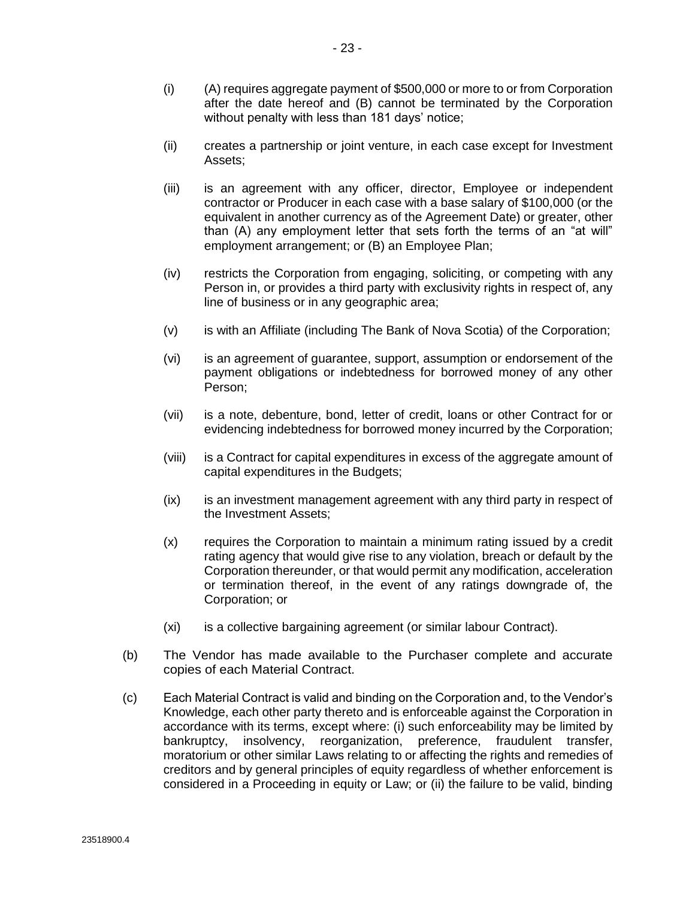- (ii) creates a partnership or joint venture, in each case except for Investment Assets;
- (iii) is an agreement with any officer, director, Employee or independent contractor or Producer in each case with a base salary of \$100,000 (or the equivalent in another currency as of the Agreement Date) or greater, other than (A) any employment letter that sets forth the terms of an "at will" employment arrangement; or (B) an Employee Plan;
- (iv) restricts the Corporation from engaging, soliciting, or competing with any Person in, or provides a third party with exclusivity rights in respect of, any line of business or in any geographic area;
- (v) is with an Affiliate (including The Bank of Nova Scotia) of the Corporation;
- (vi) is an agreement of guarantee, support, assumption or endorsement of the payment obligations or indebtedness for borrowed money of any other Person;
- (vii) is a note, debenture, bond, letter of credit, loans or other Contract for or evidencing indebtedness for borrowed money incurred by the Corporation;
- (viii) is a Contract for capital expenditures in excess of the aggregate amount of capital expenditures in the Budgets;
- (ix) is an investment management agreement with any third party in respect of the Investment Assets;
- (x) requires the Corporation to maintain a minimum rating issued by a credit rating agency that would give rise to any violation, breach or default by the Corporation thereunder, or that would permit any modification, acceleration or termination thereof, in the event of any ratings downgrade of, the Corporation; or
- (xi) is a collective bargaining agreement (or similar labour Contract).
- (b) The Vendor has made available to the Purchaser complete and accurate copies of each Material Contract.
- (c) Each Material Contract is valid and binding on the Corporation and, to the Vendor's Knowledge, each other party thereto and is enforceable against the Corporation in accordance with its terms, except where: (i) such enforceability may be limited by bankruptcy, insolvency, reorganization, preference, fraudulent transfer, moratorium or other similar Laws relating to or affecting the rights and remedies of creditors and by general principles of equity regardless of whether enforcement is considered in a Proceeding in equity or Law; or (ii) the failure to be valid, binding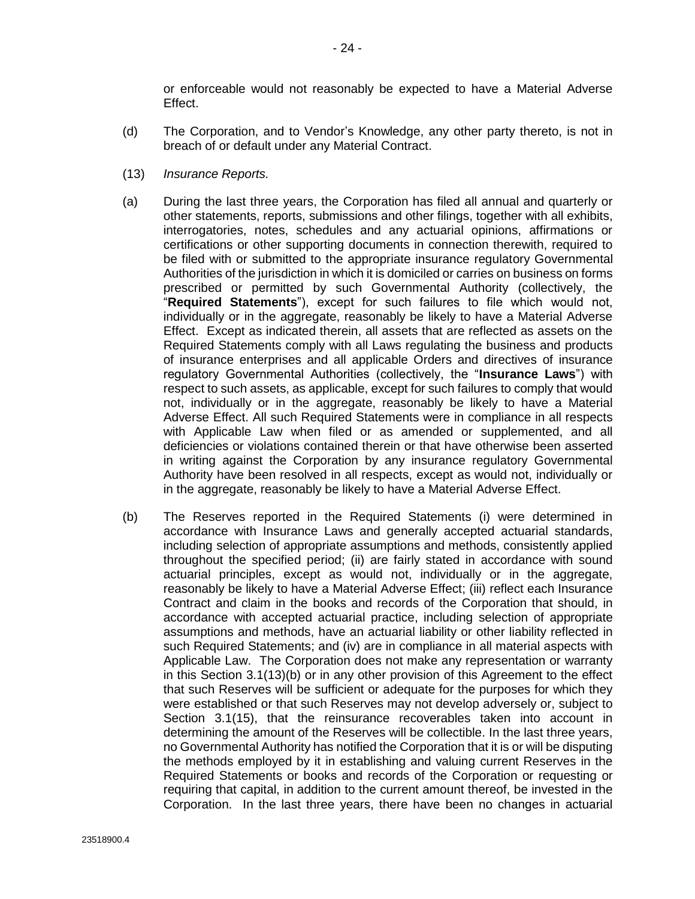or enforceable would not reasonably be expected to have a Material Adverse Effect.

- <span id="page-31-0"></span>(d) The Corporation, and to Vendor's Knowledge, any other party thereto, is not in breach of or default under any Material Contract.
- (13) *Insurance Reports.*
- (a) During the last three years, the Corporation has filed all annual and quarterly or other statements, reports, submissions and other filings, together with all exhibits, interrogatories, notes, schedules and any actuarial opinions, affirmations or certifications or other supporting documents in connection therewith, required to be filed with or submitted to the appropriate insurance regulatory Governmental Authorities of the jurisdiction in which it is domiciled or carries on business on forms prescribed or permitted by such Governmental Authority (collectively, the "**Required Statements**"), except for such failures to file which would not, individually or in the aggregate, reasonably be likely to have a Material Adverse Effect. Except as indicated therein, all assets that are reflected as assets on the Required Statements comply with all Laws regulating the business and products of insurance enterprises and all applicable Orders and directives of insurance regulatory Governmental Authorities (collectively, the "**Insurance Laws**") with respect to such assets, as applicable, except for such failures to comply that would not, individually or in the aggregate, reasonably be likely to have a Material Adverse Effect. All such Required Statements were in compliance in all respects with Applicable Law when filed or as amended or supplemented, and all deficiencies or violations contained therein or that have otherwise been asserted in writing against the Corporation by any insurance regulatory Governmental Authority have been resolved in all respects, except as would not, individually or in the aggregate, reasonably be likely to have a Material Adverse Effect.
- (b) The Reserves reported in the Required Statements (i) were determined in accordance with Insurance Laws and generally accepted actuarial standards, including selection of appropriate assumptions and methods, consistently applied throughout the specified period; (ii) are fairly stated in accordance with sound actuarial principles, except as would not, individually or in the aggregate, reasonably be likely to have a Material Adverse Effect; (iii) reflect each Insurance Contract and claim in the books and records of the Corporation that should, in accordance with accepted actuarial practice, including selection of appropriate assumptions and methods, have an actuarial liability or other liability reflected in such Required Statements; and (iv) are in compliance in all material aspects with Applicable Law. The Corporation does not make any representation or warranty in this Section 3.1(13)(b) or in any other provision of this Agreement to the effect that such Reserves will be sufficient or adequate for the purposes for which they were established or that such Reserves may not develop adversely or, subject to Section [3.1\(15\),](#page-34-0) that the reinsurance recoverables taken into account in determining the amount of the Reserves will be collectible. In the last three years, no Governmental Authority has notified the Corporation that it is or will be disputing the methods employed by it in establishing and valuing current Reserves in the Required Statements or books and records of the Corporation or requesting or requiring that capital, in addition to the current amount thereof, be invested in the Corporation. In the last three years, there have been no changes in actuarial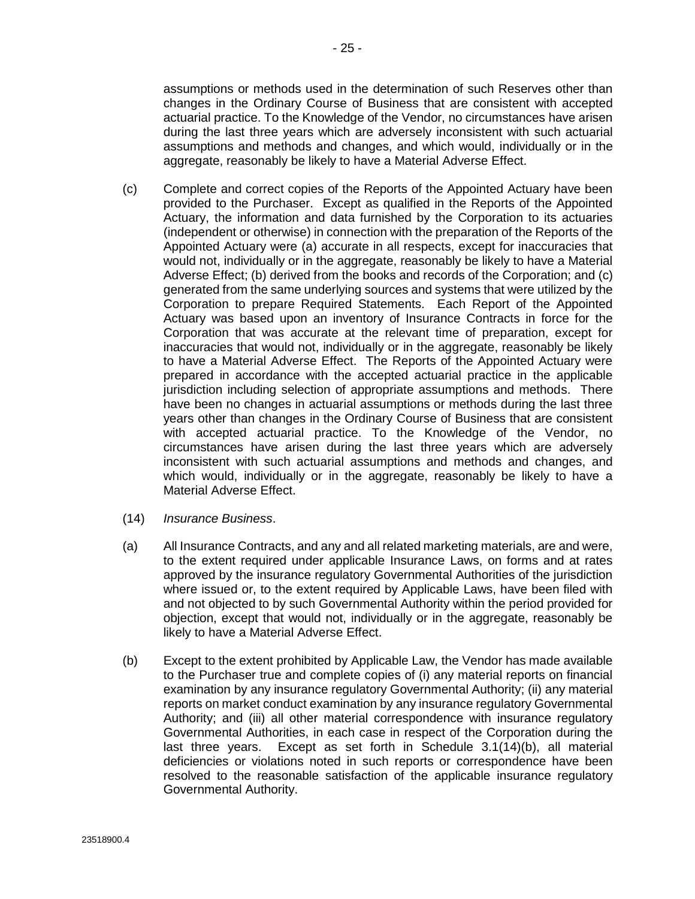<span id="page-32-0"></span>assumptions or methods used in the determination of such Reserves other than changes in the Ordinary Course of Business that are consistent with accepted actuarial practice. To the Knowledge of the Vendor, no circumstances have arisen during the last three years which are adversely inconsistent with such actuarial assumptions and methods and changes, and which would, individually or in the aggregate, reasonably be likely to have a Material Adverse Effect.

- (c) Complete and correct copies of the Reports of the Appointed Actuary have been provided to the Purchaser. Except as qualified in the Reports of the Appointed Actuary, the information and data furnished by the Corporation to its actuaries (independent or otherwise) in connection with the preparation of the Reports of the Appointed Actuary were (a) accurate in all respects, except for inaccuracies that would not, individually or in the aggregate, reasonably be likely to have a Material Adverse Effect; (b) derived from the books and records of the Corporation; and (c) generated from the same underlying sources and systems that were utilized by the Corporation to prepare Required Statements. Each Report of the Appointed Actuary was based upon an inventory of Insurance Contracts in force for the Corporation that was accurate at the relevant time of preparation, except for inaccuracies that would not, individually or in the aggregate, reasonably be likely to have a Material Adverse Effect. The Reports of the Appointed Actuary were prepared in accordance with the accepted actuarial practice in the applicable jurisdiction including selection of appropriate assumptions and methods. There have been no changes in actuarial assumptions or methods during the last three years other than changes in the Ordinary Course of Business that are consistent with accepted actuarial practice. To the Knowledge of the Vendor, no circumstances have arisen during the last three years which are adversely inconsistent with such actuarial assumptions and methods and changes, and which would, individually or in the aggregate, reasonably be likely to have a Material Adverse Effect.
- (14) *Insurance Business*.
- (a) All Insurance Contracts, and any and all related marketing materials, are and were, to the extent required under applicable Insurance Laws, on forms and at rates approved by the insurance regulatory Governmental Authorities of the jurisdiction where issued or, to the extent required by Applicable Laws, have been filed with and not objected to by such Governmental Authority within the period provided for objection, except that would not, individually or in the aggregate, reasonably be likely to have a Material Adverse Effect.
- (b) Except to the extent prohibited by Applicable Law, the Vendor has made available to the Purchaser true and complete copies of (i) any material reports on financial examination by any insurance regulatory Governmental Authority; (ii) any material reports on market conduct examination by any insurance regulatory Governmental Authority; and (iii) all other material correspondence with insurance regulatory Governmental Authorities, in each case in respect of the Corporation during the last three years. Except as set forth in Schedule 3.1(14)(b), all material deficiencies or violations noted in such reports or correspondence have been resolved to the reasonable satisfaction of the applicable insurance regulatory Governmental Authority.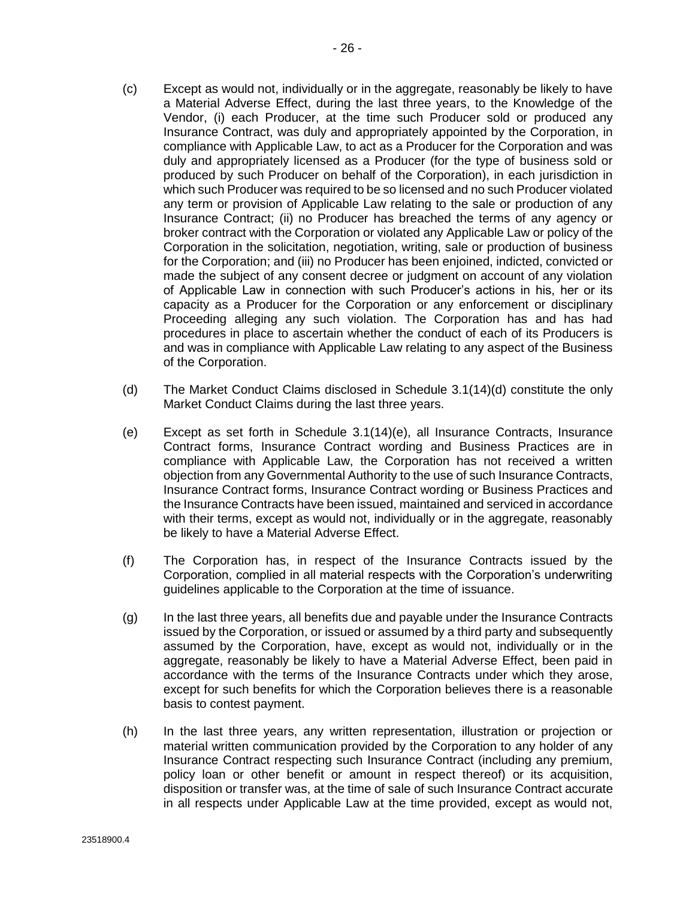- (c) Except as would not, individually or in the aggregate, reasonably be likely to have a Material Adverse Effect, during the last three years, to the Knowledge of the Vendor, (i) each Producer, at the time such Producer sold or produced any Insurance Contract, was duly and appropriately appointed by the Corporation, in compliance with Applicable Law, to act as a Producer for the Corporation and was duly and appropriately licensed as a Producer (for the type of business sold or produced by such Producer on behalf of the Corporation), in each jurisdiction in which such Producer was required to be so licensed and no such Producer violated any term or provision of Applicable Law relating to the sale or production of any Insurance Contract; (ii) no Producer has breached the terms of any agency or broker contract with the Corporation or violated any Applicable Law or policy of the Corporation in the solicitation, negotiation, writing, sale or production of business for the Corporation; and (iii) no Producer has been enjoined, indicted, convicted or made the subject of any consent decree or judgment on account of any violation of Applicable Law in connection with such Producer's actions in his, her or its capacity as a Producer for the Corporation or any enforcement or disciplinary Proceeding alleging any such violation. The Corporation has and has had procedures in place to ascertain whether the conduct of each of its Producers is and was in compliance with Applicable Law relating to any aspect of the Business of the Corporation.
- (d) The Market Conduct Claims disclosed in Schedule 3.1(14)(d) constitute the only Market Conduct Claims during the last three years.
- (e) Except as set forth in Schedule 3.1(14)(e), all Insurance Contracts, Insurance Contract forms, Insurance Contract wording and Business Practices are in compliance with Applicable Law, the Corporation has not received a written objection from any Governmental Authority to the use of such Insurance Contracts, Insurance Contract forms, Insurance Contract wording or Business Practices and the Insurance Contracts have been issued, maintained and serviced in accordance with their terms, except as would not, individually or in the aggregate, reasonably be likely to have a Material Adverse Effect.
- (f) The Corporation has, in respect of the Insurance Contracts issued by the Corporation, complied in all material respects with the Corporation's underwriting guidelines applicable to the Corporation at the time of issuance.
- (g) In the last three years, all benefits due and payable under the Insurance Contracts issued by the Corporation, or issued or assumed by a third party and subsequently assumed by the Corporation, have, except as would not, individually or in the aggregate, reasonably be likely to have a Material Adverse Effect, been paid in accordance with the terms of the Insurance Contracts under which they arose, except for such benefits for which the Corporation believes there is a reasonable basis to contest payment.
- (h) In the last three years, any written representation, illustration or projection or material written communication provided by the Corporation to any holder of any Insurance Contract respecting such Insurance Contract (including any premium, policy loan or other benefit or amount in respect thereof) or its acquisition, disposition or transfer was, at the time of sale of such Insurance Contract accurate in all respects under Applicable Law at the time provided, except as would not,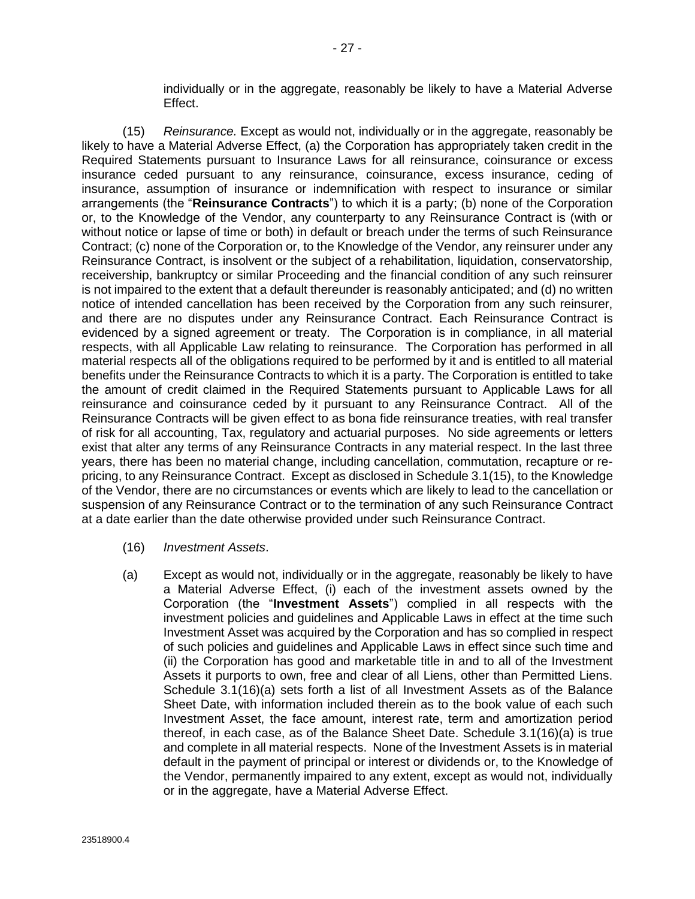individually or in the aggregate, reasonably be likely to have a Material Adverse Effect.

<span id="page-34-0"></span>(15) *Reinsurance.* Except as would not, individually or in the aggregate, reasonably be likely to have a Material Adverse Effect, (a) the Corporation has appropriately taken credit in the Required Statements pursuant to Insurance Laws for all reinsurance, coinsurance or excess insurance ceded pursuant to any reinsurance, coinsurance, excess insurance, ceding of insurance, assumption of insurance or indemnification with respect to insurance or similar arrangements (the "**Reinsurance Contracts**") to which it is a party; (b) none of the Corporation or, to the Knowledge of the Vendor, any counterparty to any Reinsurance Contract is (with or without notice or lapse of time or both) in default or breach under the terms of such Reinsurance Contract; (c) none of the Corporation or, to the Knowledge of the Vendor, any reinsurer under any Reinsurance Contract, is insolvent or the subject of a rehabilitation, liquidation, conservatorship, receivership, bankruptcy or similar Proceeding and the financial condition of any such reinsurer is not impaired to the extent that a default thereunder is reasonably anticipated; and (d) no written notice of intended cancellation has been received by the Corporation from any such reinsurer, and there are no disputes under any Reinsurance Contract. Each Reinsurance Contract is evidenced by a signed agreement or treaty. The Corporation is in compliance, in all material respects, with all Applicable Law relating to reinsurance. The Corporation has performed in all material respects all of the obligations required to be performed by it and is entitled to all material benefits under the Reinsurance Contracts to which it is a party. The Corporation is entitled to take the amount of credit claimed in the Required Statements pursuant to Applicable Laws for all reinsurance and coinsurance ceded by it pursuant to any Reinsurance Contract. All of the Reinsurance Contracts will be given effect to as bona fide reinsurance treaties, with real transfer of risk for all accounting, Tax, regulatory and actuarial purposes. No side agreements or letters exist that alter any terms of any Reinsurance Contracts in any material respect. In the last three years, there has been no material change, including cancellation, commutation, recapture or repricing, to any Reinsurance Contract. Except as disclosed in Schedule 3.1(15), to the Knowledge of the Vendor, there are no circumstances or events which are likely to lead to the cancellation or suspension of any Reinsurance Contract or to the termination of any such Reinsurance Contract at a date earlier than the date otherwise provided under such Reinsurance Contract.

- (16) *Investment Assets*.
- (a) Except as would not, individually or in the aggregate, reasonably be likely to have a Material Adverse Effect, (i) each of the investment assets owned by the Corporation (the "**Investment Assets**") complied in all respects with the investment policies and guidelines and Applicable Laws in effect at the time such Investment Asset was acquired by the Corporation and has so complied in respect of such policies and guidelines and Applicable Laws in effect since such time and (ii) the Corporation has good and marketable title in and to all of the Investment Assets it purports to own, free and clear of all Liens, other than Permitted Liens. Schedule 3.1(16)(a) sets forth a list of all Investment Assets as of the Balance Sheet Date, with information included therein as to the book value of each such Investment Asset, the face amount, interest rate, term and amortization period thereof, in each case, as of the Balance Sheet Date. Schedule 3.1(16)(a) is true and complete in all material respects. None of the Investment Assets is in material default in the payment of principal or interest or dividends or, to the Knowledge of the Vendor, permanently impaired to any extent, except as would not, individually or in the aggregate, have a Material Adverse Effect.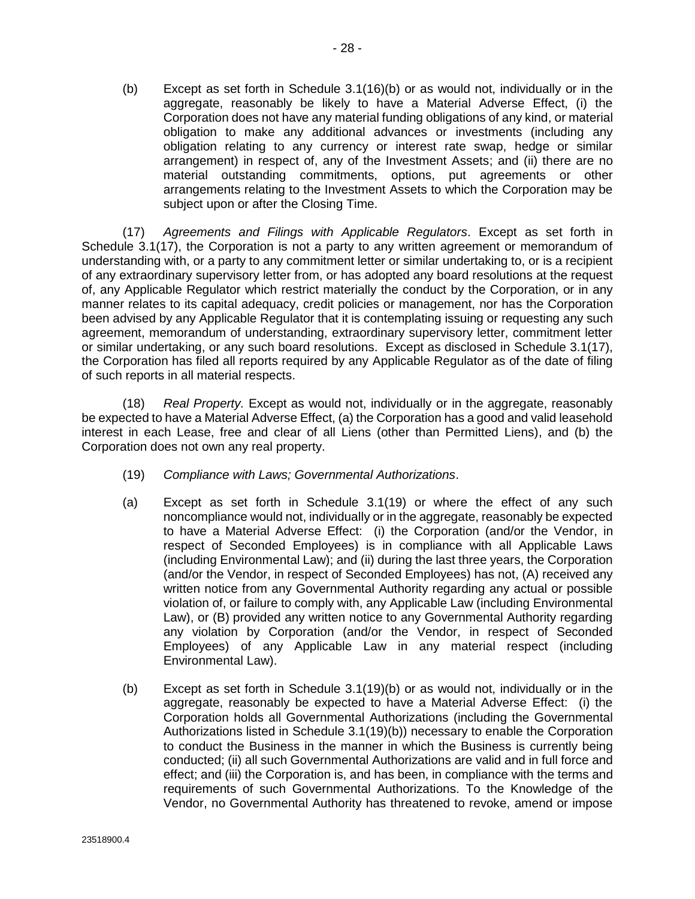<span id="page-35-0"></span>(b) Except as set forth in Schedule 3.1(16)(b) or as would not, individually or in the aggregate, reasonably be likely to have a Material Adverse Effect, (i) the Corporation does not have any material funding obligations of any kind, or material obligation to make any additional advances or investments (including any obligation relating to any currency or interest rate swap, hedge or similar arrangement) in respect of, any of the Investment Assets; and (ii) there are no material outstanding commitments, options, put agreements or other arrangements relating to the Investment Assets to which the Corporation may be subject upon or after the Closing Time.

(17) *Agreements and Filings with Applicable Regulators*. Except as set forth in Schedule 3.1(17), the Corporation is not a party to any written agreement or memorandum of understanding with, or a party to any commitment letter or similar undertaking to, or is a recipient of any extraordinary supervisory letter from, or has adopted any board resolutions at the request of, any Applicable Regulator which restrict materially the conduct by the Corporation, or in any manner relates to its capital adequacy, credit policies or management, nor has the Corporation been advised by any Applicable Regulator that it is contemplating issuing or requesting any such agreement, memorandum of understanding, extraordinary supervisory letter, commitment letter or similar undertaking, or any such board resolutions. Except as disclosed in Schedule 3.1(17), the Corporation has filed all reports required by any Applicable Regulator as of the date of filing of such reports in all material respects.

(18) *Real Property.* Except as would not, individually or in the aggregate, reasonably be expected to have a Material Adverse Effect, (a) the Corporation has a good and valid leasehold interest in each Lease, free and clear of all Liens (other than Permitted Liens), and (b) the Corporation does not own any real property.

- (19) *Compliance with Laws; Governmental Authorizations*.
- (a) Except as set forth in Schedule 3.1(19) or where the effect of any such noncompliance would not, individually or in the aggregate, reasonably be expected to have a Material Adverse Effect: (i) the Corporation (and/or the Vendor, in respect of Seconded Employees) is in compliance with all Applicable Laws (including Environmental Law); and (ii) during the last three years, the Corporation (and/or the Vendor, in respect of Seconded Employees) has not, (A) received any written notice from any Governmental Authority regarding any actual or possible violation of, or failure to comply with, any Applicable Law (including Environmental Law), or (B) provided any written notice to any Governmental Authority regarding any violation by Corporation (and/or the Vendor, in respect of Seconded Employees) of any Applicable Law in any material respect (including Environmental Law).
- (b) Except as set forth in Schedule 3.1(19)(b) or as would not, individually or in the aggregate, reasonably be expected to have a Material Adverse Effect: (i) the Corporation holds all Governmental Authorizations (including the Governmental Authorizations listed in Schedule 3.1(19)(b)) necessary to enable the Corporation to conduct the Business in the manner in which the Business is currently being conducted; (ii) all such Governmental Authorizations are valid and in full force and effect; and (iii) the Corporation is, and has been, in compliance with the terms and requirements of such Governmental Authorizations. To the Knowledge of the Vendor, no Governmental Authority has threatened to revoke, amend or impose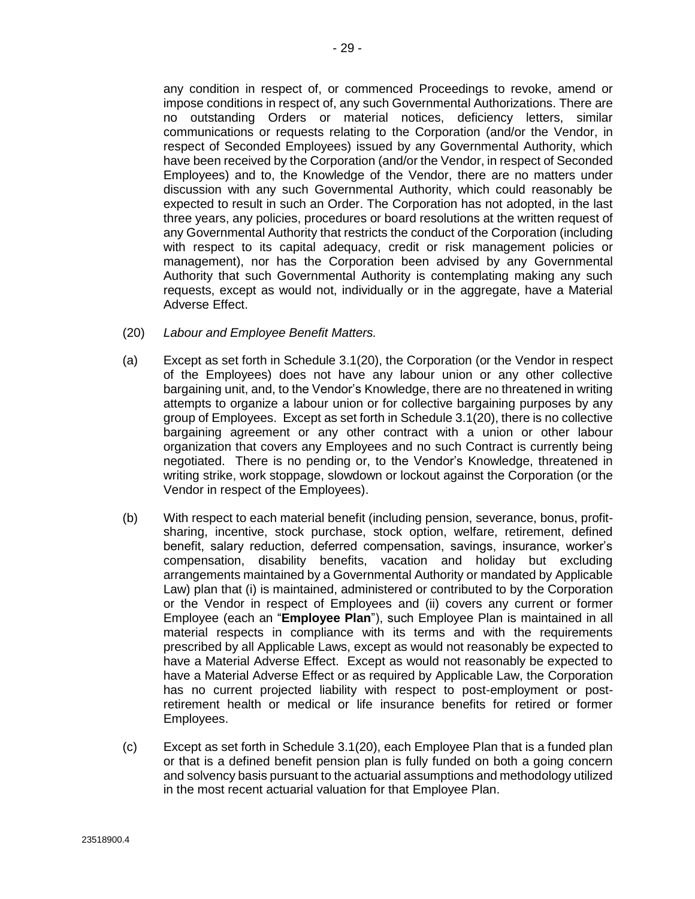any condition in respect of, or commenced Proceedings to revoke, amend or impose conditions in respect of, any such Governmental Authorizations. There are no outstanding Orders or material notices, deficiency letters, similar communications or requests relating to the Corporation (and/or the Vendor, in respect of Seconded Employees) issued by any Governmental Authority, which have been received by the Corporation (and/or the Vendor, in respect of Seconded Employees) and to, the Knowledge of the Vendor, there are no matters under discussion with any such Governmental Authority, which could reasonably be expected to result in such an Order. The Corporation has not adopted, in the last three years, any policies, procedures or board resolutions at the written request of any Governmental Authority that restricts the conduct of the Corporation (including with respect to its capital adequacy, credit or risk management policies or management), nor has the Corporation been advised by any Governmental Authority that such Governmental Authority is contemplating making any such requests, except as would not, individually or in the aggregate, have a Material Adverse Effect.

- (20) *Labour and Employee Benefit Matters.*
- (a) Except as set forth in Schedule 3.1(20), the Corporation (or the Vendor in respect of the Employees) does not have any labour union or any other collective bargaining unit, and, to the Vendor's Knowledge, there are no threatened in writing attempts to organize a labour union or for collective bargaining purposes by any group of Employees. Except as set forth in Schedule 3.1(20), there is no collective bargaining agreement or any other contract with a union or other labour organization that covers any Employees and no such Contract is currently being negotiated. There is no pending or, to the Vendor's Knowledge, threatened in writing strike, work stoppage, slowdown or lockout against the Corporation (or the Vendor in respect of the Employees).
- (b) With respect to each material benefit (including pension, severance, bonus, profitsharing, incentive, stock purchase, stock option, welfare, retirement, defined benefit, salary reduction, deferred compensation, savings, insurance, worker's compensation, disability benefits, vacation and holiday but excluding arrangements maintained by a Governmental Authority or mandated by Applicable Law) plan that (i) is maintained, administered or contributed to by the Corporation or the Vendor in respect of Employees and (ii) covers any current or former Employee (each an "**Employee Plan**"), such Employee Plan is maintained in all material respects in compliance with its terms and with the requirements prescribed by all Applicable Laws, except as would not reasonably be expected to have a Material Adverse Effect. Except as would not reasonably be expected to have a Material Adverse Effect or as required by Applicable Law, the Corporation has no current projected liability with respect to post-employment or postretirement health or medical or life insurance benefits for retired or former Employees.
- (c) Except as set forth in Schedule 3.1(20), each Employee Plan that is a funded plan or that is a defined benefit pension plan is fully funded on both a going concern and solvency basis pursuant to the actuarial assumptions and methodology utilized in the most recent actuarial valuation for that Employee Plan.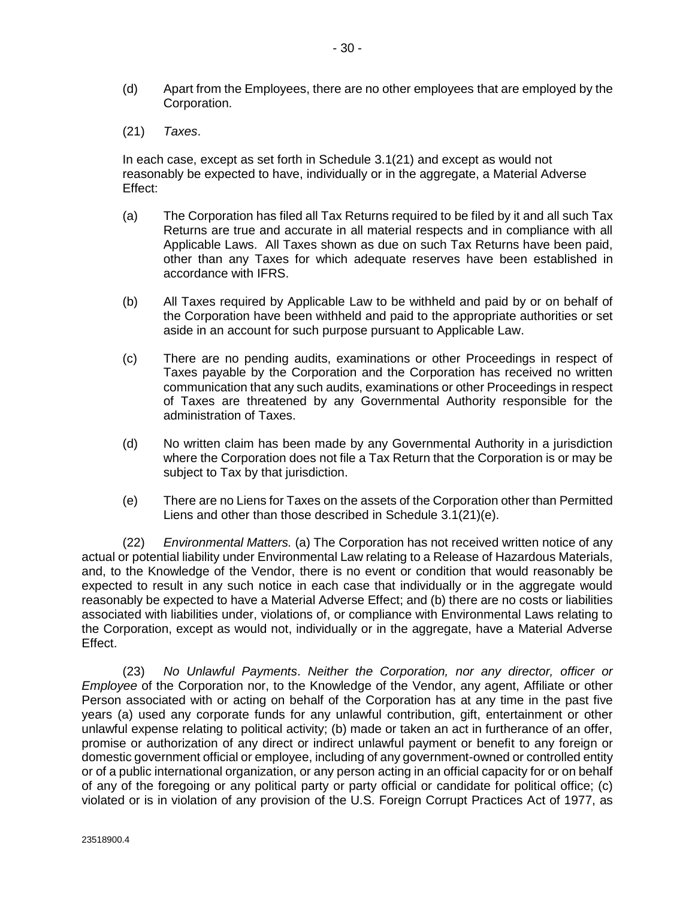- <span id="page-37-0"></span>(d) Apart from the Employees, there are no other employees that are employed by the Corporation.
- (21) *Taxes*.

In each case, except as set forth in Schedule 3.1(21) and except as would not reasonably be expected to have, individually or in the aggregate, a Material Adverse Effect:

- (a) The Corporation has filed all Tax Returns required to be filed by it and all such Tax Returns are true and accurate in all material respects and in compliance with all Applicable Laws. All Taxes shown as due on such Tax Returns have been paid, other than any Taxes for which adequate reserves have been established in accordance with IFRS.
- (b) All Taxes required by Applicable Law to be withheld and paid by or on behalf of the Corporation have been withheld and paid to the appropriate authorities or set aside in an account for such purpose pursuant to Applicable Law.
- (c) There are no pending audits, examinations or other Proceedings in respect of Taxes payable by the Corporation and the Corporation has received no written communication that any such audits, examinations or other Proceedings in respect of Taxes are threatened by any Governmental Authority responsible for the administration of Taxes.
- (d) No written claim has been made by any Governmental Authority in a jurisdiction where the Corporation does not file a Tax Return that the Corporation is or may be subject to Tax by that jurisdiction.
- (e) There are no Liens for Taxes on the assets of the Corporation other than Permitted Liens and other than those described in Schedule 3.1(21)(e).

(22) *Environmental Matters.* (a) The Corporation has not received written notice of any actual or potential liability under Environmental Law relating to a Release of Hazardous Materials, and, to the Knowledge of the Vendor, there is no event or condition that would reasonably be expected to result in any such notice in each case that individually or in the aggregate would reasonably be expected to have a Material Adverse Effect; and (b) there are no costs or liabilities associated with liabilities under, violations of, or compliance with Environmental Laws relating to the Corporation, except as would not, individually or in the aggregate, have a Material Adverse Effect.

(23) *No Unlawful Payments*. *Neither the Corporation, nor any director, officer or Employee* of the Corporation nor, to the Knowledge of the Vendor, any agent, Affiliate or other Person associated with or acting on behalf of the Corporation has at any time in the past five years (a) used any corporate funds for any unlawful contribution, gift, entertainment or other unlawful expense relating to political activity; (b) made or taken an act in furtherance of an offer, promise or authorization of any direct or indirect unlawful payment or benefit to any foreign or domestic government official or employee, including of any government-owned or controlled entity or of a public international organization, or any person acting in an official capacity for or on behalf of any of the foregoing or any political party or party official or candidate for political office; (c) violated or is in violation of any provision of the U.S. Foreign Corrupt Practices Act of 1977, as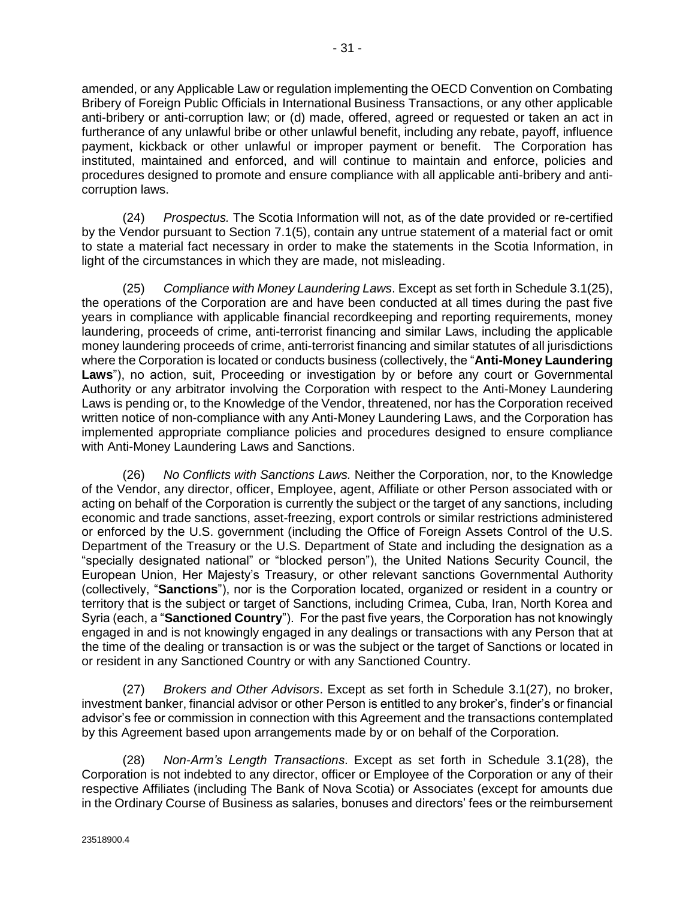<span id="page-38-0"></span>amended, or any Applicable Law or regulation implementing the OECD Convention on Combating Bribery of Foreign Public Officials in International Business Transactions, or any other applicable anti-bribery or anti-corruption law; or (d) made, offered, agreed or requested or taken an act in furtherance of any unlawful bribe or other unlawful benefit, including any rebate, payoff, influence payment, kickback or other unlawful or improper payment or benefit. The Corporation has instituted, maintained and enforced, and will continue to maintain and enforce, policies and procedures designed to promote and ensure compliance with all applicable anti-bribery and anticorruption laws.

(24) *Prospectus.* The Scotia Information will not, as of the date provided or re-certified by the Vendor pursuant to Section [7.1\(5\),](#page-55-0) contain any untrue statement of a material fact or omit to state a material fact necessary in order to make the statements in the Scotia Information, in light of the circumstances in which they are made, not misleading.

(25) *Compliance with Money Laundering Laws*. Except as set forth in Schedule 3.1(25), the operations of the Corporation are and have been conducted at all times during the past five years in compliance with applicable financial recordkeeping and reporting requirements, money laundering, proceeds of crime, anti-terrorist financing and similar Laws, including the applicable money laundering proceeds of crime, anti-terrorist financing and similar statutes of all jurisdictions where the Corporation is located or conducts business (collectively, the "**Anti-Money Laundering Laws**"), no action, suit, Proceeding or investigation by or before any court or Governmental Authority or any arbitrator involving the Corporation with respect to the Anti-Money Laundering Laws is pending or, to the Knowledge of the Vendor, threatened, nor has the Corporation received written notice of non-compliance with any Anti-Money Laundering Laws, and the Corporation has implemented appropriate compliance policies and procedures designed to ensure compliance with Anti-Money Laundering Laws and Sanctions.

(26) *No Conflicts with Sanctions Laws.* Neither the Corporation, nor, to the Knowledge of the Vendor, any director, officer, Employee, agent, Affiliate or other Person associated with or acting on behalf of the Corporation is currently the subject or the target of any sanctions, including economic and trade sanctions, asset-freezing, export controls or similar restrictions administered or enforced by the U.S. government (including the Office of Foreign Assets Control of the U.S. Department of the Treasury or the U.S. Department of State and including the designation as a "specially designated national" or "blocked person"), the United Nations Security Council, the European Union, Her Majesty's Treasury, or other relevant sanctions Governmental Authority (collectively, "**Sanctions**"), nor is the Corporation located, organized or resident in a country or territory that is the subject or target of Sanctions, including Crimea, Cuba, Iran, North Korea and Syria (each, a "**Sanctioned Country**"). For the past five years, the Corporation has not knowingly engaged in and is not knowingly engaged in any dealings or transactions with any Person that at the time of the dealing or transaction is or was the subject or the target of Sanctions or located in or resident in any Sanctioned Country or with any Sanctioned Country.

(27) *Brokers and Other Advisors*. Except as set forth in Schedule 3.1(27), no broker, investment banker, financial advisor or other Person is entitled to any broker's, finder's or financial advisor's fee or commission in connection with this Agreement and the transactions contemplated by this Agreement based upon arrangements made by or on behalf of the Corporation.

(28) *Non-Arm's Length Transactions*. Except as set forth in Schedule 3.1(28), the Corporation is not indebted to any director, officer or Employee of the Corporation or any of their respective Affiliates (including The Bank of Nova Scotia) or Associates (except for amounts due in the Ordinary Course of Business as salaries, bonuses and directors' fees or the reimbursement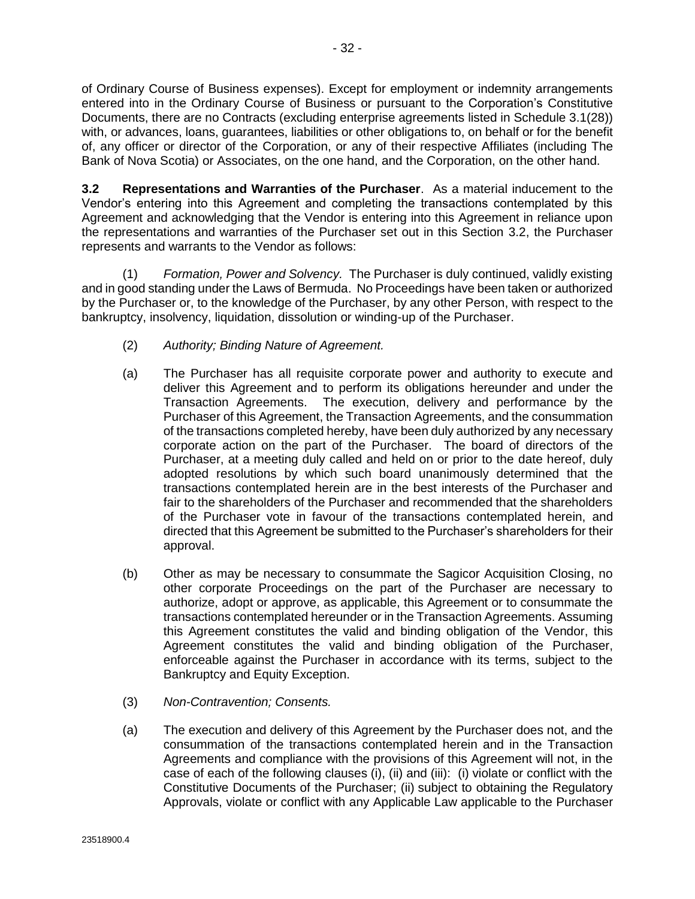of Ordinary Course of Business expenses). Except for employment or indemnity arrangements entered into in the Ordinary Course of Business or pursuant to the Corporation's Constitutive Documents, there are no Contracts (excluding enterprise agreements listed in Schedule [3.1\(28\)\)](#page-38-0) with, or advances, loans, guarantees, liabilities or other obligations to, on behalf or for the benefit of, any officer or director of the Corporation, or any of their respective Affiliates (including The Bank of Nova Scotia) or Associates, on the one hand, and the Corporation, on the other hand.

**3.2 Representations and Warranties of the Purchaser**. As a material inducement to the Vendor's entering into this Agreement and completing the transactions contemplated by this Agreement and acknowledging that the Vendor is entering into this Agreement in reliance upon the representations and warranties of the Purchaser set out in this Section 3.2, the Purchaser represents and warrants to the Vendor as follows:

(1) *Formation, Power and Solvency.* The Purchaser is duly continued, validly existing and in good standing under the Laws of Bermuda. No Proceedings have been taken or authorized by the Purchaser or, to the knowledge of the Purchaser, by any other Person, with respect to the bankruptcy, insolvency, liquidation, dissolution or winding-up of the Purchaser.

- (2) *Authority; Binding Nature of Agreement.*
- (a) The Purchaser has all requisite corporate power and authority to execute and deliver this Agreement and to perform its obligations hereunder and under the Transaction Agreements. The execution, delivery and performance by the Purchaser of this Agreement, the Transaction Agreements, and the consummation of the transactions completed hereby, have been duly authorized by any necessary corporate action on the part of the Purchaser. The board of directors of the Purchaser, at a meeting duly called and held on or prior to the date hereof, duly adopted resolutions by which such board unanimously determined that the transactions contemplated herein are in the best interests of the Purchaser and fair to the shareholders of the Purchaser and recommended that the shareholders of the Purchaser vote in favour of the transactions contemplated herein, and directed that this Agreement be submitted to the Purchaser's shareholders for their approval.
- (b) Other as may be necessary to consummate the Sagicor Acquisition Closing, no other corporate Proceedings on the part of the Purchaser are necessary to authorize, adopt or approve, as applicable, this Agreement or to consummate the transactions contemplated hereunder or in the Transaction Agreements. Assuming this Agreement constitutes the valid and binding obligation of the Vendor, this Agreement constitutes the valid and binding obligation of the Purchaser, enforceable against the Purchaser in accordance with its terms, subject to the Bankruptcy and Equity Exception.
- (3) *Non-Contravention; Consents.*
- (a) The execution and delivery of this Agreement by the Purchaser does not, and the consummation of the transactions contemplated herein and in the Transaction Agreements and compliance with the provisions of this Agreement will not, in the case of each of the following clauses (i), (ii) and (iii): (i) violate or conflict with the Constitutive Documents of the Purchaser; (ii) subject to obtaining the Regulatory Approvals, violate or conflict with any Applicable Law applicable to the Purchaser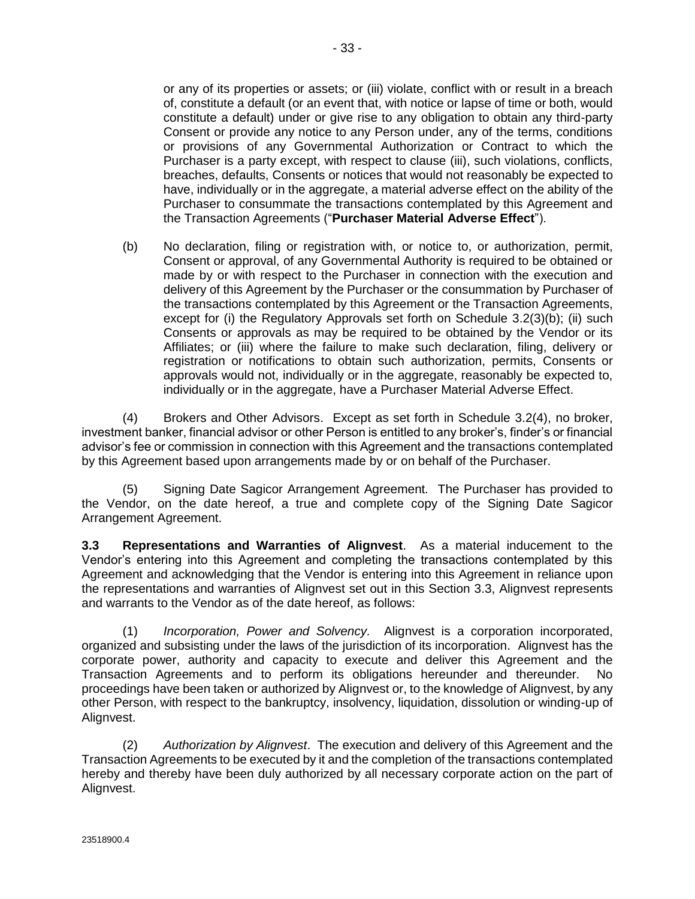- 33 -

<span id="page-40-0"></span>or any of its properties or assets; or (iii) violate, conflict with or result in a breach of, constitute a default (or an event that, with notice or lapse of time or both, would constitute a default) under or give rise to any obligation to obtain any third-party Consent or provide any notice to any Person under, any of the terms, conditions or provisions of any Governmental Authorization or Contract to which the Purchaser is a party except, with respect to clause (iii), such violations, conflicts, breaches, defaults, Consents or notices that would not reasonably be expected to have, individually or in the aggregate, a material adverse effect on the ability of the Purchaser to consummate the transactions contemplated by this Agreement and the Transaction Agreements ("**Purchaser Material Adverse Effect**").

(b) No declaration, filing or registration with, or notice to, or authorization, permit, Consent or approval, of any Governmental Authority is required to be obtained or made by or with respect to the Purchaser in connection with the execution and delivery of this Agreement by the Purchaser or the consummation by Purchaser of the transactions contemplated by this Agreement or the Transaction Agreements, except for (i) the Regulatory Approvals set forth on Schedule 3.2(3)(b); (ii) such Consents or approvals as may be required to be obtained by the Vendor or its Affiliates; or (iii) where the failure to make such declaration, filing, delivery or registration or notifications to obtain such authorization, permits, Consents or approvals would not, individually or in the aggregate, reasonably be expected to, individually or in the aggregate, have a Purchaser Material Adverse Effect.

(4) Brokers and Other Advisors. Except as set forth in Schedule 3.2(4), no broker, investment banker, financial advisor or other Person is entitled to any broker's, finder's or financial advisor's fee or commission in connection with this Agreement and the transactions contemplated by this Agreement based upon arrangements made by or on behalf of the Purchaser.

(5) Signing Date Sagicor Arrangement Agreement*.* The Purchaser has provided to the Vendor, on the date hereof, a true and complete copy of the Signing Date Sagicor Arrangement Agreement.

**3.3 Representations and Warranties of Alignvest**. As a material inducement to the Vendor's entering into this Agreement and completing the transactions contemplated by this Agreement and acknowledging that the Vendor is entering into this Agreement in reliance upon the representations and warranties of Alignvest set out in this Section 3.3, Alignvest represents and warrants to the Vendor as of the date hereof, as follows:

(1) *Incorporation, Power and Solvency.* Alignvest is a corporation incorporated, organized and subsisting under the laws of the jurisdiction of its incorporation. Alignvest has the corporate power, authority and capacity to execute and deliver this Agreement and the Transaction Agreements and to perform its obligations hereunder and thereunder. No proceedings have been taken or authorized by Alignvest or, to the knowledge of Alignvest, by any other Person, with respect to the bankruptcy, insolvency, liquidation, dissolution or winding-up of Alignvest.

(2) *Authorization by Alignvest*. The execution and delivery of this Agreement and the Transaction Agreements to be executed by it and the completion of the transactions contemplated hereby and thereby have been duly authorized by all necessary corporate action on the part of Alignvest.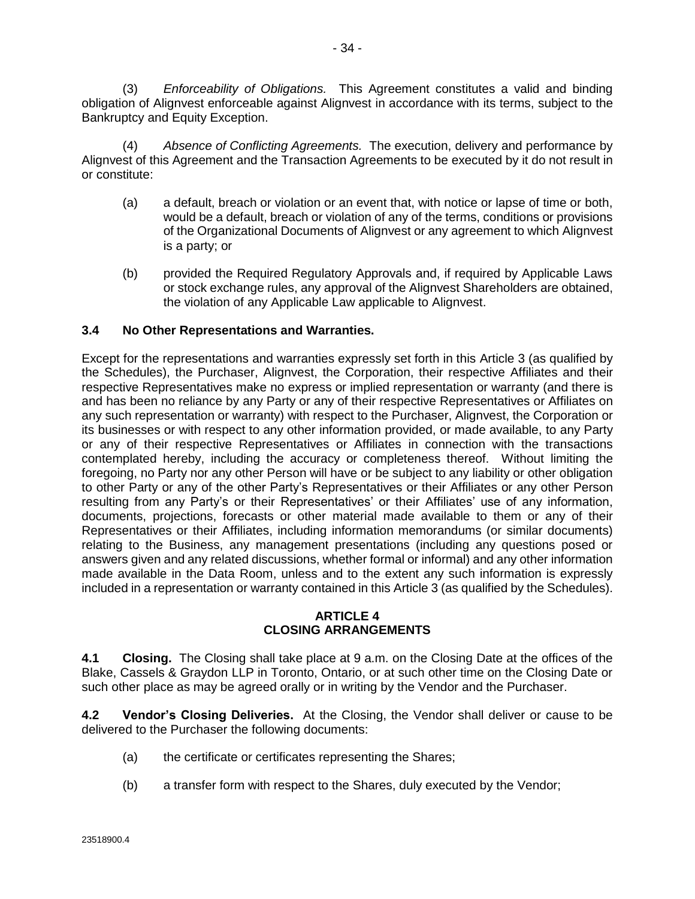<span id="page-41-0"></span>(3) *Enforceability of Obligations.* This Agreement constitutes a valid and binding obligation of Alignvest enforceable against Alignvest in accordance with its terms, subject to the Bankruptcy and Equity Exception.

(4) *Absence of Conflicting Agreements.* The execution, delivery and performance by Alignvest of this Agreement and the Transaction Agreements to be executed by it do not result in or constitute:

- (a) a default, breach or violation or an event that, with notice or lapse of time or both, would be a default, breach or violation of any of the terms, conditions or provisions of the Organizational Documents of Alignvest or any agreement to which Alignvest is a party; or
- (b) provided the Required Regulatory Approvals and, if required by Applicable Laws or stock exchange rules, any approval of the Alignvest Shareholders are obtained, the violation of any Applicable Law applicable to Alignvest.

## **3.4 No Other Representations and Warranties.**

Except for the representations and warranties expressly set forth in this [Article 3](#page-25-0) (as qualified by the Schedules), the Purchaser, Alignvest, the Corporation, their respective Affiliates and their respective Representatives make no express or implied representation or warranty (and there is and has been no reliance by any Party or any of their respective Representatives or Affiliates on any such representation or warranty) with respect to the Purchaser, Alignvest, the Corporation or its businesses or with respect to any other information provided, or made available, to any Party or any of their respective Representatives or Affiliates in connection with the transactions contemplated hereby, including the accuracy or completeness thereof. Without limiting the foregoing, no Party nor any other Person will have or be subject to any liability or other obligation to other Party or any of the other Party's Representatives or their Affiliates or any other Person resulting from any Party's or their Representatives' or their Affiliates' use of any information, documents, projections, forecasts or other material made available to them or any of their Representatives or their Affiliates, including information memorandums (or similar documents) relating to the Business, any management presentations (including any questions posed or answers given and any related discussions, whether formal or informal) and any other information made available in the Data Room, unless and to the extent any such information is expressly included in a representation or warranty contained in thi[s Article 3](#page-25-0) (as qualified by the Schedules).

#### **ARTICLE 4 CLOSING ARRANGEMENTS**

**4.1 Closing.** The Closing shall take place at 9 a.m. on the Closing Date at the offices of the Blake, Cassels & Graydon LLP in Toronto, Ontario, or at such other time on the Closing Date or such other place as may be agreed orally or in writing by the Vendor and the Purchaser.

**4.2 Vendor's Closing Deliveries.** At the Closing, the Vendor shall deliver or cause to be delivered to the Purchaser the following documents:

- (a) the certificate or certificates representing the Shares;
- (b) a transfer form with respect to the Shares, duly executed by the Vendor;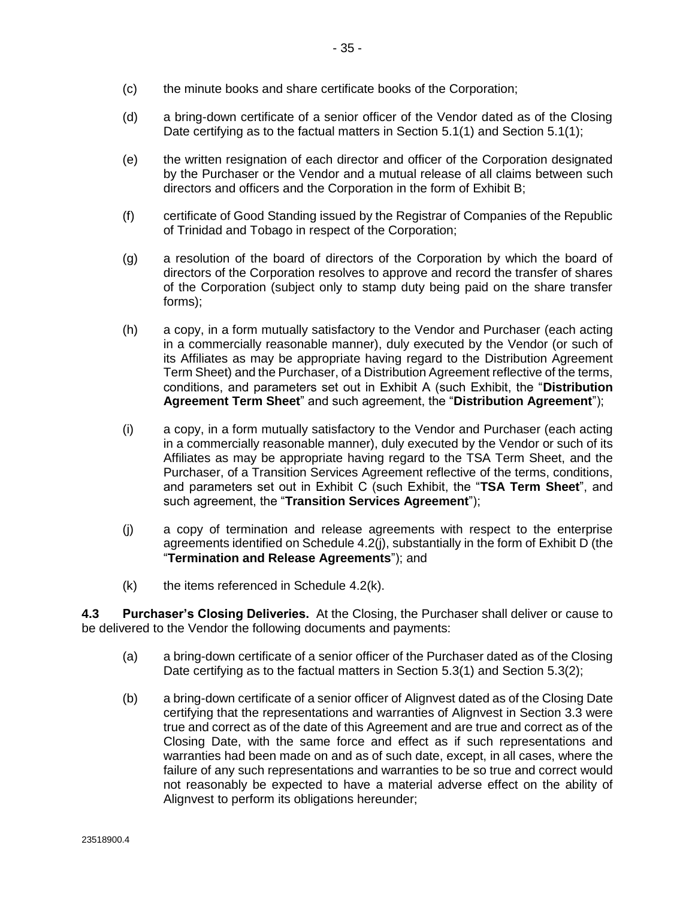- <span id="page-42-0"></span>(c) the minute books and share certificate books of the Corporation;
- (d) a bring-down certificate of a senior officer of the Vendor dated as of the Closing Date certifying as to the factual matters in Sectio[n 5.1\(1\)](#page-43-0) and Sectio[n 5.1\(1\);](#page-43-0)
- (e) the written resignation of each director and officer of the Corporation designated by the Purchaser or the Vendor and a mutual release of all claims between such directors and officers and the Corporation in the form of Exhibit B;
- (f) certificate of Good Standing issued by the Registrar of Companies of the Republic of Trinidad and Tobago in respect of the Corporation;
- (g) a resolution of the board of directors of the Corporation by which the board of directors of the Corporation resolves to approve and record the transfer of shares of the Corporation (subject only to stamp duty being paid on the share transfer forms);
- (h) a copy, in a form mutually satisfactory to the Vendor and Purchaser (each acting in a commercially reasonable manner), duly executed by the Vendor (or such of its Affiliates as may be appropriate having regard to the Distribution Agreement Term Sheet) and the Purchaser, of a Distribution Agreement reflective of the terms, conditions, and parameters set out in Exhibit A (such Exhibit, the "**Distribution Agreement Term Sheet**" and such agreement, the "**Distribution Agreement**");
- (i) a copy, in a form mutually satisfactory to the Vendor and Purchaser (each acting in a commercially reasonable manner), duly executed by the Vendor or such of its Affiliates as may be appropriate having regard to the TSA Term Sheet, and the Purchaser, of a Transition Services Agreement reflective of the terms, conditions, and parameters set out in Exhibit C (such Exhibit, the "**TSA Term Sheet**", and such agreement, the "**Transition Services Agreement**");
- (j) a copy of termination and release agreements with respect to the enterprise agreements identified on Schedule 4.2(j), substantially in the form of Exhibit D (the "**Termination and Release Agreements**"); and
- $(k)$  the items referenced in Schedule 4.2 $(k)$ .

**4.3 Purchaser's Closing Deliveries.** At the Closing, the Purchaser shall deliver or cause to be delivered to the Vendor the following documents and payments:

- (a) a bring-down certificate of a senior officer of the Purchaser dated as of the Closing Date certifying as to the factual matters in Sectio[n 5.3\(1\)](#page-45-0) and Sectio[n 5.3\(2\);](#page-45-0)
- (b) a bring-down certificate of a senior officer of Alignvest dated as of the Closing Date certifying that the representations and warranties of Alignvest in Section [3.3](#page-40-0) were true and correct as of the date of this Agreement and are true and correct as of the Closing Date, with the same force and effect as if such representations and warranties had been made on and as of such date, except, in all cases, where the failure of any such representations and warranties to be so true and correct would not reasonably be expected to have a material adverse effect on the ability of Alignvest to perform its obligations hereunder;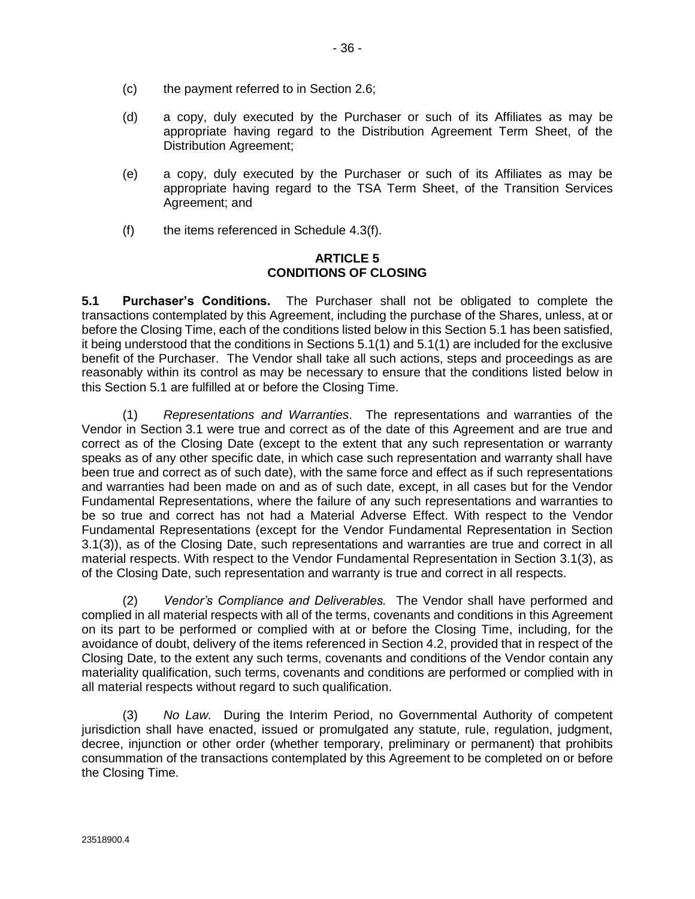- <span id="page-43-0"></span>(c) the payment referred to in Section [2.6;](#page-24-0)
- (d) a copy, duly executed by the Purchaser or such of its Affiliates as may be appropriate having regard to the Distribution Agreement Term Sheet, of the Distribution Agreement;
- (e) a copy, duly executed by the Purchaser or such of its Affiliates as may be appropriate having regard to the TSA Term Sheet, of the Transition Services Agreement; and
- (f) the items referenced in Schedule 4.3(f).

#### **ARTICLE 5 CONDITIONS OF CLOSING**

**5.1 Purchaser's Conditions.** The Purchaser shall not be obligated to complete the transactions contemplated by this Agreement, including the purchase of the Shares, unless, at or before the Closing Time, each of the conditions listed below in this Section 5.1 has been satisfied, it being understood that the conditions in Sections 5.1(1) and 5.1(1) are included for the exclusive benefit of the Purchaser. The Vendor shall take all such actions, steps and proceedings as are reasonably within its control as may be necessary to ensure that the conditions listed below in this Section 5.1 are fulfilled at or before the Closing Time.

(1) *Representations and Warranties*. The representations and warranties of the Vendor in Section [3.1](#page-25-0) were true and correct as of the date of this Agreement and are true and correct as of the Closing Date (except to the extent that any such representation or warranty speaks as of any other specific date, in which case such representation and warranty shall have been true and correct as of such date), with the same force and effect as if such representations and warranties had been made on and as of such date, except, in all cases but for the Vendor Fundamental Representations, where the failure of any such representations and warranties to be so true and correct has not had a Material Adverse Effect. With respect to the Vendor Fundamental Representations (except for the Vendor Fundamental Representation in Section [3.1\(3\)\)](#page-26-0), as of the Closing Date, such representations and warranties are true and correct in all material respects. With respect to the Vendor Fundamental Representation in Section [3.1\(3\),](#page-26-0) as of the Closing Date, such representation and warranty is true and correct in all respects.

(2) *Vendor's Compliance and Deliverables.* The Vendor shall have performed and complied in all material respects with all of the terms, covenants and conditions in this Agreement on its part to be performed or complied with at or before the Closing Time, including, for the avoidance of doubt, delivery of the items referenced in Sectio[n 4.2,](#page-41-0) provided that in respect of the Closing Date, to the extent any such terms, covenants and conditions of the Vendor contain any materiality qualification, such terms, covenants and conditions are performed or complied with in all material respects without regard to such qualification.

(3) *No Law.* During the Interim Period, no Governmental Authority of competent jurisdiction shall have enacted, issued or promulgated any statute, rule, regulation, judgment, decree, injunction or other order (whether temporary, preliminary or permanent) that prohibits consummation of the transactions contemplated by this Agreement to be completed on or before the Closing Time.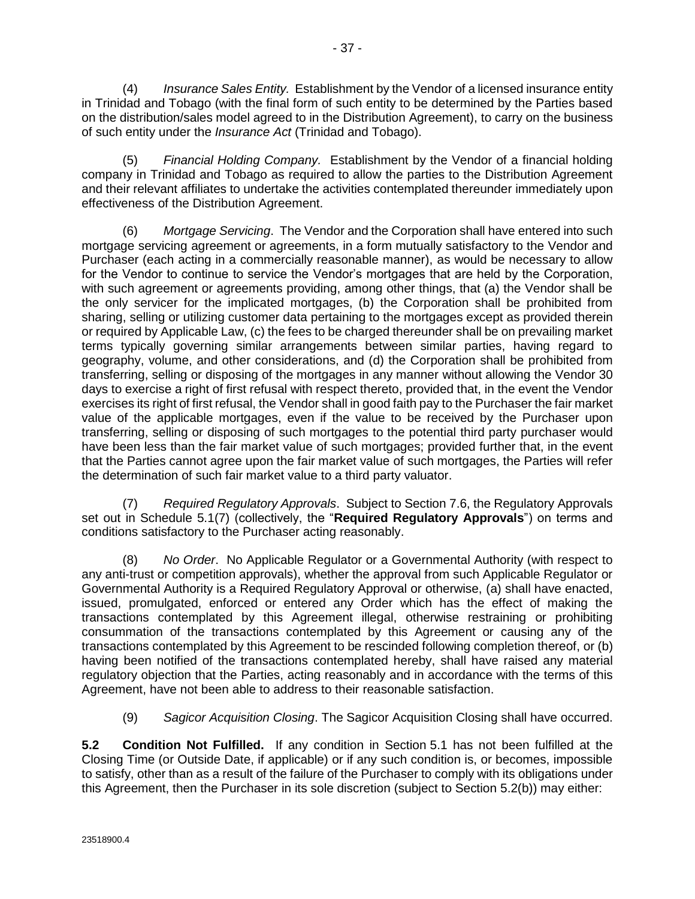<span id="page-44-0"></span>(4) *Insurance Sales Entity.* Establishment by the Vendor of a licensed insurance entity in Trinidad and Tobago (with the final form of such entity to be determined by the Parties based on the distribution/sales model agreed to in the Distribution Agreement), to carry on the business of such entity under the *Insurance Act* (Trinidad and Tobago).

(5) *Financial Holding Company.* Establishment by the Vendor of a financial holding company in Trinidad and Tobago as required to allow the parties to the Distribution Agreement and their relevant affiliates to undertake the activities contemplated thereunder immediately upon effectiveness of the Distribution Agreement.

(6) *Mortgage Servicing*. The Vendor and the Corporation shall have entered into such mortgage servicing agreement or agreements, in a form mutually satisfactory to the Vendor and Purchaser (each acting in a commercially reasonable manner), as would be necessary to allow for the Vendor to continue to service the Vendor's mortgages that are held by the Corporation, with such agreement or agreements providing, among other things, that (a) the Vendor shall be the only servicer for the implicated mortgages, (b) the Corporation shall be prohibited from sharing, selling or utilizing customer data pertaining to the mortgages except as provided therein or required by Applicable Law, (c) the fees to be charged thereunder shall be on prevailing market terms typically governing similar arrangements between similar parties, having regard to geography, volume, and other considerations, and (d) the Corporation shall be prohibited from transferring, selling or disposing of the mortgages in any manner without allowing the Vendor 30 days to exercise a right of first refusal with respect thereto, provided that, in the event the Vendor exercises its right of first refusal, the Vendor shall in good faith pay to the Purchaser the fair market value of the applicable mortgages, even if the value to be received by the Purchaser upon transferring, selling or disposing of such mortgages to the potential third party purchaser would have been less than the fair market value of such mortgages; provided further that, in the event that the Parties cannot agree upon the fair market value of such mortgages, the Parties will refer the determination of such fair market value to a third party valuator.

(7) *Required Regulatory Approvals*. Subject to Sectio[n 7.6,](#page-60-0) the Regulatory Approvals set out in Schedule 5.1(7) (collectively, the "**Required Regulatory Approvals**") on terms and conditions satisfactory to the Purchaser acting reasonably.

(8) *No Order*. No Applicable Regulator or a Governmental Authority (with respect to any anti-trust or competition approvals), whether the approval from such Applicable Regulator or Governmental Authority is a Required Regulatory Approval or otherwise, (a) shall have enacted, issued, promulgated, enforced or entered any Order which has the effect of making the transactions contemplated by this Agreement illegal, otherwise restraining or prohibiting consummation of the transactions contemplated by this Agreement or causing any of the transactions contemplated by this Agreement to be rescinded following completion thereof, or (b) having been notified of the transactions contemplated hereby, shall have raised any material regulatory objection that the Parties, acting reasonably and in accordance with the terms of this Agreement, have not been able to address to their reasonable satisfaction.

(9) *Sagicor Acquisition Closing*. The Sagicor Acquisition Closing shall have occurred.

**5.2 Condition Not Fulfilled.** If any condition in Section [5.1](#page-43-0) has not been fulfilled at the Closing Time (or Outside Date, if applicable) or if any such condition is, or becomes, impossible to satisfy, other than as a result of the failure of the Purchaser to comply with its obligations under this Agreement, then the Purchaser in its sole discretion (subject to Section [5.2\(b\)\)](#page-45-0) may either: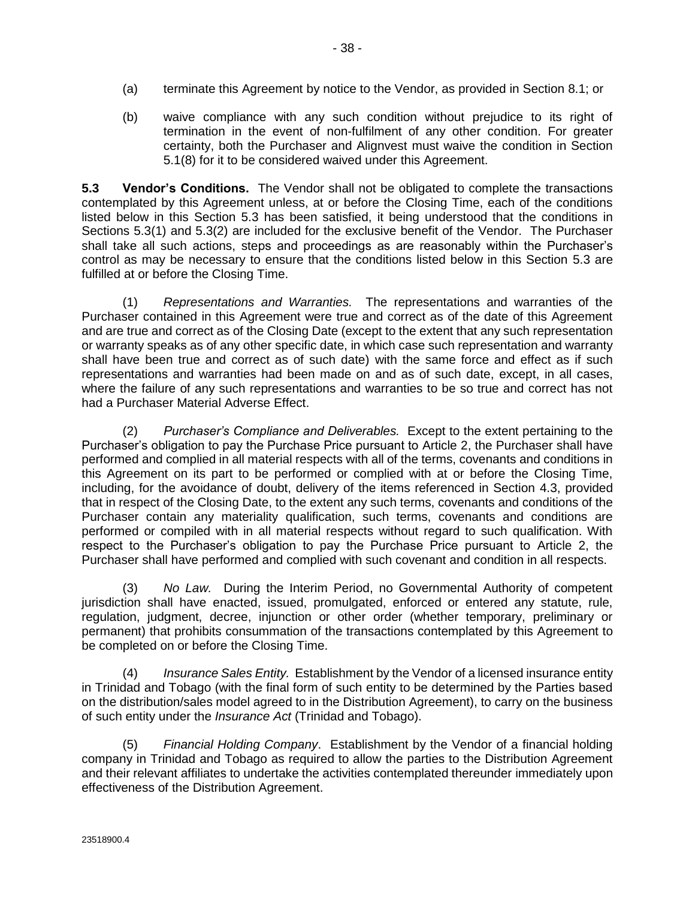<span id="page-45-0"></span>(b) waive compliance with any such condition without prejudice to its right of termination in the event of non-fulfilment of any other condition. For greater certainty, both the Purchaser and Alignvest must waive the condition in Section [5.1\(8\)](#page-44-0) for it to be considered waived under this Agreement.

**5.3 Vendor's Conditions.** The Vendor shall not be obligated to complete the transactions contemplated by this Agreement unless, at or before the Closing Time, each of the conditions listed below in this Section 5.3 has been satisfied, it being understood that the conditions in Sections 5.3(1) and 5.3(2) are included for the exclusive benefit of the Vendor. The Purchaser shall take all such actions, steps and proceedings as are reasonably within the Purchaser's control as may be necessary to ensure that the conditions listed below in this Section 5.3 are fulfilled at or before the Closing Time.

(1) *Representations and Warranties.* The representations and warranties of the Purchaser contained in this Agreement were true and correct as of the date of this Agreement and are true and correct as of the Closing Date (except to the extent that any such representation or warranty speaks as of any other specific date, in which case such representation and warranty shall have been true and correct as of such date) with the same force and effect as if such representations and warranties had been made on and as of such date, except, in all cases, where the failure of any such representations and warranties to be so true and correct has not had a Purchaser Material Adverse Effect.

(2) *Purchaser's Compliance and Deliverables.* Except to the extent pertaining to the Purchaser's obligation to pay the Purchase Price pursuant to [Article 2,](#page-23-0) the Purchaser shall have performed and complied in all material respects with all of the terms, covenants and conditions in this Agreement on its part to be performed or complied with at or before the Closing Time, including, for the avoidance of doubt, delivery of the items referenced in Section [4.3,](#page-42-0) provided that in respect of the Closing Date, to the extent any such terms, covenants and conditions of the Purchaser contain any materiality qualification, such terms, covenants and conditions are performed or compiled with in all material respects without regard to such qualification. With respect to the Purchaser's obligation to pay the Purchase Price pursuant to [Article 2,](#page-23-0) the Purchaser shall have performed and complied with such covenant and condition in all respects.

(3) *No Law.* During the Interim Period, no Governmental Authority of competent jurisdiction shall have enacted, issued, promulgated, enforced or entered any statute, rule, regulation, judgment, decree, injunction or other order (whether temporary, preliminary or permanent) that prohibits consummation of the transactions contemplated by this Agreement to be completed on or before the Closing Time.

(4) *Insurance Sales Entity.* Establishment by the Vendor of a licensed insurance entity in Trinidad and Tobago (with the final form of such entity to be determined by the Parties based on the distribution/sales model agreed to in the Distribution Agreement), to carry on the business of such entity under the *Insurance Act* (Trinidad and Tobago).

(5) *Financial Holding Company*. Establishment by the Vendor of a financial holding company in Trinidad and Tobago as required to allow the parties to the Distribution Agreement and their relevant affiliates to undertake the activities contemplated thereunder immediately upon effectiveness of the Distribution Agreement.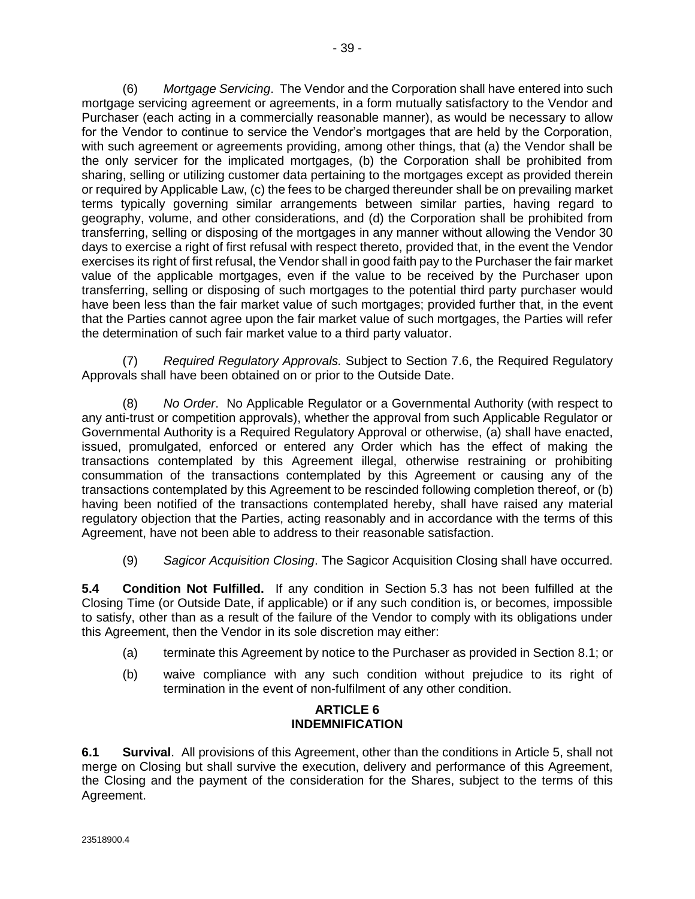<span id="page-46-0"></span>(6) *Mortgage Servicing*. The Vendor and the Corporation shall have entered into such mortgage servicing agreement or agreements, in a form mutually satisfactory to the Vendor and Purchaser (each acting in a commercially reasonable manner), as would be necessary to allow for the Vendor to continue to service the Vendor's mortgages that are held by the Corporation, with such agreement or agreements providing, among other things, that (a) the Vendor shall be the only servicer for the implicated mortgages, (b) the Corporation shall be prohibited from sharing, selling or utilizing customer data pertaining to the mortgages except as provided therein or required by Applicable Law, (c) the fees to be charged thereunder shall be on prevailing market terms typically governing similar arrangements between similar parties, having regard to geography, volume, and other considerations, and (d) the Corporation shall be prohibited from transferring, selling or disposing of the mortgages in any manner without allowing the Vendor 30 days to exercise a right of first refusal with respect thereto, provided that, in the event the Vendor exercises its right of first refusal, the Vendor shall in good faith pay to the Purchaser the fair market value of the applicable mortgages, even if the value to be received by the Purchaser upon transferring, selling or disposing of such mortgages to the potential third party purchaser would have been less than the fair market value of such mortgages; provided further that, in the event that the Parties cannot agree upon the fair market value of such mortgages, the Parties will refer the determination of such fair market value to a third party valuator.

(7) *Required Regulatory Approvals.* Subject to Section [7.6,](#page-60-0) the Required Regulatory Approvals shall have been obtained on or prior to the Outside Date.

(8) *No Order*. No Applicable Regulator or a Governmental Authority (with respect to any anti-trust or competition approvals), whether the approval from such Applicable Regulator or Governmental Authority is a Required Regulatory Approval or otherwise, (a) shall have enacted, issued, promulgated, enforced or entered any Order which has the effect of making the transactions contemplated by this Agreement illegal, otherwise restraining or prohibiting consummation of the transactions contemplated by this Agreement or causing any of the transactions contemplated by this Agreement to be rescinded following completion thereof, or (b) having been notified of the transactions contemplated hereby, shall have raised any material regulatory objection that the Parties, acting reasonably and in accordance with the terms of this Agreement, have not been able to address to their reasonable satisfaction.

(9) *Sagicor Acquisition Closing*. The Sagicor Acquisition Closing shall have occurred.

**5.4 Condition Not Fulfilled.** If any condition in Section [5.3](#page-45-0) has not been fulfilled at the Closing Time (or Outside Date, if applicable) or if any such condition is, or becomes, impossible to satisfy, other than as a result of the failure of the Vendor to comply with its obligations under this Agreement, then the Vendor in its sole discretion may either:

- (a) terminate this Agreement by notice to the Purchaser as provided in Sectio[n 8.1;](#page-69-0) or
- (b) waive compliance with any such condition without prejudice to its right of termination in the event of non-fulfilment of any other condition.

### **ARTICLE 6 INDEMNIFICATION**

**6.1 Survival**. All provisions of this Agreement, other than the conditions in [Article 5,](#page-43-0) shall not merge on Closing but shall survive the execution, delivery and performance of this Agreement, the Closing and the payment of the consideration for the Shares, subject to the terms of this Agreement.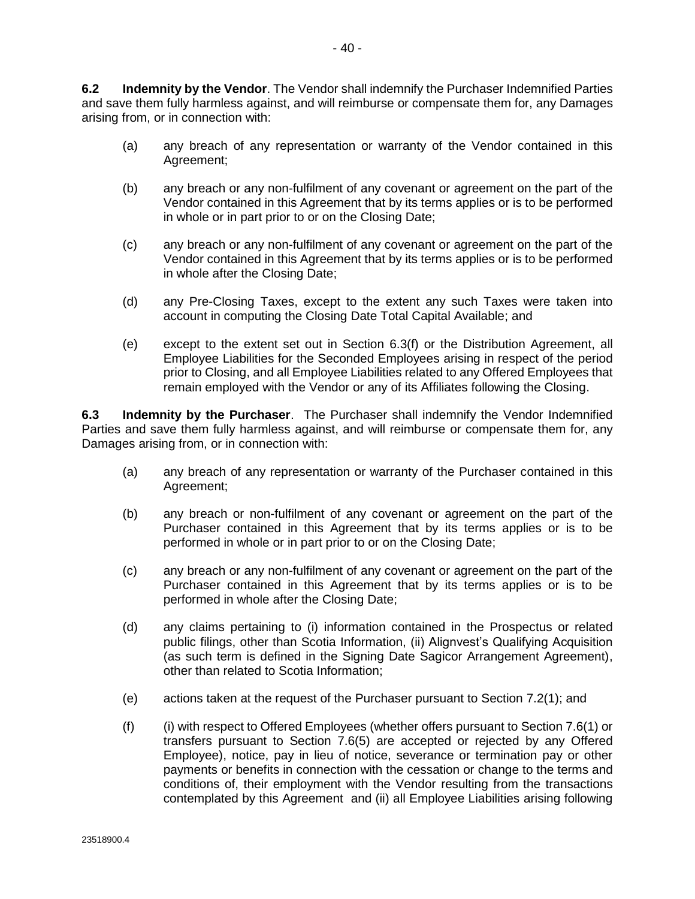<span id="page-47-0"></span>**6.2 Indemnity by the Vendor**. The Vendor shall indemnify the Purchaser Indemnified Parties and save them fully harmless against, and will reimburse or compensate them for, any Damages arising from, or in connection with:

- (a) any breach of any representation or warranty of the Vendor contained in this Agreement;
- (b) any breach or any non-fulfilment of any covenant or agreement on the part of the Vendor contained in this Agreement that by its terms applies or is to be performed in whole or in part prior to or on the Closing Date;
- (c) any breach or any non-fulfilment of any covenant or agreement on the part of the Vendor contained in this Agreement that by its terms applies or is to be performed in whole after the Closing Date;
- (d) any Pre-Closing Taxes, except to the extent any such Taxes were taken into account in computing the Closing Date Total Capital Available; and
- (e) except to the extent set out in Section 6.3(f) or the Distribution Agreement, all Employee Liabilities for the Seconded Employees arising in respect of the period prior to Closing, and all Employee Liabilities related to any Offered Employees that remain employed with the Vendor or any of its Affiliates following the Closing.

**6.3 Indemnity by the Purchaser**. The Purchaser shall indemnify the Vendor Indemnified Parties and save them fully harmless against, and will reimburse or compensate them for, any Damages arising from, or in connection with:

- (a) any breach of any representation or warranty of the Purchaser contained in this Agreement;
- (b) any breach or non-fulfilment of any covenant or agreement on the part of the Purchaser contained in this Agreement that by its terms applies or is to be performed in whole or in part prior to or on the Closing Date;
- (c) any breach or any non-fulfilment of any covenant or agreement on the part of the Purchaser contained in this Agreement that by its terms applies or is to be performed in whole after the Closing Date;
- (d) any claims pertaining to (i) information contained in the Prospectus or related public filings, other than Scotia Information, (ii) Alignvest's Qualifying Acquisition (as such term is defined in the Signing Date Sagicor Arrangement Agreement), other than related to Scotia Information;
- (e) actions taken at the request of the Purchaser pursuant to Section [7.2\(1\);](#page-55-0) and
- (f) (i) with respect to Offered Employees (whether offers pursuant to Section 7.6(1) or transfers pursuant to Section 7.6(5) are accepted or rejected by any Offered Employee), notice, pay in lieu of notice, severance or termination pay or other payments or benefits in connection with the cessation or change to the terms and conditions of, their employment with the Vendor resulting from the transactions contemplated by this Agreement and (ii) all Employee Liabilities arising following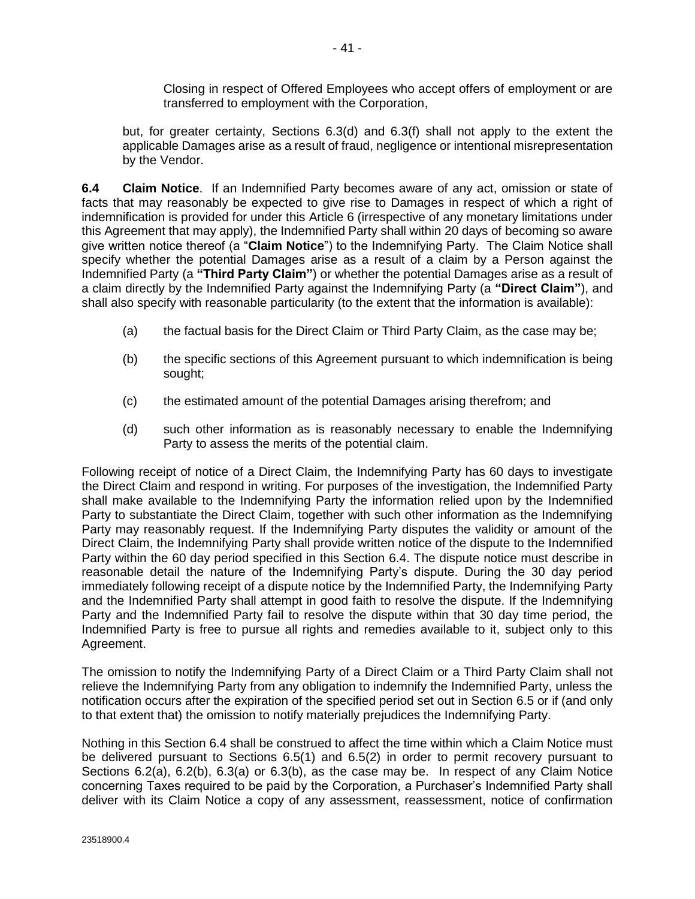Closing in respect of Offered Employees who accept offers of employment or are transferred to employment with the Corporation,

<span id="page-48-0"></span>but, for greater certainty, Sections [6.3\(d\)](#page-47-0) and [6.3\(f\)](#page-47-0) shall not apply to the extent the applicable Damages arise as a result of fraud, negligence or intentional misrepresentation by the Vendor.

**6.4 Claim Notice**. If an Indemnified Party becomes aware of any act, omission or state of facts that may reasonably be expected to give rise to Damages in respect of which a right of indemnification is provided for under thi[s Article 6](#page-46-0) (irrespective of any monetary limitations under this Agreement that may apply), the Indemnified Party shall within 20 days of becoming so aware give written notice thereof (a "**Claim Notice**") to the Indemnifying Party. The Claim Notice shall specify whether the potential Damages arise as a result of a claim by a Person against the Indemnified Party (a **"Third Party Claim"**) or whether the potential Damages arise as a result of a claim directly by the Indemnified Party against the Indemnifying Party (a **"Direct Claim"**), and shall also specify with reasonable particularity (to the extent that the information is available):

- (a) the factual basis for the Direct Claim or Third Party Claim, as the case may be;
- (b) the specific sections of this Agreement pursuant to which indemnification is being sought;
- (c) the estimated amount of the potential Damages arising therefrom; and
- (d) such other information as is reasonably necessary to enable the Indemnifying Party to assess the merits of the potential claim.

Following receipt of notice of a Direct Claim, the Indemnifying Party has 60 days to investigate the Direct Claim and respond in writing. For purposes of the investigation, the Indemnified Party shall make available to the Indemnifying Party the information relied upon by the Indemnified Party to substantiate the Direct Claim, together with such other information as the Indemnifying Party may reasonably request. If the Indemnifying Party disputes the validity or amount of the Direct Claim, the Indemnifying Party shall provide written notice of the dispute to the Indemnified Party within the 60 day period specified in this Section 6.4. The dispute notice must describe in reasonable detail the nature of the Indemnifying Party's dispute. During the 30 day period immediately following receipt of a dispute notice by the Indemnified Party, the Indemnifying Party and the Indemnified Party shall attempt in good faith to resolve the dispute. If the Indemnifying Party and the Indemnified Party fail to resolve the dispute within that 30 day time period, the Indemnified Party is free to pursue all rights and remedies available to it, subject only to this Agreement.

The omission to notify the Indemnifying Party of a Direct Claim or a Third Party Claim shall not relieve the Indemnifying Party from any obligation to indemnify the Indemnified Party, unless the notification occurs after the expiration of the specified period set out in Section [6.5](#page-49-0) or if (and only to that extent that) the omission to notify materially prejudices the Indemnifying Party.

Nothing in this Section 6.4 shall be construed to affect the time within which a Claim Notice must be delivered pursuant to Sections [6.5\(1\)](#page-49-0) and [6.5\(2\)](#page-49-0) in order to permit recovery pursuant to Sections [6.2\(a\), 6.2\(b\), 6.3\(a\)](#page-47-0) or [6.3\(b\),](#page-47-0) as the case may be. In respect of any Claim Notice concerning Taxes required to be paid by the Corporation, a Purchaser's Indemnified Party shall deliver with its Claim Notice a copy of any assessment, reassessment, notice of confirmation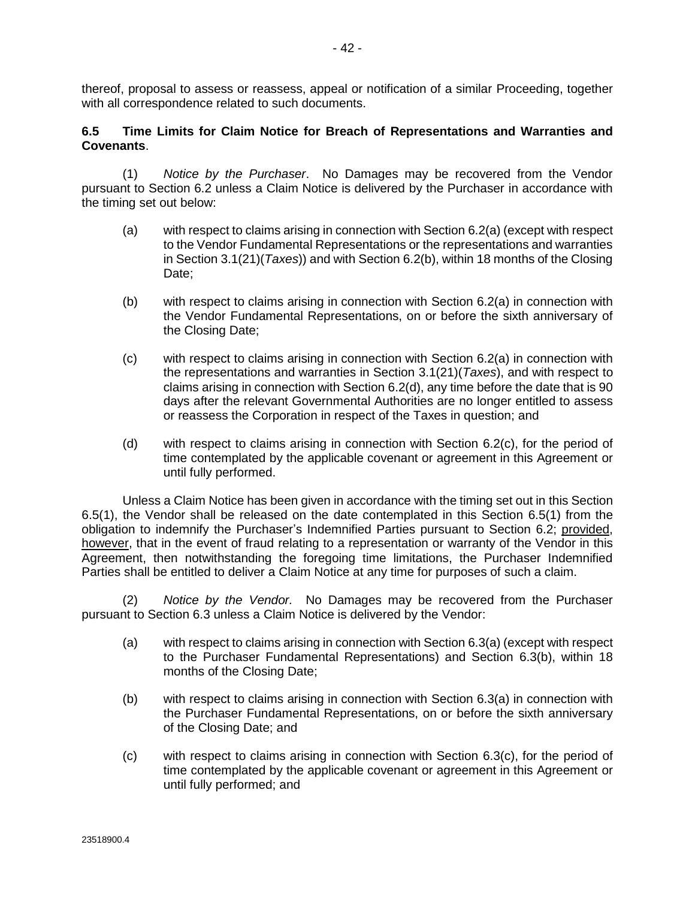<span id="page-49-0"></span>thereof, proposal to assess or reassess, appeal or notification of a similar Proceeding, together with all correspondence related to such documents.

#### **6.5 Time Limits for Claim Notice for Breach of Representations and Warranties and Covenants**.

(1) *Notice by the Purchaser*. No Damages may be recovered from the Vendor pursuant to Section [6.2](#page-47-0) unless a Claim Notice is delivered by the Purchaser in accordance with the timing set out below:

- (a) with respect to claims arising in connection with Section [6.2\(a\)](#page-47-0) (except with respect to the Vendor Fundamental Representations or the representations and warranties in Section [3.1\(21\)\(](#page-37-0)*Taxes*)) and with Sectio[n 6.2\(b\),](#page-47-0) within 18 months of the Closing Date:
- (b) with respect to claims arising in connection with Section [6.2\(a\)](#page-47-0) in connection with the Vendor Fundamental Representations, on or before the sixth anniversary of the Closing Date;
- (c) with respect to claims arising in connection with Section [6.2\(a\)](#page-47-0) in connection with the representations and warranties in Section [3.1\(21\)\(](#page-37-0)*Taxes*), and with respect to claims arising in connection with Sectio[n 6.2\(d\),](#page-47-0) any time before the date that is 90 days after the relevant Governmental Authorities are no longer entitled to assess or reassess the Corporation in respect of the Taxes in question; and
- (d) with respect to claims arising in connection with Section [6.2\(c\),](#page-47-0) for the period of time contemplated by the applicable covenant or agreement in this Agreement or until fully performed.

Unless a Claim Notice has been given in accordance with the timing set out in this Section 6.5(1), the Vendor shall be released on the date contemplated in this Section 6.5(1) from the obligation to indemnify the Purchaser's Indemnified Parties pursuant to Section [6.2;](#page-47-0) provided, however, that in the event of fraud relating to a representation or warranty of the Vendor in this Agreement, then notwithstanding the foregoing time limitations, the Purchaser Indemnified Parties shall be entitled to deliver a Claim Notice at any time for purposes of such a claim.

(2) *Notice by the Vendor.* No Damages may be recovered from the Purchaser pursuant to Section [6.3](#page-47-0) unless a Claim Notice is delivered by the Vendor:

- (a) with respect to claims arising in connection with Sectio[n 6.3\(a\)](#page-47-0) (except with respect to the Purchaser Fundamental Representations) and Section [6.3\(b\),](#page-47-0) within 18 months of the Closing Date;
- (b) with respect to claims arising in connection with Section [6.3\(a\)](#page-47-0) in connection with the Purchaser Fundamental Representations, on or before the sixth anniversary of the Closing Date; and
- $(c)$  with respect to claims arising in connection with Section 6.3 $(c)$ , for the period of time contemplated by the applicable covenant or agreement in this Agreement or until fully performed; and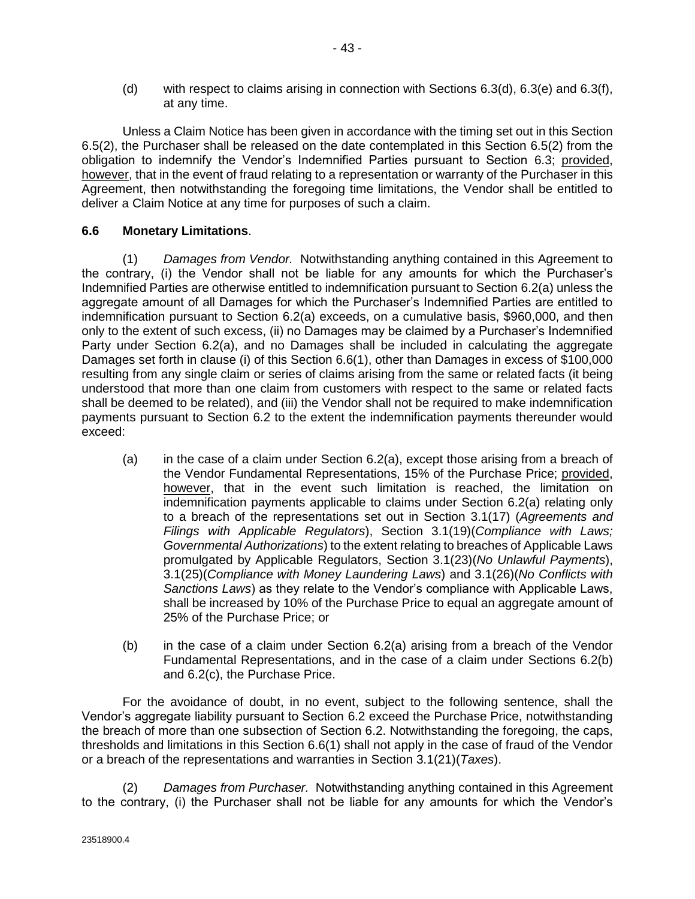<span id="page-50-0"></span>(d) with respect to claims arising in connection with Sections [6.3\(d\), 6.3\(e\)](#page-47-0) and [6.3\(f\),](#page-47-0) at any time.

Unless a Claim Notice has been given in accordance with the timing set out in this Section [6.5\(2\),](#page-49-0) the Purchaser shall be released on the date contemplated in this Section [6.5\(2\)](#page-49-0) from the obligation to indemnify the Vendor's Indemnified Parties pursuant to Section [6.3;](#page-47-0) provided, however, that in the event of fraud relating to a representation or warranty of the Purchaser in this Agreement, then notwithstanding the foregoing time limitations, the Vendor shall be entitled to deliver a Claim Notice at any time for purposes of such a claim.

### **6.6 Monetary Limitations**.

(1) *Damages from Vendor.* Notwithstanding anything contained in this Agreement to the contrary, (i) the Vendor shall not be liable for any amounts for which the Purchaser's Indemnified Parties are otherwise entitled to indemnification pursuant to Section [6.2\(a\)](#page-47-0) unless the aggregate amount of all Damages for which the Purchaser's Indemnified Parties are entitled to indemnification pursuant to Section [6.2\(a\)](#page-47-0) exceeds, on a cumulative basis, \$960,000, and then only to the extent of such excess, (ii) no Damages may be claimed by a Purchaser's Indemnified Party under Section [6.2\(a\),](#page-47-0) and no Damages shall be included in calculating the aggregate Damages set forth in clause (i) of this Section 6.6(1), other than Damages in excess of \$100,000 resulting from any single claim or series of claims arising from the same or related facts (it being understood that more than one claim from customers with respect to the same or related facts shall be deemed to be related), and (iii) the Vendor shall not be required to make indemnification payments pursuant to Section [6.2](#page-47-0) to the extent the indemnification payments thereunder would exceed:

- (a) in the case of a claim under Section [6.2\(a\),](#page-47-0) except those arising from a breach of the Vendor Fundamental Representations, 15% of the Purchase Price; provided, however, that in the event such limitation is reached, the limitation on indemnification payments applicable to claims under Section [6.2\(a\)](#page-47-0) relating only to a breach of the representations set out in Section [3.1\(17\)](#page-35-0) (*Agreements and Filings with Applicable Regulators*), Section [3.1\(19\)\(](#page-35-0)*Compliance with Laws; Governmental Authorizations*) to the extent relating to breaches of Applicable Laws promulgated by Applicable Regulators, Section [3.1\(23\)\(](#page-37-0)*No Unlawful Payments*), [3.1\(25\)\(](#page-38-0)*Compliance with Money Laundering Laws*) and [3.1\(26\)\(](#page-38-0)*No Conflicts with Sanctions Laws*) as they relate to the Vendor's compliance with Applicable Laws, shall be increased by 10% of the Purchase Price to equal an aggregate amount of 25% of the Purchase Price; or
- (b) in the case of a claim under Section [6.2\(a\)](#page-47-0) arising from a breach of the Vendor Fundamental Representations, and in the case of a claim under Sections [6.2\(b\)](#page-47-0) and [6.2\(c\),](#page-47-0) the Purchase Price.

For the avoidance of doubt, in no event, subject to the following sentence, shall the Vendor's aggregate liability pursuant to Section [6.2](#page-47-0) exceed the Purchase Price, notwithstanding the breach of more than one subsection of Section [6.2.](#page-47-0) Notwithstanding the foregoing, the caps, thresholds and limitations in this Section 6.6(1) shall not apply in the case of fraud of the Vendor or a breach of the representations and warranties in Section [3.1\(21\)\(](#page-37-0)*Taxes*).

(2) *Damages from Purchaser.* Notwithstanding anything contained in this Agreement to the contrary, (i) the Purchaser shall not be liable for any amounts for which the Vendor's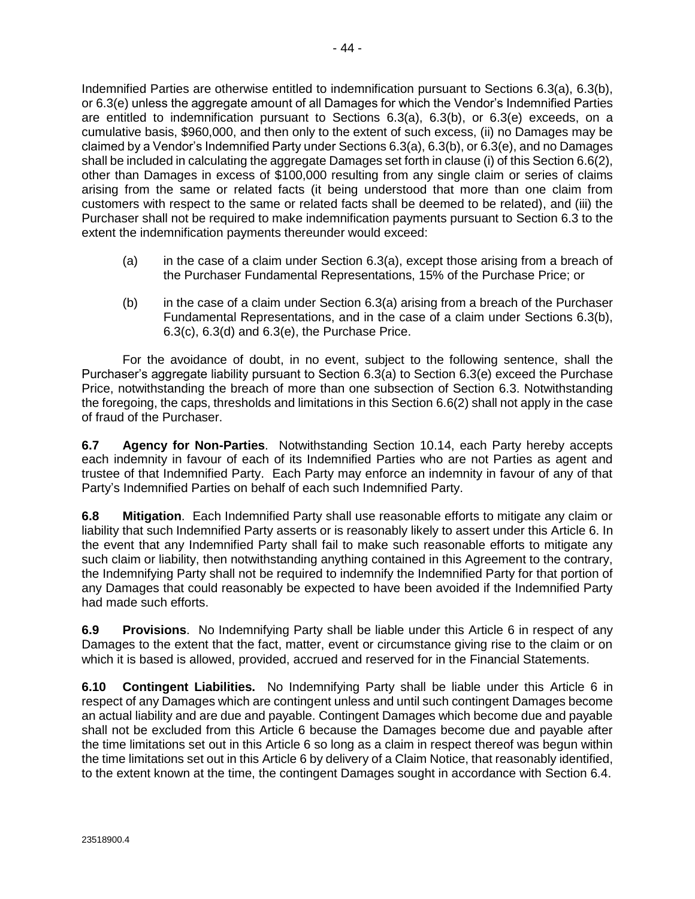Indemnified Parties are otherwise entitled to indemnification pursuant to Sections [6.3\(a\), 6.3\(b\),](#page-47-0) or [6.3\(e\)](#page-47-0) unless the aggregate amount of all Damages for which the Vendor's Indemnified Parties are entitled to indemnification pursuant to Sections [6.3\(a\),](#page-47-0) [6.3\(b\),](#page-47-0) or [6.3\(e\)](#page-47-0) exceeds, on a cumulative basis, \$960,000, and then only to the extent of such excess, (ii) no Damages may be claimed by a Vendor's Indemnified Party under Section[s 6.3\(a\), 6.3\(b\),](#page-47-0) o[r 6.3\(e\),](#page-47-0) and no Damages shall be included in calculating the aggregate Damages set forth in clause (i) of this Sectio[n 6.6\(2\),](#page-50-0) other than Damages in excess of \$100,000 resulting from any single claim or series of claims arising from the same or related facts (it being understood that more than one claim from customers with respect to the same or related facts shall be deemed to be related), and (iii) the Purchaser shall not be required to make indemnification payments pursuant to Section [6.3](#page-47-0) to the extent the indemnification payments thereunder would exceed:

- (a) in the case of a claim under Section [6.3\(a\),](#page-47-0) except those arising from a breach of the Purchaser Fundamental Representations, 15% of the Purchase Price; or
- (b) in the case of a claim under Sectio[n 6.3\(a\)](#page-47-0) arising from a breach of the Purchaser Fundamental Representations, and in the case of a claim under Sections [6.3\(b\),](#page-47-0) [6.3\(c\), 6.3\(d\)](#page-47-0) and [6.3\(e\),](#page-47-0) the Purchase Price.

For the avoidance of doubt, in no event, subject to the following sentence, shall the Purchaser's aggregate liability pursuant to Section [6.3\(a\)](#page-47-0) to Section [6.3\(e\)](#page-47-0) exceed the Purchase Price, notwithstanding the breach of more than one subsection of Section [6.3.](#page-47-0) Notwithstanding the foregoing, the caps, thresholds and limitations in this Section [6.6\(2\)](#page-50-0) shall not apply in the case of fraud of the Purchaser.

**6.7 Agency for Non-Parties**. Notwithstanding Section [10.14,](#page-75-0) each Party hereby accepts each indemnity in favour of each of its Indemnified Parties who are not Parties as agent and trustee of that Indemnified Party. Each Party may enforce an indemnity in favour of any of that Party's Indemnified Parties on behalf of each such Indemnified Party.

**6.8 Mitigation**. Each Indemnified Party shall use reasonable efforts to mitigate any claim or liability that such Indemnified Party asserts or is reasonably likely to assert under this [Article 6.](#page-46-0) In the event that any Indemnified Party shall fail to make such reasonable efforts to mitigate any such claim or liability, then notwithstanding anything contained in this Agreement to the contrary, the Indemnifying Party shall not be required to indemnify the Indemnified Party for that portion of any Damages that could reasonably be expected to have been avoided if the Indemnified Party had made such efforts.

**6.9 Provisions**. No Indemnifying Party shall be liable under this [Article 6](#page-46-0) in respect of any Damages to the extent that the fact, matter, event or circumstance giving rise to the claim or on which it is based is allowed, provided, accrued and reserved for in the Financial Statements.

**6.10 Contingent Liabilities.** No Indemnifying Party shall be liable under this [Article 6](#page-46-0) in respect of any Damages which are contingent unless and until such contingent Damages become an actual liability and are due and payable. Contingent Damages which become due and payable shall not be excluded from this [Article 6](#page-46-0) because the Damages become due and payable after the time limitations set out in this [Article 6](#page-46-0) so long as a claim in respect thereof was begun within the time limitations set out in thi[s Article 6](#page-46-0) by delivery of a Claim Notice, that reasonably identified, to the extent known at the time, the contingent Damages sought in accordance with Sectio[n 6.4.](#page-48-0)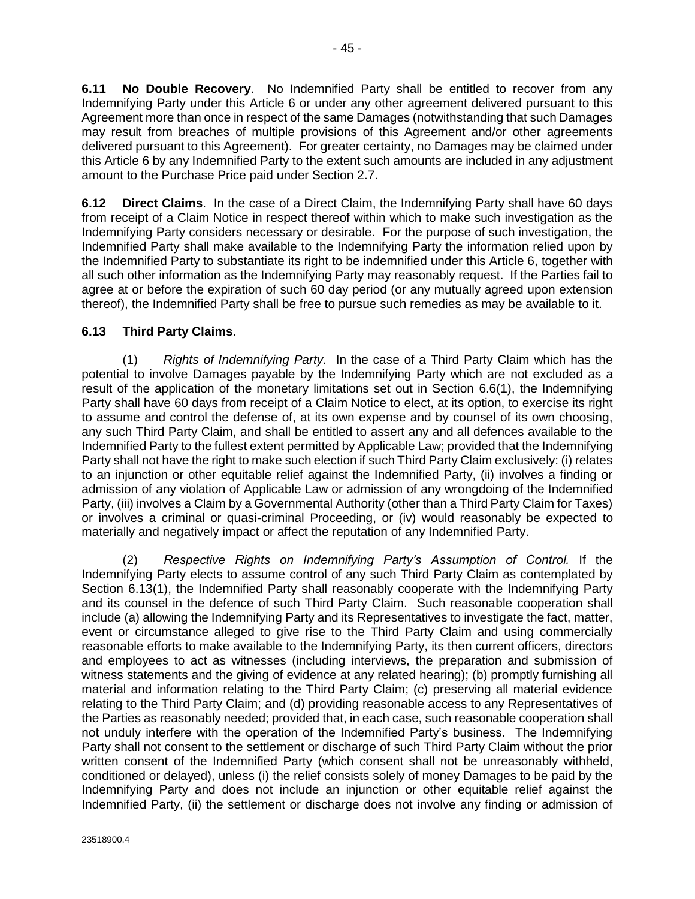<span id="page-52-0"></span>**6.11 No Double Recovery**. No Indemnified Party shall be entitled to recover from any Indemnifying Party under this [Article 6](#page-46-0) or under any other agreement delivered pursuant to this Agreement more than once in respect of the same Damages (notwithstanding that such Damages may result from breaches of multiple provisions of this Agreement and/or other agreements delivered pursuant to this Agreement). For greater certainty, no Damages may be claimed under thi[s Article 6](#page-46-0) by any Indemnified Party to the extent such amounts are included in any adjustment amount to the Purchase Price paid under Section [2.7.](#page-24-0)

**6.12 Direct Claims**. In the case of a Direct Claim, the Indemnifying Party shall have 60 days from receipt of a Claim Notice in respect thereof within which to make such investigation as the Indemnifying Party considers necessary or desirable. For the purpose of such investigation, the Indemnified Party shall make available to the Indemnifying Party the information relied upon by the Indemnified Party to substantiate its right to be indemnified under this [Article 6,](#page-46-0) together with all such other information as the Indemnifying Party may reasonably request. If the Parties fail to agree at or before the expiration of such 60 day period (or any mutually agreed upon extension thereof), the Indemnified Party shall be free to pursue such remedies as may be available to it.

## **6.13 Third Party Claims**.

(1) *Rights of Indemnifying Party.* In the case of a Third Party Claim which has the potential to involve Damages payable by the Indemnifying Party which are not excluded as a result of the application of the monetary limitations set out in Section [6.6\(1\),](#page-50-0) the Indemnifying Party shall have 60 days from receipt of a Claim Notice to elect, at its option, to exercise its right to assume and control the defense of, at its own expense and by counsel of its own choosing, any such Third Party Claim, and shall be entitled to assert any and all defences available to the Indemnified Party to the fullest extent permitted by Applicable Law; provided that the Indemnifying Party shall not have the right to make such election if such Third Party Claim exclusively: (i) relates to an injunction or other equitable relief against the Indemnified Party, (ii) involves a finding or admission of any violation of Applicable Law or admission of any wrongdoing of the Indemnified Party, (iii) involves a Claim by a Governmental Authority (other than a Third Party Claim for Taxes) or involves a criminal or quasi-criminal Proceeding, or (iv) would reasonably be expected to materially and negatively impact or affect the reputation of any Indemnified Party.

(2) *Respective Rights on Indemnifying Party's Assumption of Control.* If the Indemnifying Party elects to assume control of any such Third Party Claim as contemplated by Section 6.13(1), the Indemnified Party shall reasonably cooperate with the Indemnifying Party and its counsel in the defence of such Third Party Claim. Such reasonable cooperation shall include (a) allowing the Indemnifying Party and its Representatives to investigate the fact, matter, event or circumstance alleged to give rise to the Third Party Claim and using commercially reasonable efforts to make available to the Indemnifying Party, its then current officers, directors and employees to act as witnesses (including interviews, the preparation and submission of witness statements and the giving of evidence at any related hearing); (b) promptly furnishing all material and information relating to the Third Party Claim; (c) preserving all material evidence relating to the Third Party Claim; and (d) providing reasonable access to any Representatives of the Parties as reasonably needed; provided that, in each case, such reasonable cooperation shall not unduly interfere with the operation of the Indemnified Party's business. The Indemnifying Party shall not consent to the settlement or discharge of such Third Party Claim without the prior written consent of the Indemnified Party (which consent shall not be unreasonably withheld, conditioned or delayed), unless (i) the relief consists solely of money Damages to be paid by the Indemnifying Party and does not include an injunction or other equitable relief against the Indemnified Party, (ii) the settlement or discharge does not involve any finding or admission of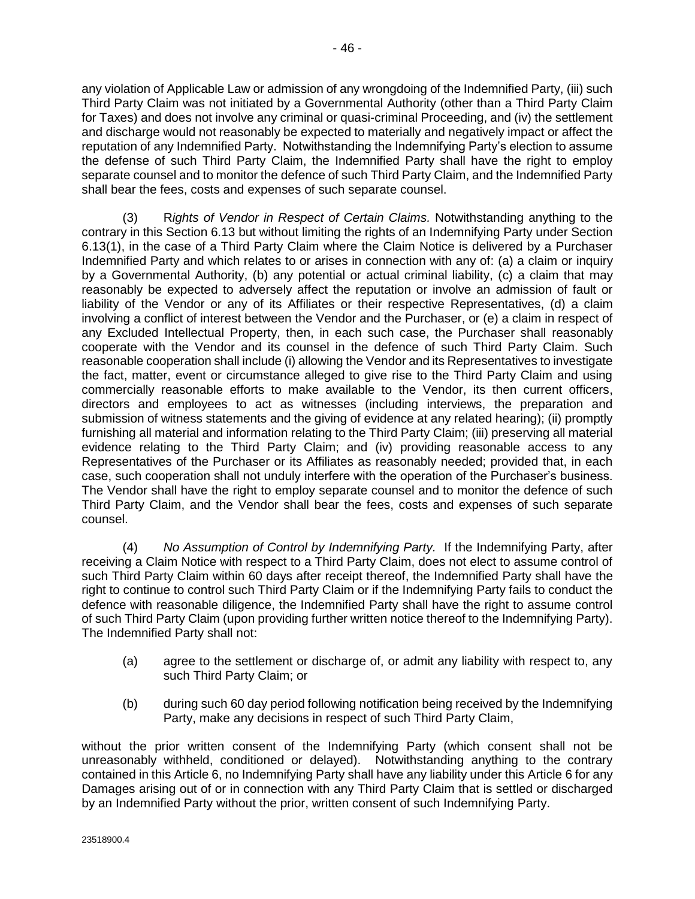any violation of Applicable Law or admission of any wrongdoing of the Indemnified Party, (iii) such Third Party Claim was not initiated by a Governmental Authority (other than a Third Party Claim for Taxes) and does not involve any criminal or quasi-criminal Proceeding, and (iv) the settlement and discharge would not reasonably be expected to materially and negatively impact or affect the reputation of any Indemnified Party. Notwithstanding the Indemnifying Party's election to assume the defense of such Third Party Claim, the Indemnified Party shall have the right to employ separate counsel and to monitor the defence of such Third Party Claim, and the Indemnified Party shall bear the fees, costs and expenses of such separate counsel.

(3) R*ights of Vendor in Respect of Certain Claims.* Notwithstanding anything to the contrary in this Section [6.13](#page-52-0) but without limiting the rights of an Indemnifying Party under Section [6.13\(1\),](#page-52-0) in the case of a Third Party Claim where the Claim Notice is delivered by a Purchaser Indemnified Party and which relates to or arises in connection with any of: (a) a claim or inquiry by a Governmental Authority, (b) any potential or actual criminal liability, (c) a claim that may reasonably be expected to adversely affect the reputation or involve an admission of fault or liability of the Vendor or any of its Affiliates or their respective Representatives, (d) a claim involving a conflict of interest between the Vendor and the Purchaser, or (e) a claim in respect of any Excluded Intellectual Property, then, in each such case, the Purchaser shall reasonably cooperate with the Vendor and its counsel in the defence of such Third Party Claim. Such reasonable cooperation shall include (i) allowing the Vendor and its Representatives to investigate the fact, matter, event or circumstance alleged to give rise to the Third Party Claim and using commercially reasonable efforts to make available to the Vendor, its then current officers, directors and employees to act as witnesses (including interviews, the preparation and submission of witness statements and the giving of evidence at any related hearing); (ii) promptly furnishing all material and information relating to the Third Party Claim; (iii) preserving all material evidence relating to the Third Party Claim; and (iv) providing reasonable access to any Representatives of the Purchaser or its Affiliates as reasonably needed; provided that, in each case, such cooperation shall not unduly interfere with the operation of the Purchaser's business. The Vendor shall have the right to employ separate counsel and to monitor the defence of such Third Party Claim, and the Vendor shall bear the fees, costs and expenses of such separate counsel.

(4) *No Assumption of Control by Indemnifying Party.* If the Indemnifying Party, after receiving a Claim Notice with respect to a Third Party Claim, does not elect to assume control of such Third Party Claim within 60 days after receipt thereof, the Indemnified Party shall have the right to continue to control such Third Party Claim or if the Indemnifying Party fails to conduct the defence with reasonable diligence, the Indemnified Party shall have the right to assume control of such Third Party Claim (upon providing further written notice thereof to the Indemnifying Party). The Indemnified Party shall not:

- (a) agree to the settlement or discharge of, or admit any liability with respect to, any such Third Party Claim; or
- (b) during such 60 day period following notification being received by the Indemnifying Party, make any decisions in respect of such Third Party Claim,

without the prior written consent of the Indemnifying Party (which consent shall not be unreasonably withheld, conditioned or delayed). Notwithstanding anything to the contrary contained in this [Article 6,](#page-46-0) no Indemnifying Party shall have any liability under thi[s Article 6](#page-46-0) for any Damages arising out of or in connection with any Third Party Claim that is settled or discharged by an Indemnified Party without the prior, written consent of such Indemnifying Party.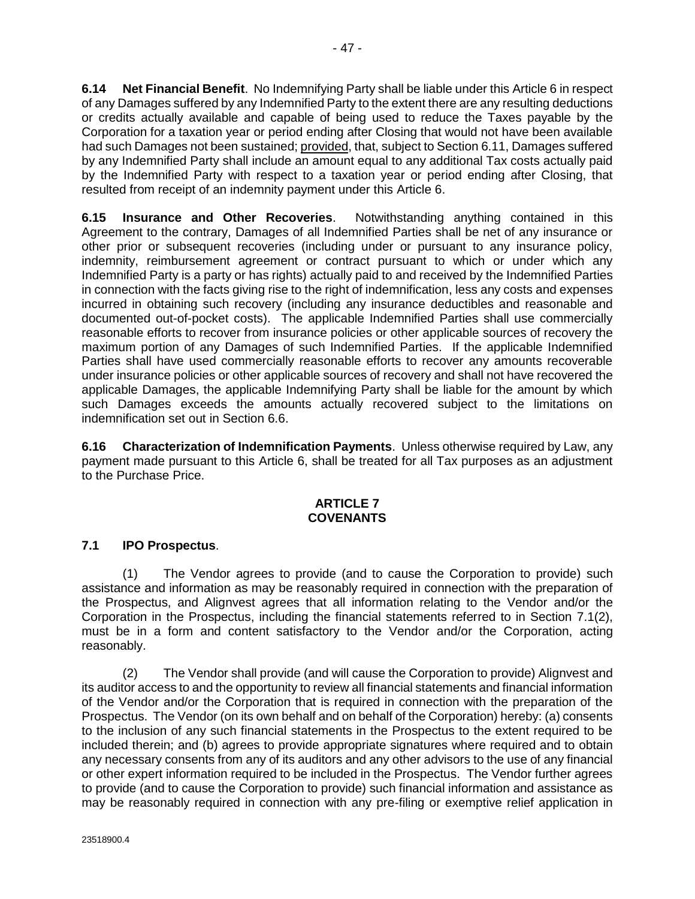<span id="page-54-0"></span>**6.14 Net Financial Benefit**. No Indemnifying Party shall be liable under thi[s Article 6](#page-46-0) in respect of any Damages suffered by any Indemnified Party to the extent there are any resulting deductions or credits actually available and capable of being used to reduce the Taxes payable by the Corporation for a taxation year or period ending after Closing that would not have been available had such Damages not been sustained; provided, that, subject to Sectio[n 6.11,](#page-52-0) Damages suffered by any Indemnified Party shall include an amount equal to any additional Tax costs actually paid by the Indemnified Party with respect to a taxation year or period ending after Closing, that resulted from receipt of an indemnity payment under this [Article 6.](#page-46-0)

**6.15 Insurance and Other Recoveries**. Notwithstanding anything contained in this Agreement to the contrary, Damages of all Indemnified Parties shall be net of any insurance or other prior or subsequent recoveries (including under or pursuant to any insurance policy, indemnity, reimbursement agreement or contract pursuant to which or under which any Indemnified Party is a party or has rights) actually paid to and received by the Indemnified Parties in connection with the facts giving rise to the right of indemnification, less any costs and expenses incurred in obtaining such recovery (including any insurance deductibles and reasonable and documented out-of-pocket costs). The applicable Indemnified Parties shall use commercially reasonable efforts to recover from insurance policies or other applicable sources of recovery the maximum portion of any Damages of such Indemnified Parties. If the applicable Indemnified Parties shall have used commercially reasonable efforts to recover any amounts recoverable under insurance policies or other applicable sources of recovery and shall not have recovered the applicable Damages, the applicable Indemnifying Party shall be liable for the amount by which such Damages exceeds the amounts actually recovered subject to the limitations on indemnification set out in Section [6.6.](#page-50-0)

**6.16 Characterization of Indemnification Payments**. Unless otherwise required by Law, any payment made pursuant to this [Article 6,](#page-46-0) shall be treated for all Tax purposes as an adjustment to the Purchase Price.

### **ARTICLE 7 COVENANTS**

# **7.1 IPO Prospectus**.

(1) The Vendor agrees to provide (and to cause the Corporation to provide) such assistance and information as may be reasonably required in connection with the preparation of the Prospectus, and Alignvest agrees that all information relating to the Vendor and/or the Corporation in the Prospectus, including the financial statements referred to in Section 7.1(2), must be in a form and content satisfactory to the Vendor and/or the Corporation, acting reasonably.

(2) The Vendor shall provide (and will cause the Corporation to provide) Alignvest and its auditor access to and the opportunity to review all financial statements and financial information of the Vendor and/or the Corporation that is required in connection with the preparation of the Prospectus. The Vendor (on its own behalf and on behalf of the Corporation) hereby: (a) consents to the inclusion of any such financial statements in the Prospectus to the extent required to be included therein; and (b) agrees to provide appropriate signatures where required and to obtain any necessary consents from any of its auditors and any other advisors to the use of any financial or other expert information required to be included in the Prospectus. The Vendor further agrees to provide (and to cause the Corporation to provide) such financial information and assistance as may be reasonably required in connection with any pre-filing or exemptive relief application in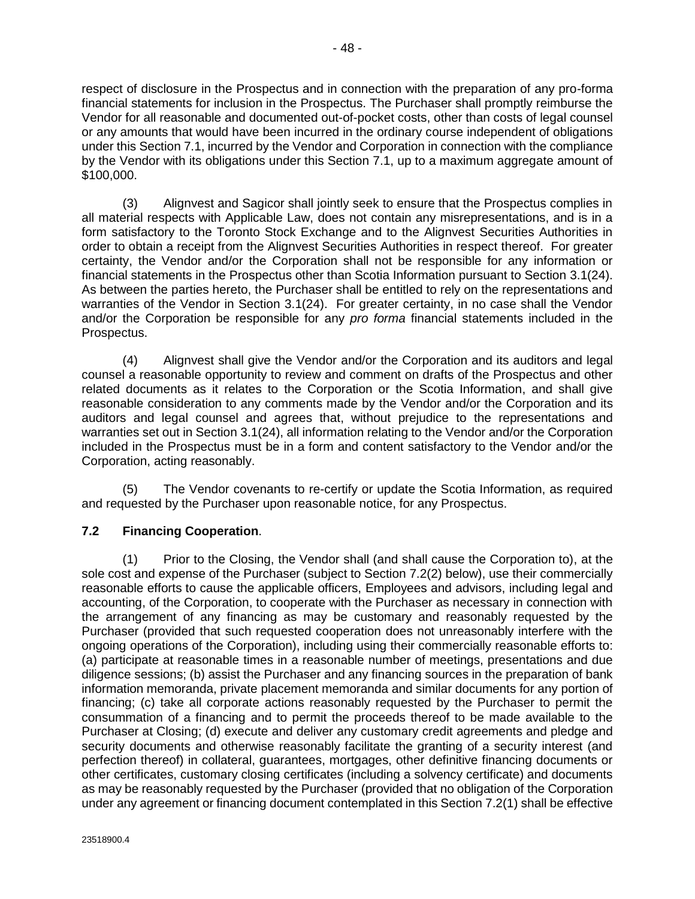<span id="page-55-0"></span>respect of disclosure in the Prospectus and in connection with the preparation of any pro-forma financial statements for inclusion in the Prospectus. The Purchaser shall promptly reimburse the Vendor for all reasonable and documented out-of-pocket costs, other than costs of legal counsel or any amounts that would have been incurred in the ordinary course independent of obligations under this Sectio[n 7.1,](#page-54-0) incurred by the Vendor and Corporation in connection with the compliance by the Vendor with its obligations under this Section [7.1,](#page-54-0) up to a maximum aggregate amount of \$100,000.

(3) Alignvest and Sagicor shall jointly seek to ensure that the Prospectus complies in all material respects with Applicable Law, does not contain any misrepresentations, and is in a form satisfactory to the Toronto Stock Exchange and to the Alignvest Securities Authorities in order to obtain a receipt from the Alignvest Securities Authorities in respect thereof. For greater certainty, the Vendor and/or the Corporation shall not be responsible for any information or financial statements in the Prospectus other than Scotia Information pursuant to Section [3.1\(24\).](#page-38-0) As between the parties hereto, the Purchaser shall be entitled to rely on the representations and warranties of the Vendor in Section [3.1\(24\).](#page-38-0) For greater certainty, in no case shall the Vendor and/or the Corporation be responsible for any *pro forma* financial statements included in the Prospectus.

(4) Alignvest shall give the Vendor and/or the Corporation and its auditors and legal counsel a reasonable opportunity to review and comment on drafts of the Prospectus and other related documents as it relates to the Corporation or the Scotia Information, and shall give reasonable consideration to any comments made by the Vendor and/or the Corporation and its auditors and legal counsel and agrees that, without prejudice to the representations and warranties set out in Sectio[n 3.1\(24\),](#page-38-0) all information relating to the Vendor and/or the Corporation included in the Prospectus must be in a form and content satisfactory to the Vendor and/or the Corporation, acting reasonably.

(5) The Vendor covenants to re-certify or update the Scotia Information, as required and requested by the Purchaser upon reasonable notice, for any Prospectus.

# **7.2 Financing Cooperation**.

(1) Prior to the Closing, the Vendor shall (and shall cause the Corporation to), at the sole cost and expense of the Purchaser (subject to Section [7.2\(2\)](#page-56-0) below), use their commercially reasonable efforts to cause the applicable officers, Employees and advisors, including legal and accounting, of the Corporation, to cooperate with the Purchaser as necessary in connection with the arrangement of any financing as may be customary and reasonably requested by the Purchaser (provided that such requested cooperation does not unreasonably interfere with the ongoing operations of the Corporation), including using their commercially reasonable efforts to: (a) participate at reasonable times in a reasonable number of meetings, presentations and due diligence sessions; (b) assist the Purchaser and any financing sources in the preparation of bank information memoranda, private placement memoranda and similar documents for any portion of financing; (c) take all corporate actions reasonably requested by the Purchaser to permit the consummation of a financing and to permit the proceeds thereof to be made available to the Purchaser at Closing; (d) execute and deliver any customary credit agreements and pledge and security documents and otherwise reasonably facilitate the granting of a security interest (and perfection thereof) in collateral, guarantees, mortgages, other definitive financing documents or other certificates, customary closing certificates (including a solvency certificate) and documents as may be reasonably requested by the Purchaser (provided that no obligation of the Corporation under any agreement or financing document contemplated in this Section 7.2(1) shall be effective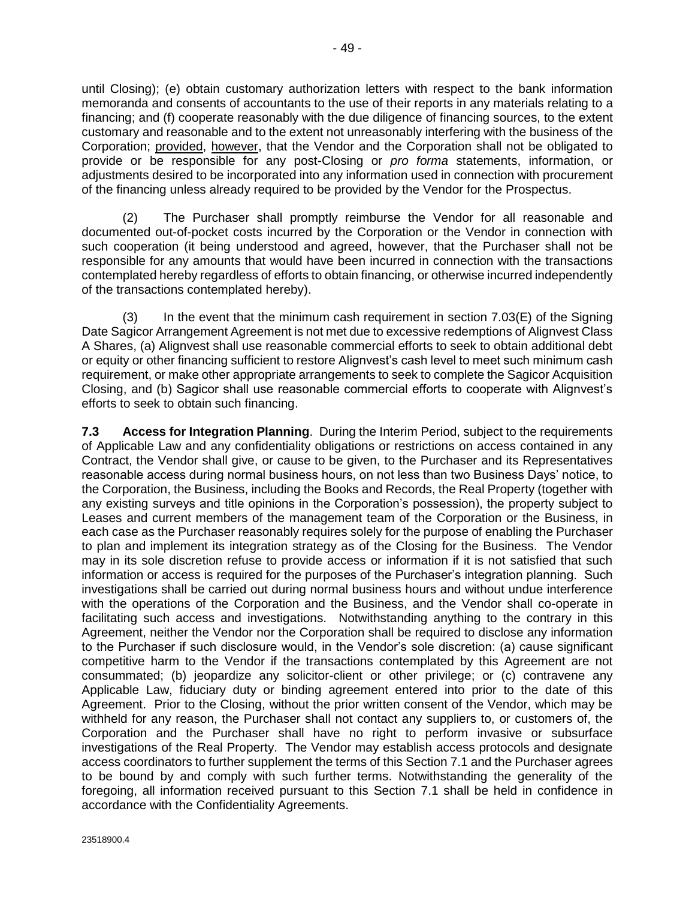<span id="page-56-0"></span>until Closing); (e) obtain customary authorization letters with respect to the bank information memoranda and consents of accountants to the use of their reports in any materials relating to a financing; and (f) cooperate reasonably with the due diligence of financing sources, to the extent customary and reasonable and to the extent not unreasonably interfering with the business of the Corporation; provided, however, that the Vendor and the Corporation shall not be obligated to provide or be responsible for any post-Closing or *pro forma* statements, information, or adjustments desired to be incorporated into any information used in connection with procurement of the financing unless already required to be provided by the Vendor for the Prospectus.

(2) The Purchaser shall promptly reimburse the Vendor for all reasonable and documented out-of-pocket costs incurred by the Corporation or the Vendor in connection with such cooperation (it being understood and agreed, however, that the Purchaser shall not be responsible for any amounts that would have been incurred in connection with the transactions contemplated hereby regardless of efforts to obtain financing, or otherwise incurred independently of the transactions contemplated hereby).

(3) In the event that the minimum cash requirement in section 7.03(E) of the Signing Date Sagicor Arrangement Agreement is not met due to excessive redemptions of Alignvest Class A Shares, (a) Alignvest shall use reasonable commercial efforts to seek to obtain additional debt or equity or other financing sufficient to restore Alignvest's cash level to meet such minimum cash requirement, or make other appropriate arrangements to seek to complete the Sagicor Acquisition Closing, and (b) Sagicor shall use reasonable commercial efforts to cooperate with Alignvest's efforts to seek to obtain such financing.

**7.3 Access for Integration Planning**. During the Interim Period, subject to the requirements of Applicable Law and any confidentiality obligations or restrictions on access contained in any Contract, the Vendor shall give, or cause to be given, to the Purchaser and its Representatives reasonable access during normal business hours, on not less than two Business Days' notice, to the Corporation, the Business, including the Books and Records, the Real Property (together with any existing surveys and title opinions in the Corporation's possession), the property subject to Leases and current members of the management team of the Corporation or the Business, in each case as the Purchaser reasonably requires solely for the purpose of enabling the Purchaser to plan and implement its integration strategy as of the Closing for the Business. The Vendor may in its sole discretion refuse to provide access or information if it is not satisfied that such information or access is required for the purposes of the Purchaser's integration planning. Such investigations shall be carried out during normal business hours and without undue interference with the operations of the Corporation and the Business, and the Vendor shall co-operate in facilitating such access and investigations. Notwithstanding anything to the contrary in this Agreement, neither the Vendor nor the Corporation shall be required to disclose any information to the Purchaser if such disclosure would, in the Vendor's sole discretion: (a) cause significant competitive harm to the Vendor if the transactions contemplated by this Agreement are not consummated; (b) jeopardize any solicitor-client or other privilege; or (c) contravene any Applicable Law, fiduciary duty or binding agreement entered into prior to the date of this Agreement. Prior to the Closing, without the prior written consent of the Vendor, which may be withheld for any reason, the Purchaser shall not contact any suppliers to, or customers of, the Corporation and the Purchaser shall have no right to perform invasive or subsurface investigations of the Real Property. The Vendor may establish access protocols and designate access coordinators to further supplement the terms of this Sectio[n 7.1](#page-54-0) and the Purchaser agrees to be bound by and comply with such further terms. Notwithstanding the generality of the foregoing, all information received pursuant to this Section [7.1](#page-54-0) shall be held in confidence in accordance with the Confidentiality Agreements.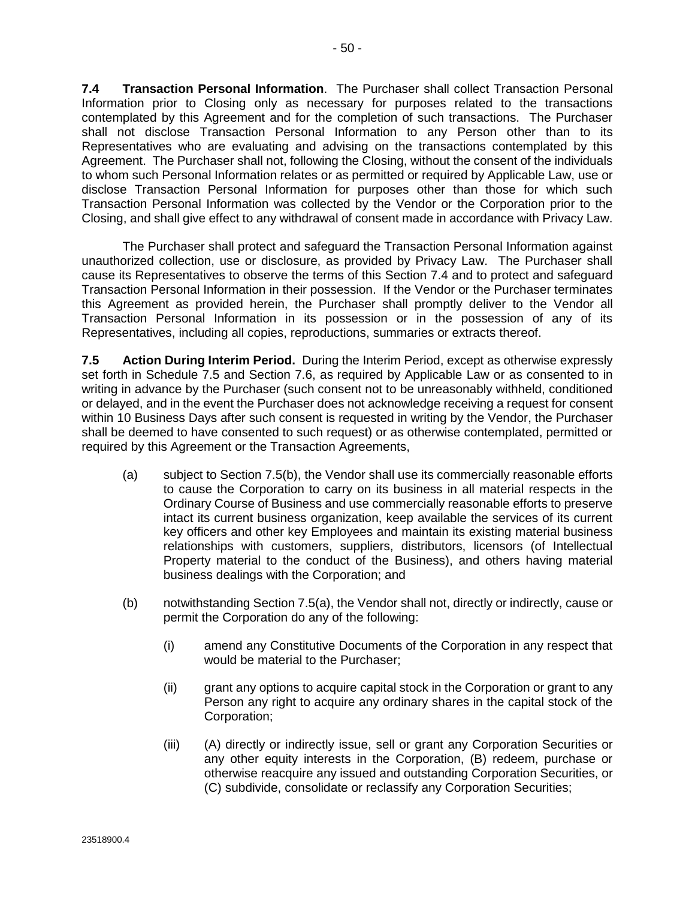<span id="page-57-0"></span>**7.4 Transaction Personal Information**. The Purchaser shall collect Transaction Personal Information prior to Closing only as necessary for purposes related to the transactions contemplated by this Agreement and for the completion of such transactions. The Purchaser shall not disclose Transaction Personal Information to any Person other than to its Representatives who are evaluating and advising on the transactions contemplated by this Agreement. The Purchaser shall not, following the Closing, without the consent of the individuals to whom such Personal Information relates or as permitted or required by Applicable Law, use or disclose Transaction Personal Information for purposes other than those for which such Transaction Personal Information was collected by the Vendor or the Corporation prior to the Closing, and shall give effect to any withdrawal of consent made in accordance with Privacy Law.

The Purchaser shall protect and safeguard the Transaction Personal Information against unauthorized collection, use or disclosure, as provided by Privacy Law. The Purchaser shall cause its Representatives to observe the terms of this Section 7.4 and to protect and safeguard Transaction Personal Information in their possession. If the Vendor or the Purchaser terminates this Agreement as provided herein, the Purchaser shall promptly deliver to the Vendor all Transaction Personal Information in its possession or in the possession of any of its Representatives, including all copies, reproductions, summaries or extracts thereof.

**7.5 Action During Interim Period.** During the Interim Period, except as otherwise expressly set forth in Schedule 7.5 and Section [7.6,](#page-60-0) as required by Applicable Law or as consented to in writing in advance by the Purchaser (such consent not to be unreasonably withheld, conditioned or delayed, and in the event the Purchaser does not acknowledge receiving a request for consent within 10 Business Days after such consent is requested in writing by the Vendor, the Purchaser shall be deemed to have consented to such request) or as otherwise contemplated, permitted or required by this Agreement or the Transaction Agreements,

- (a) subject to Section 7.5(b), the Vendor shall use its commercially reasonable efforts to cause the Corporation to carry on its business in all material respects in the Ordinary Course of Business and use commercially reasonable efforts to preserve intact its current business organization, keep available the services of its current key officers and other key Employees and maintain its existing material business relationships with customers, suppliers, distributors, licensors (of Intellectual Property material to the conduct of the Business), and others having material business dealings with the Corporation; and
- (b) notwithstanding Section 7.5(a), the Vendor shall not, directly or indirectly, cause or permit the Corporation do any of the following:
	- (i) amend any Constitutive Documents of the Corporation in any respect that would be material to the Purchaser;
	- (ii) grant any options to acquire capital stock in the Corporation or grant to any Person any right to acquire any ordinary shares in the capital stock of the Corporation;
	- (iii) (A) directly or indirectly issue, sell or grant any Corporation Securities or any other equity interests in the Corporation, (B) redeem, purchase or otherwise reacquire any issued and outstanding Corporation Securities, or (C) subdivide, consolidate or reclassify any Corporation Securities;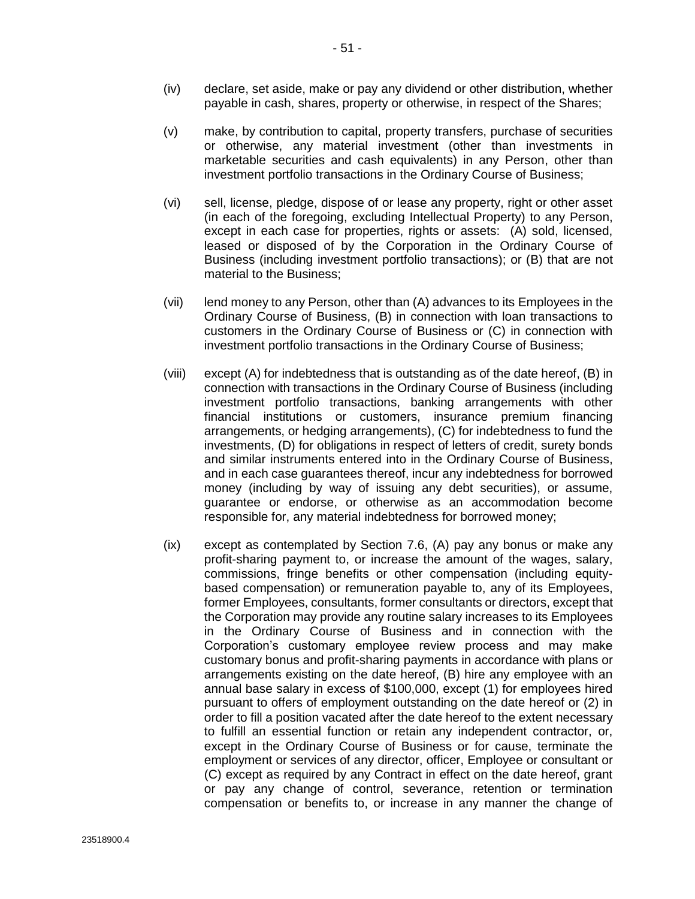- (iv) declare, set aside, make or pay any dividend or other distribution, whether payable in cash, shares, property or otherwise, in respect of the Shares;
- (v) make, by contribution to capital, property transfers, purchase of securities or otherwise, any material investment (other than investments in marketable securities and cash equivalents) in any Person, other than investment portfolio transactions in the Ordinary Course of Business;
- (vi) sell, license, pledge, dispose of or lease any property, right or other asset (in each of the foregoing, excluding Intellectual Property) to any Person, except in each case for properties, rights or assets: (A) sold, licensed, leased or disposed of by the Corporation in the Ordinary Course of Business (including investment portfolio transactions); or (B) that are not material to the Business;
- (vii) lend money to any Person, other than (A) advances to its Employees in the Ordinary Course of Business, (B) in connection with loan transactions to customers in the Ordinary Course of Business or (C) in connection with investment portfolio transactions in the Ordinary Course of Business;
- (viii) except (A) for indebtedness that is outstanding as of the date hereof, (B) in connection with transactions in the Ordinary Course of Business (including investment portfolio transactions, banking arrangements with other financial institutions or customers, insurance premium financing arrangements, or hedging arrangements), (C) for indebtedness to fund the investments, (D) for obligations in respect of letters of credit, surety bonds and similar instruments entered into in the Ordinary Course of Business, and in each case guarantees thereof, incur any indebtedness for borrowed money (including by way of issuing any debt securities), or assume, guarantee or endorse, or otherwise as an accommodation become responsible for, any material indebtedness for borrowed money;
- (ix) except as contemplated by Section [7.6,](#page-60-0) (A) pay any bonus or make any profit-sharing payment to, or increase the amount of the wages, salary, commissions, fringe benefits or other compensation (including equitybased compensation) or remuneration payable to, any of its Employees, former Employees, consultants, former consultants or directors, except that the Corporation may provide any routine salary increases to its Employees in the Ordinary Course of Business and in connection with the Corporation's customary employee review process and may make customary bonus and profit-sharing payments in accordance with plans or arrangements existing on the date hereof, (B) hire any employee with an annual base salary in excess of \$100,000, except (1) for employees hired pursuant to offers of employment outstanding on the date hereof or (2) in order to fill a position vacated after the date hereof to the extent necessary to fulfill an essential function or retain any independent contractor, or, except in the Ordinary Course of Business or for cause, terminate the employment or services of any director, officer, Employee or consultant or (C) except as required by any Contract in effect on the date hereof, grant or pay any change of control, severance, retention or termination compensation or benefits to, or increase in any manner the change of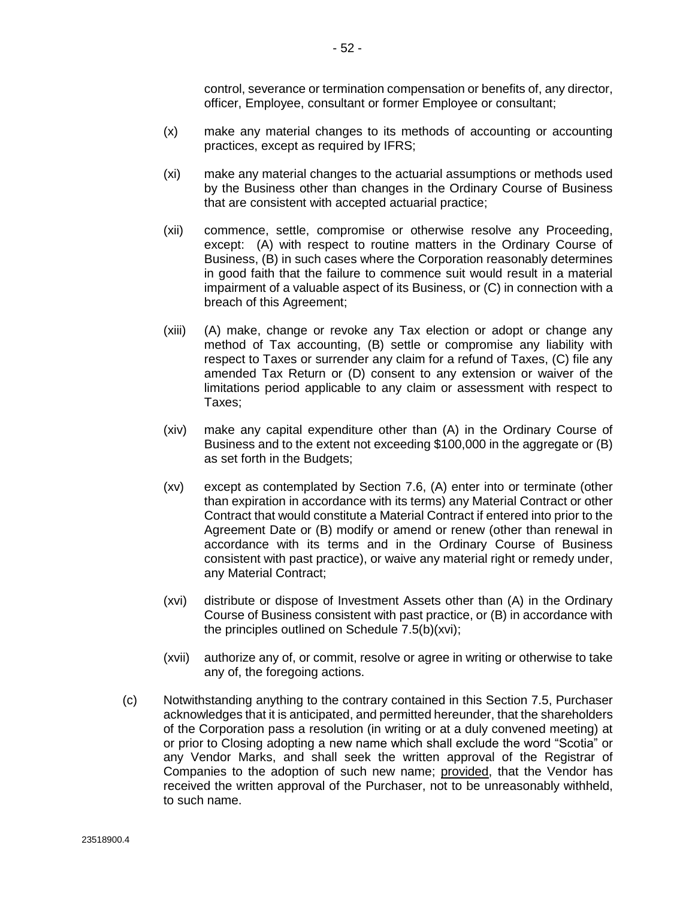control, severance or termination compensation or benefits of, any director, officer, Employee, consultant or former Employee or consultant;

- (x) make any material changes to its methods of accounting or accounting practices, except as required by IFRS;
- (xi) make any material changes to the actuarial assumptions or methods used by the Business other than changes in the Ordinary Course of Business that are consistent with accepted actuarial practice;
- (xii) commence, settle, compromise or otherwise resolve any Proceeding, except: (A) with respect to routine matters in the Ordinary Course of Business, (B) in such cases where the Corporation reasonably determines in good faith that the failure to commence suit would result in a material impairment of a valuable aspect of its Business, or (C) in connection with a breach of this Agreement;
- (xiii) (A) make, change or revoke any Tax election or adopt or change any method of Tax accounting, (B) settle or compromise any liability with respect to Taxes or surrender any claim for a refund of Taxes, (C) file any amended Tax Return or (D) consent to any extension or waiver of the limitations period applicable to any claim or assessment with respect to Taxes;
- (xiv) make any capital expenditure other than (A) in the Ordinary Course of Business and to the extent not exceeding \$100,000 in the aggregate or (B) as set forth in the Budgets;
- (xv) except as contemplated by Section [7.6,](#page-60-0) (A) enter into or terminate (other than expiration in accordance with its terms) any Material Contract or other Contract that would constitute a Material Contract if entered into prior to the Agreement Date or (B) modify or amend or renew (other than renewal in accordance with its terms and in the Ordinary Course of Business consistent with past practice), or waive any material right or remedy under, any Material Contract;
- (xvi) distribute or dispose of Investment Assets other than (A) in the Ordinary Course of Business consistent with past practice, or (B) in accordance with the principles outlined on Schedule 7.5(b)(xvi);
- (xvii) authorize any of, or commit, resolve or agree in writing or otherwise to take any of, the foregoing actions.
- (c) Notwithstanding anything to the contrary contained in this Section 7.5, Purchaser acknowledges that it is anticipated, and permitted hereunder, that the shareholders of the Corporation pass a resolution (in writing or at a duly convened meeting) at or prior to Closing adopting a new name which shall exclude the word "Scotia" or any Vendor Marks, and shall seek the written approval of the Registrar of Companies to the adoption of such new name; provided, that the Vendor has received the written approval of the Purchaser, not to be unreasonably withheld, to such name.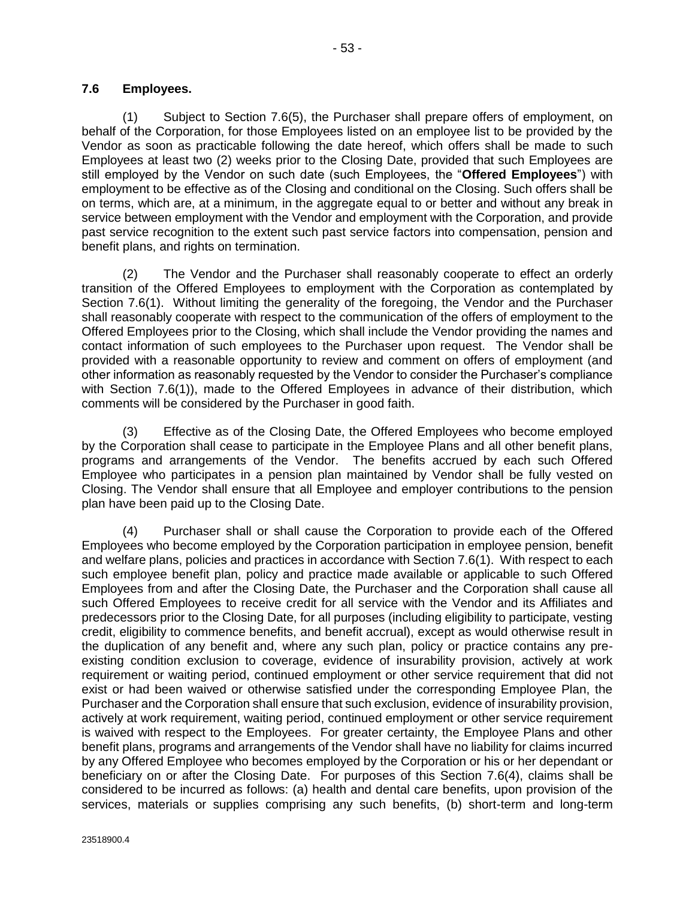<span id="page-60-0"></span>(1) Subject to Section [7.6\(5\),](#page-61-0) the Purchaser shall prepare offers of employment, on behalf of the Corporation, for those Employees listed on an employee list to be provided by the Vendor as soon as practicable following the date hereof, which offers shall be made to such Employees at least two (2) weeks prior to the Closing Date, provided that such Employees are still employed by the Vendor on such date (such Employees, the "**Offered Employees**") with employment to be effective as of the Closing and conditional on the Closing. Such offers shall be on terms, which are, at a minimum, in the aggregate equal to or better and without any break in service between employment with the Vendor and employment with the Corporation, and provide past service recognition to the extent such past service factors into compensation, pension and benefit plans, and rights on termination.

(2) The Vendor and the Purchaser shall reasonably cooperate to effect an orderly transition of the Offered Employees to employment with the Corporation as contemplated by Section 7.6(1). Without limiting the generality of the foregoing, the Vendor and the Purchaser shall reasonably cooperate with respect to the communication of the offers of employment to the Offered Employees prior to the Closing, which shall include the Vendor providing the names and contact information of such employees to the Purchaser upon request. The Vendor shall be provided with a reasonable opportunity to review and comment on offers of employment (and other information as reasonably requested by the Vendor to consider the Purchaser's compliance with Section 7.6(1)), made to the Offered Employees in advance of their distribution, which comments will be considered by the Purchaser in good faith.

(3) Effective as of the Closing Date, the Offered Employees who become employed by the Corporation shall cease to participate in the Employee Plans and all other benefit plans, programs and arrangements of the Vendor. The benefits accrued by each such Offered Employee who participates in a pension plan maintained by Vendor shall be fully vested on Closing. The Vendor shall ensure that all Employee and employer contributions to the pension plan have been paid up to the Closing Date.

(4) Purchaser shall or shall cause the Corporation to provide each of the Offered Employees who become employed by the Corporation participation in employee pension, benefit and welfare plans, policies and practices in accordance with Section 7.6(1). With respect to each such employee benefit plan, policy and practice made available or applicable to such Offered Employees from and after the Closing Date, the Purchaser and the Corporation shall cause all such Offered Employees to receive credit for all service with the Vendor and its Affiliates and predecessors prior to the Closing Date, for all purposes (including eligibility to participate, vesting credit, eligibility to commence benefits, and benefit accrual), except as would otherwise result in the duplication of any benefit and, where any such plan, policy or practice contains any preexisting condition exclusion to coverage, evidence of insurability provision, actively at work requirement or waiting period, continued employment or other service requirement that did not exist or had been waived or otherwise satisfied under the corresponding Employee Plan, the Purchaser and the Corporation shall ensure that such exclusion, evidence of insurability provision, actively at work requirement, waiting period, continued employment or other service requirement is waived with respect to the Employees. For greater certainty, the Employee Plans and other benefit plans, programs and arrangements of the Vendor shall have no liability for claims incurred by any Offered Employee who becomes employed by the Corporation or his or her dependant or beneficiary on or after the Closing Date. For purposes of this Section 7.6(4), claims shall be considered to be incurred as follows: (a) health and dental care benefits, upon provision of the services, materials or supplies comprising any such benefits, (b) short-term and long-term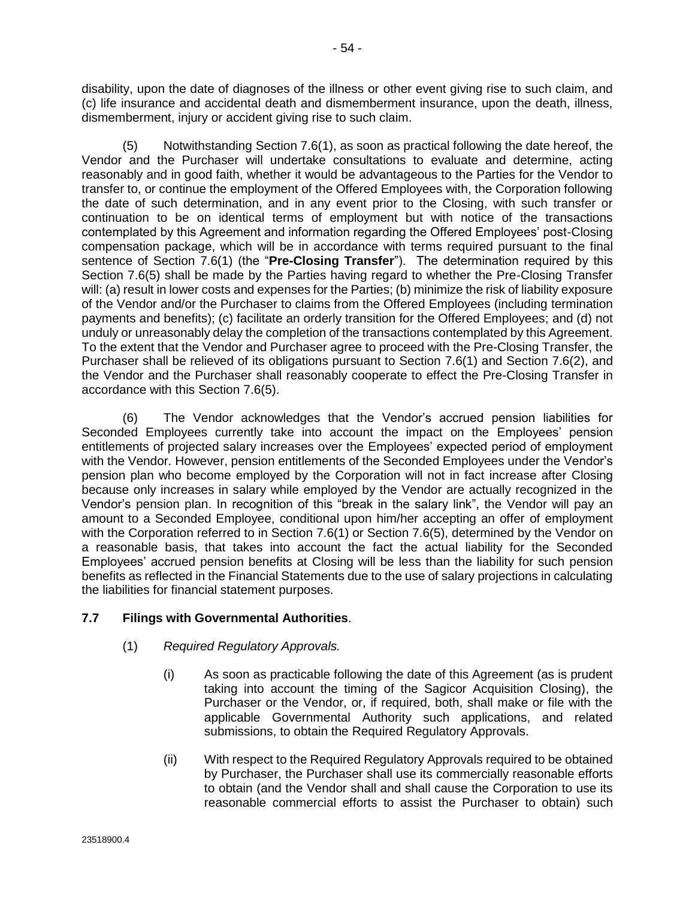<span id="page-61-0"></span>disability, upon the date of diagnoses of the illness or other event giving rise to such claim, and (c) life insurance and accidental death and dismemberment insurance, upon the death, illness, dismemberment, injury or accident giving rise to such claim.

(5) Notwithstanding Section [7.6\(1\),](#page-60-0) as soon as practical following the date hereof, the Vendor and the Purchaser will undertake consultations to evaluate and determine, acting reasonably and in good faith, whether it would be advantageous to the Parties for the Vendor to transfer to, or continue the employment of the Offered Employees with, the Corporation following the date of such determination, and in any event prior to the Closing, with such transfer or continuation to be on identical terms of employment but with notice of the transactions contemplated by this Agreement and information regarding the Offered Employees' post-Closing compensation package, which will be in accordance with terms required pursuant to the final sentence of Section [7.6\(1\)](#page-60-0) (the "**Pre-Closing Transfer**"). The determination required by this Section 7.6(5) shall be made by the Parties having regard to whether the Pre-Closing Transfer will: (a) result in lower costs and expenses for the Parties; (b) minimize the risk of liability exposure of the Vendor and/or the Purchaser to claims from the Offered Employees (including termination payments and benefits); (c) facilitate an orderly transition for the Offered Employees; and (d) not unduly or unreasonably delay the completion of the transactions contemplated by this Agreement. To the extent that the Vendor and Purchaser agree to proceed with the Pre-Closing Transfer, the Purchaser shall be relieved of its obligations pursuant to Section [7.6\(1\)](#page-60-0) and Section [7.6\(2\),](#page-60-0) and the Vendor and the Purchaser shall reasonably cooperate to effect the Pre-Closing Transfer in accordance with this Section 7.6(5).

(6) The Vendor acknowledges that the Vendor's accrued pension liabilities for Seconded Employees currently take into account the impact on the Employees' pension entitlements of projected salary increases over the Employees' expected period of employment with the Vendor. However, pension entitlements of the Seconded Employees under the Vendor's pension plan who become employed by the Corporation will not in fact increase after Closing because only increases in salary while employed by the Vendor are actually recognized in the Vendor's pension plan. In recognition of this "break in the salary link", the Vendor will pay an amount to a Seconded Employee, conditional upon him/her accepting an offer of employment with the Corporation referred to in Section [7.6\(1\)](#page-60-0) or Section 7.6(5), determined by the Vendor on a reasonable basis, that takes into account the fact the actual liability for the Seconded Employees' accrued pension benefits at Closing will be less than the liability for such pension benefits as reflected in the Financial Statements due to the use of salary projections in calculating the liabilities for financial statement purposes.

# **7.7 Filings with Governmental Authorities**.

### (1) *Required Regulatory Approvals.*

- (i) As soon as practicable following the date of this Agreement (as is prudent taking into account the timing of the Sagicor Acquisition Closing), the Purchaser or the Vendor, or, if required, both, shall make or file with the applicable Governmental Authority such applications, and related submissions, to obtain the Required Regulatory Approvals.
- (ii) With respect to the Required Regulatory Approvals required to be obtained by Purchaser, the Purchaser shall use its commercially reasonable efforts to obtain (and the Vendor shall and shall cause the Corporation to use its reasonable commercial efforts to assist the Purchaser to obtain) such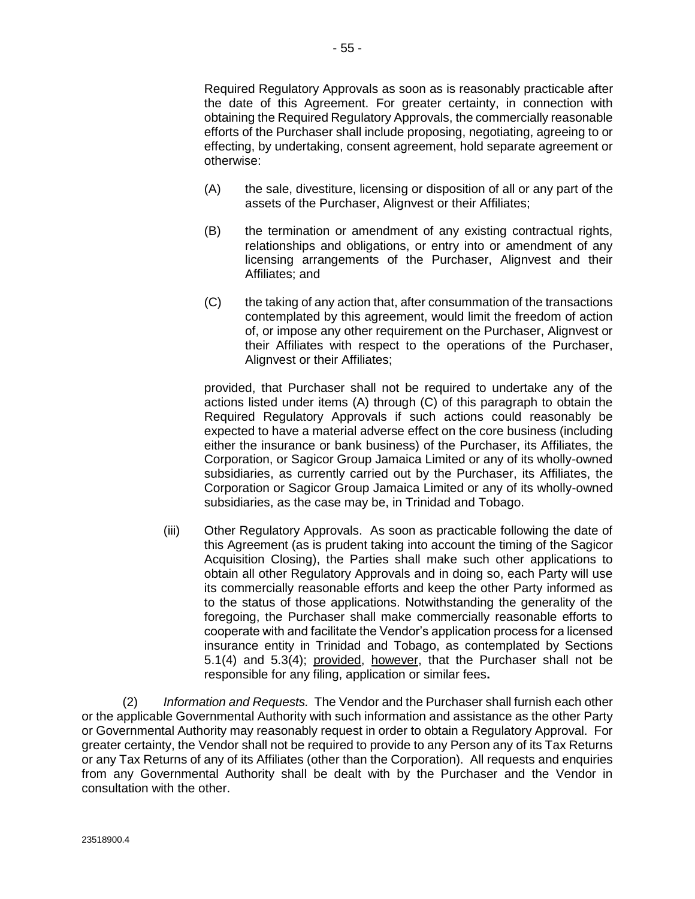- 55 -

Required Regulatory Approvals as soon as is reasonably practicable after the date of this Agreement. For greater certainty, in connection with obtaining the Required Regulatory Approvals, the commercially reasonable efforts of the Purchaser shall include proposing, negotiating, agreeing to or effecting, by undertaking, consent agreement, hold separate agreement or otherwise:

- (A) the sale, divestiture, licensing or disposition of all or any part of the assets of the Purchaser, Alignvest or their Affiliates;
- (B) the termination or amendment of any existing contractual rights, relationships and obligations, or entry into or amendment of any licensing arrangements of the Purchaser, Alignvest and their Affiliates; and
- (C) the taking of any action that, after consummation of the transactions contemplated by this agreement, would limit the freedom of action of, or impose any other requirement on the Purchaser, Alignvest or their Affiliates with respect to the operations of the Purchaser, Alignvest or their Affiliates;

provided, that Purchaser shall not be required to undertake any of the actions listed under items (A) through (C) of this paragraph to obtain the Required Regulatory Approvals if such actions could reasonably be expected to have a material adverse effect on the core business (including either the insurance or bank business) of the Purchaser, its Affiliates, the Corporation, or Sagicor Group Jamaica Limited or any of its wholly-owned subsidiaries, as currently carried out by the Purchaser, its Affiliates, the Corporation or Sagicor Group Jamaica Limited or any of its wholly-owned subsidiaries, as the case may be, in Trinidad and Tobago.

(iii) Other Regulatory Approvals. As soon as practicable following the date of this Agreement (as is prudent taking into account the timing of the Sagicor Acquisition Closing), the Parties shall make such other applications to obtain all other Regulatory Approvals and in doing so, each Party will use its commercially reasonable efforts and keep the other Party informed as to the status of those applications. Notwithstanding the generality of the foregoing, the Purchaser shall make commercially reasonable efforts to cooperate with and facilitate the Vendor's application process for a licensed insurance entity in Trinidad and Tobago, as contemplated by Sections [5.1\(4\)](#page-44-0) and [5.3\(4\);](#page-45-0) provided, however, that the Purchaser shall not be responsible for any filing, application or similar fees**.**

(2) *Information and Requests.* The Vendor and the Purchaser shall furnish each other or the applicable Governmental Authority with such information and assistance as the other Party or Governmental Authority may reasonably request in order to obtain a Regulatory Approval. For greater certainty, the Vendor shall not be required to provide to any Person any of its Tax Returns or any Tax Returns of any of its Affiliates (other than the Corporation). All requests and enquiries from any Governmental Authority shall be dealt with by the Purchaser and the Vendor in consultation with the other.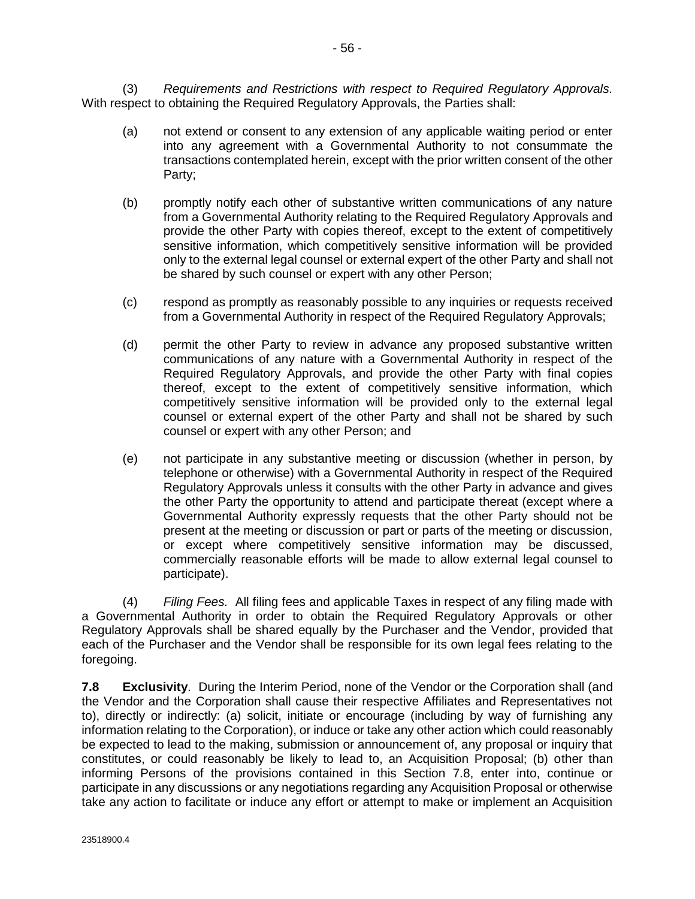(3) *Requirements and Restrictions with respect to Required Regulatory Approvals.* With respect to obtaining the Required Regulatory Approvals, the Parties shall:

- (a) not extend or consent to any extension of any applicable waiting period or enter into any agreement with a Governmental Authority to not consummate the transactions contemplated herein, except with the prior written consent of the other Party;
- (b) promptly notify each other of substantive written communications of any nature from a Governmental Authority relating to the Required Regulatory Approvals and provide the other Party with copies thereof, except to the extent of competitively sensitive information, which competitively sensitive information will be provided only to the external legal counsel or external expert of the other Party and shall not be shared by such counsel or expert with any other Person;
- (c) respond as promptly as reasonably possible to any inquiries or requests received from a Governmental Authority in respect of the Required Regulatory Approvals;
- (d) permit the other Party to review in advance any proposed substantive written communications of any nature with a Governmental Authority in respect of the Required Regulatory Approvals, and provide the other Party with final copies thereof, except to the extent of competitively sensitive information, which competitively sensitive information will be provided only to the external legal counsel or external expert of the other Party and shall not be shared by such counsel or expert with any other Person; and
- (e) not participate in any substantive meeting or discussion (whether in person, by telephone or otherwise) with a Governmental Authority in respect of the Required Regulatory Approvals unless it consults with the other Party in advance and gives the other Party the opportunity to attend and participate thereat (except where a Governmental Authority expressly requests that the other Party should not be present at the meeting or discussion or part or parts of the meeting or discussion, or except where competitively sensitive information may be discussed, commercially reasonable efforts will be made to allow external legal counsel to participate).

(4) *Filing Fees.* All filing fees and applicable Taxes in respect of any filing made with a Governmental Authority in order to obtain the Required Regulatory Approvals or other Regulatory Approvals shall be shared equally by the Purchaser and the Vendor, provided that each of the Purchaser and the Vendor shall be responsible for its own legal fees relating to the foregoing.

**7.8 Exclusivity**. During the Interim Period, none of the Vendor or the Corporation shall (and the Vendor and the Corporation shall cause their respective Affiliates and Representatives not to), directly or indirectly: (a) solicit, initiate or encourage (including by way of furnishing any information relating to the Corporation), or induce or take any other action which could reasonably be expected to lead to the making, submission or announcement of, any proposal or inquiry that constitutes, or could reasonably be likely to lead to, an Acquisition Proposal; (b) other than informing Persons of the provisions contained in this Section 7.8, enter into, continue or participate in any discussions or any negotiations regarding any Acquisition Proposal or otherwise take any action to facilitate or induce any effort or attempt to make or implement an Acquisition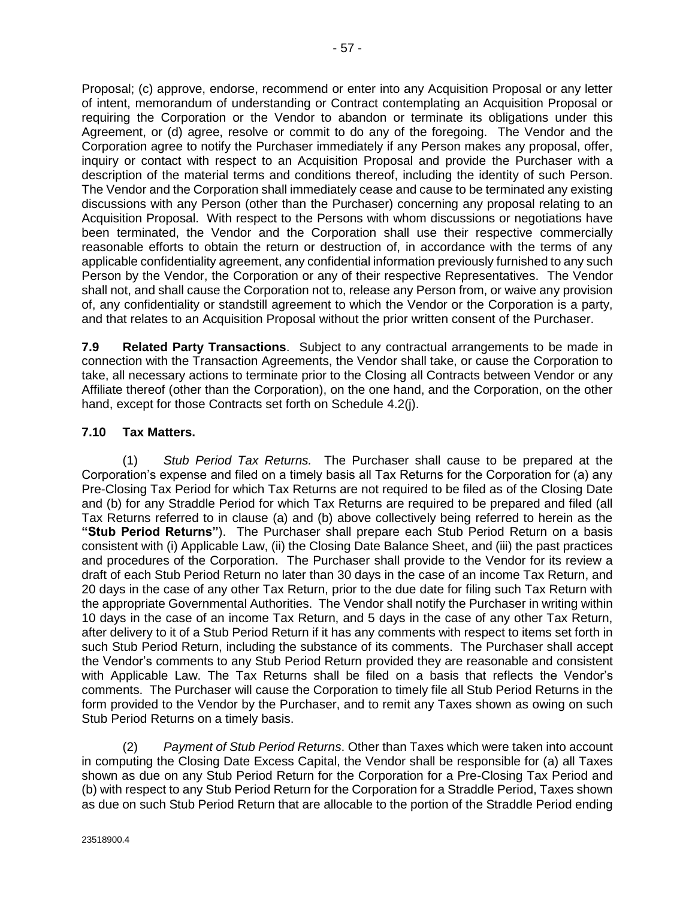Proposal; (c) approve, endorse, recommend or enter into any Acquisition Proposal or any letter of intent, memorandum of understanding or Contract contemplating an Acquisition Proposal or requiring the Corporation or the Vendor to abandon or terminate its obligations under this Agreement, or (d) agree, resolve or commit to do any of the foregoing. The Vendor and the Corporation agree to notify the Purchaser immediately if any Person makes any proposal, offer, inquiry or contact with respect to an Acquisition Proposal and provide the Purchaser with a description of the material terms and conditions thereof, including the identity of such Person. The Vendor and the Corporation shall immediately cease and cause to be terminated any existing discussions with any Person (other than the Purchaser) concerning any proposal relating to an Acquisition Proposal. With respect to the Persons with whom discussions or negotiations have been terminated, the Vendor and the Corporation shall use their respective commercially reasonable efforts to obtain the return or destruction of, in accordance with the terms of any applicable confidentiality agreement, any confidential information previously furnished to any such Person by the Vendor, the Corporation or any of their respective Representatives. The Vendor

shall not, and shall cause the Corporation not to, release any Person from, or waive any provision of, any confidentiality or standstill agreement to which the Vendor or the Corporation is a party, and that relates to an Acquisition Proposal without the prior written consent of the Purchaser.

**7.9 Related Party Transactions**. Subject to any contractual arrangements to be made in connection with the Transaction Agreements, the Vendor shall take, or cause the Corporation to take, all necessary actions to terminate prior to the Closing all Contracts between Vendor or any Affiliate thereof (other than the Corporation), on the one hand, and the Corporation, on the other hand, except for those Contracts set forth on Schedule [4.2\(j\).](#page-42-0)

# **7.10 Tax Matters.**

(1) *Stub Period Tax Returns.* The Purchaser shall cause to be prepared at the Corporation's expense and filed on a timely basis all Tax Returns for the Corporation for (a) any Pre-Closing Tax Period for which Tax Returns are not required to be filed as of the Closing Date and (b) for any Straddle Period for which Tax Returns are required to be prepared and filed (all Tax Returns referred to in clause (a) and (b) above collectively being referred to herein as the **"Stub Period Returns"**). The Purchaser shall prepare each Stub Period Return on a basis consistent with (i) Applicable Law, (ii) the Closing Date Balance Sheet, and (iii) the past practices and procedures of the Corporation. The Purchaser shall provide to the Vendor for its review a draft of each Stub Period Return no later than 30 days in the case of an income Tax Return, and 20 days in the case of any other Tax Return, prior to the due date for filing such Tax Return with the appropriate Governmental Authorities. The Vendor shall notify the Purchaser in writing within 10 days in the case of an income Tax Return, and 5 days in the case of any other Tax Return, after delivery to it of a Stub Period Return if it has any comments with respect to items set forth in such Stub Period Return, including the substance of its comments. The Purchaser shall accept the Vendor's comments to any Stub Period Return provided they are reasonable and consistent with Applicable Law. The Tax Returns shall be filed on a basis that reflects the Vendor's comments. The Purchaser will cause the Corporation to timely file all Stub Period Returns in the form provided to the Vendor by the Purchaser, and to remit any Taxes shown as owing on such Stub Period Returns on a timely basis.

(2) *Payment of Stub Period Returns*. Other than Taxes which were taken into account in computing the Closing Date Excess Capital, the Vendor shall be responsible for (a) all Taxes shown as due on any Stub Period Return for the Corporation for a Pre-Closing Tax Period and (b) with respect to any Stub Period Return for the Corporation for a Straddle Period, Taxes shown as due on such Stub Period Return that are allocable to the portion of the Straddle Period ending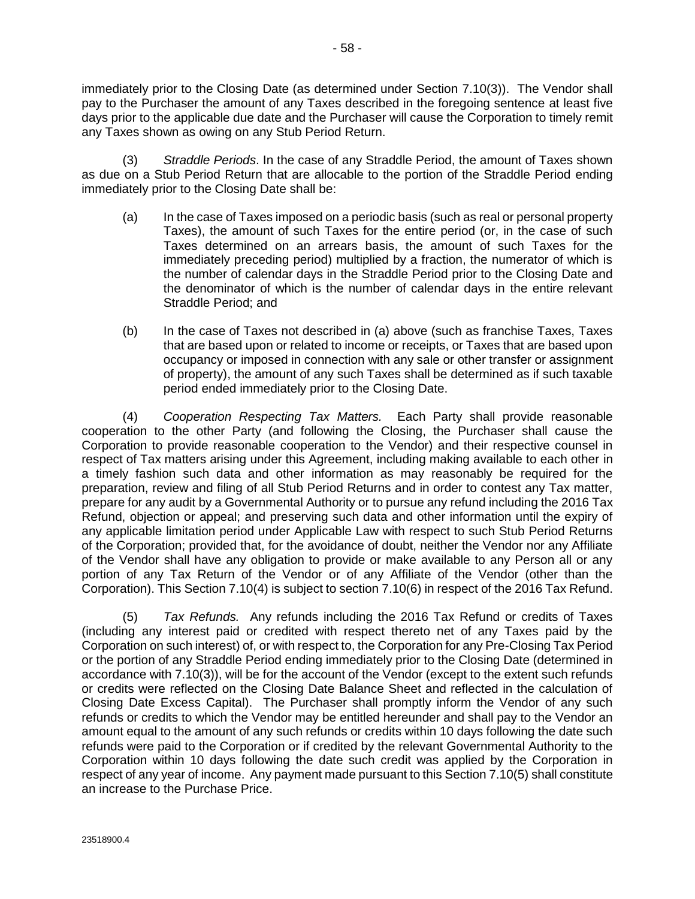<span id="page-65-0"></span>immediately prior to the Closing Date (as determined under Section 7.10(3)). The Vendor shall pay to the Purchaser the amount of any Taxes described in the foregoing sentence at least five days prior to the applicable due date and the Purchaser will cause the Corporation to timely remit any Taxes shown as owing on any Stub Period Return.

(3) *Straddle Periods*. In the case of any Straddle Period, the amount of Taxes shown as due on a Stub Period Return that are allocable to the portion of the Straddle Period ending immediately prior to the Closing Date shall be:

- (a) In the case of Taxes imposed on a periodic basis (such as real or personal property Taxes), the amount of such Taxes for the entire period (or, in the case of such Taxes determined on an arrears basis, the amount of such Taxes for the immediately preceding period) multiplied by a fraction, the numerator of which is the number of calendar days in the Straddle Period prior to the Closing Date and the denominator of which is the number of calendar days in the entire relevant Straddle Period; and
- (b) In the case of Taxes not described in (a) above (such as franchise Taxes, Taxes that are based upon or related to income or receipts, or Taxes that are based upon occupancy or imposed in connection with any sale or other transfer or assignment of property), the amount of any such Taxes shall be determined as if such taxable period ended immediately prior to the Closing Date.

(4) *Cooperation Respecting Tax Matters.* Each Party shall provide reasonable cooperation to the other Party (and following the Closing, the Purchaser shall cause the Corporation to provide reasonable cooperation to the Vendor) and their respective counsel in respect of Tax matters arising under this Agreement, including making available to each other in a timely fashion such data and other information as may reasonably be required for the preparation, review and filing of all Stub Period Returns and in order to contest any Tax matter, prepare for any audit by a Governmental Authority or to pursue any refund including the 2016 Tax Refund, objection or appeal; and preserving such data and other information until the expiry of any applicable limitation period under Applicable Law with respect to such Stub Period Returns of the Corporation; provided that, for the avoidance of doubt, neither the Vendor nor any Affiliate of the Vendor shall have any obligation to provide or make available to any Person all or any portion of any Tax Return of the Vendor or of any Affiliate of the Vendor (other than the Corporation). This Section 7.10(4) is subject to section [7.10\(6\)](#page-66-0) in respect of the 2016 Tax Refund.

(5) *Tax Refunds.* Any refunds including the 2016 Tax Refund or credits of Taxes (including any interest paid or credited with respect thereto net of any Taxes paid by the Corporation on such interest) of, or with respect to, the Corporation for any Pre-Closing Tax Period or the portion of any Straddle Period ending immediately prior to the Closing Date (determined in accordance with 7.10(3)), will be for the account of the Vendor (except to the extent such refunds or credits were reflected on the Closing Date Balance Sheet and reflected in the calculation of Closing Date Excess Capital). The Purchaser shall promptly inform the Vendor of any such refunds or credits to which the Vendor may be entitled hereunder and shall pay to the Vendor an amount equal to the amount of any such refunds or credits within 10 days following the date such refunds were paid to the Corporation or if credited by the relevant Governmental Authority to the Corporation within 10 days following the date such credit was applied by the Corporation in respect of any year of income. Any payment made pursuant to this Section 7.10(5) shall constitute an increase to the Purchase Price.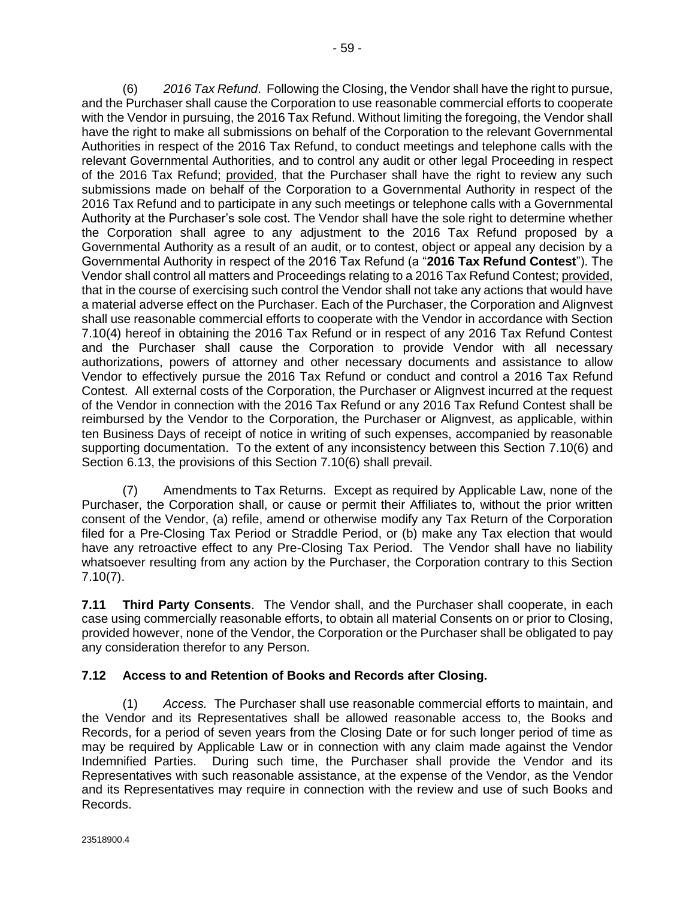<span id="page-66-0"></span>(6) *2016 Tax Refund*. Following the Closing, the Vendor shall have the right to pursue, and the Purchaser shall cause the Corporation to use reasonable commercial efforts to cooperate with the Vendor in pursuing, the 2016 Tax Refund. Without limiting the foregoing, the Vendor shall have the right to make all submissions on behalf of the Corporation to the relevant Governmental Authorities in respect of the 2016 Tax Refund, to conduct meetings and telephone calls with the relevant Governmental Authorities, and to control any audit or other legal Proceeding in respect of the 2016 Tax Refund; provided, that the Purchaser shall have the right to review any such submissions made on behalf of the Corporation to a Governmental Authority in respect of the 2016 Tax Refund and to participate in any such meetings or telephone calls with a Governmental Authority at the Purchaser's sole cost. The Vendor shall have the sole right to determine whether the Corporation shall agree to any adjustment to the 2016 Tax Refund proposed by a Governmental Authority as a result of an audit, or to contest, object or appeal any decision by a Governmental Authority in respect of the 2016 Tax Refund (a "**2016 Tax Refund Contest**"). The Vendor shall control all matters and Proceedings relating to a 2016 Tax Refund Contest; provided, that in the course of exercising such control the Vendor shall not take any actions that would have a material adverse effect on the Purchaser. Each of the Purchaser, the Corporation and Alignvest shall use reasonable commercial efforts to cooperate with the Vendor in accordance with Section [7.10\(4\)](#page-65-0) hereof in obtaining the 2016 Tax Refund or in respect of any 2016 Tax Refund Contest and the Purchaser shall cause the Corporation to provide Vendor with all necessary authorizations, powers of attorney and other necessary documents and assistance to allow Vendor to effectively pursue the 2016 Tax Refund or conduct and control a 2016 Tax Refund Contest. All external costs of the Corporation, the Purchaser or Alignvest incurred at the request of the Vendor in connection with the 2016 Tax Refund or any 2016 Tax Refund Contest shall be reimbursed by the Vendor to the Corporation, the Purchaser or Alignvest, as applicable, within ten Business Days of receipt of notice in writing of such expenses, accompanied by reasonable supporting documentation. To the extent of any inconsistency between this Section 7.10(6) and Section [6.13,](#page-52-0) the provisions of this Section 7.10(6) shall prevail.

(7) Amendments to Tax Returns. Except as required by Applicable Law, none of the Purchaser, the Corporation shall, or cause or permit their Affiliates to, without the prior written consent of the Vendor, (a) refile, amend or otherwise modify any Tax Return of the Corporation filed for a Pre-Closing Tax Period or Straddle Period, or (b) make any Tax election that would have any retroactive effect to any Pre-Closing Tax Period. The Vendor shall have no liability whatsoever resulting from any action by the Purchaser, the Corporation contrary to this Section 7.10(7).

**7.11 Third Party Consents**. The Vendor shall, and the Purchaser shall cooperate, in each case using commercially reasonable efforts, to obtain all material Consents on or prior to Closing, provided however, none of the Vendor, the Corporation or the Purchaser shall be obligated to pay any consideration therefor to any Person.

# **7.12 Access to and Retention of Books and Records after Closing.**

(1) *Access.* The Purchaser shall use reasonable commercial efforts to maintain, and the Vendor and its Representatives shall be allowed reasonable access to, the Books and Records, for a period of seven years from the Closing Date or for such longer period of time as may be required by Applicable Law or in connection with any claim made against the Vendor Indemnified Parties. During such time, the Purchaser shall provide the Vendor and its Representatives with such reasonable assistance, at the expense of the Vendor, as the Vendor and its Representatives may require in connection with the review and use of such Books and Records.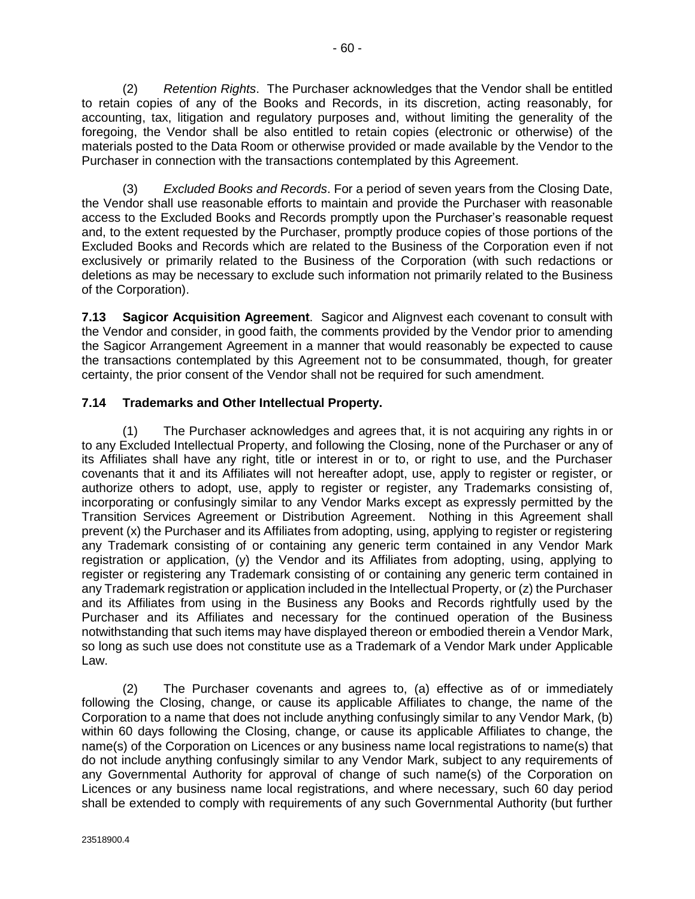<span id="page-67-0"></span>(2) *Retention Rights*. The Purchaser acknowledges that the Vendor shall be entitled to retain copies of any of the Books and Records, in its discretion, acting reasonably, for accounting, tax, litigation and regulatory purposes and, without limiting the generality of the foregoing, the Vendor shall be also entitled to retain copies (electronic or otherwise) of the materials posted to the Data Room or otherwise provided or made available by the Vendor to the Purchaser in connection with the transactions contemplated by this Agreement.

(3) *Excluded Books and Records*. For a period of seven years from the Closing Date, the Vendor shall use reasonable efforts to maintain and provide the Purchaser with reasonable access to the Excluded Books and Records promptly upon the Purchaser's reasonable request and, to the extent requested by the Purchaser, promptly produce copies of those portions of the Excluded Books and Records which are related to the Business of the Corporation even if not exclusively or primarily related to the Business of the Corporation (with such redactions or deletions as may be necessary to exclude such information not primarily related to the Business of the Corporation).

**7.13 Sagicor Acquisition Agreement**. Sagicor and Alignvest each covenant to consult with the Vendor and consider, in good faith, the comments provided by the Vendor prior to amending the Sagicor Arrangement Agreement in a manner that would reasonably be expected to cause the transactions contemplated by this Agreement not to be consummated, though, for greater certainty, the prior consent of the Vendor shall not be required for such amendment.

# **7.14 Trademarks and Other Intellectual Property.**

(1) The Purchaser acknowledges and agrees that, it is not acquiring any rights in or to any Excluded Intellectual Property, and following the Closing, none of the Purchaser or any of its Affiliates shall have any right, title or interest in or to, or right to use, and the Purchaser covenants that it and its Affiliates will not hereafter adopt, use, apply to register or register, or authorize others to adopt, use, apply to register or register, any Trademarks consisting of, incorporating or confusingly similar to any Vendor Marks except as expressly permitted by the Transition Services Agreement or Distribution Agreement. Nothing in this Agreement shall prevent (x) the Purchaser and its Affiliates from adopting, using, applying to register or registering any Trademark consisting of or containing any generic term contained in any Vendor Mark registration or application, (y) the Vendor and its Affiliates from adopting, using, applying to register or registering any Trademark consisting of or containing any generic term contained in any Trademark registration or application included in the Intellectual Property, or (z) the Purchaser and its Affiliates from using in the Business any Books and Records rightfully used by the Purchaser and its Affiliates and necessary for the continued operation of the Business notwithstanding that such items may have displayed thereon or embodied therein a Vendor Mark, so long as such use does not constitute use as a Trademark of a Vendor Mark under Applicable Law.

(2) The Purchaser covenants and agrees to, (a) effective as of or immediately following the Closing, change, or cause its applicable Affiliates to change, the name of the Corporation to a name that does not include anything confusingly similar to any Vendor Mark, (b) within 60 days following the Closing, change, or cause its applicable Affiliates to change, the name(s) of the Corporation on Licences or any business name local registrations to name(s) that do not include anything confusingly similar to any Vendor Mark, subject to any requirements of any Governmental Authority for approval of change of such name(s) of the Corporation on Licences or any business name local registrations, and where necessary, such 60 day period shall be extended to comply with requirements of any such Governmental Authority (but further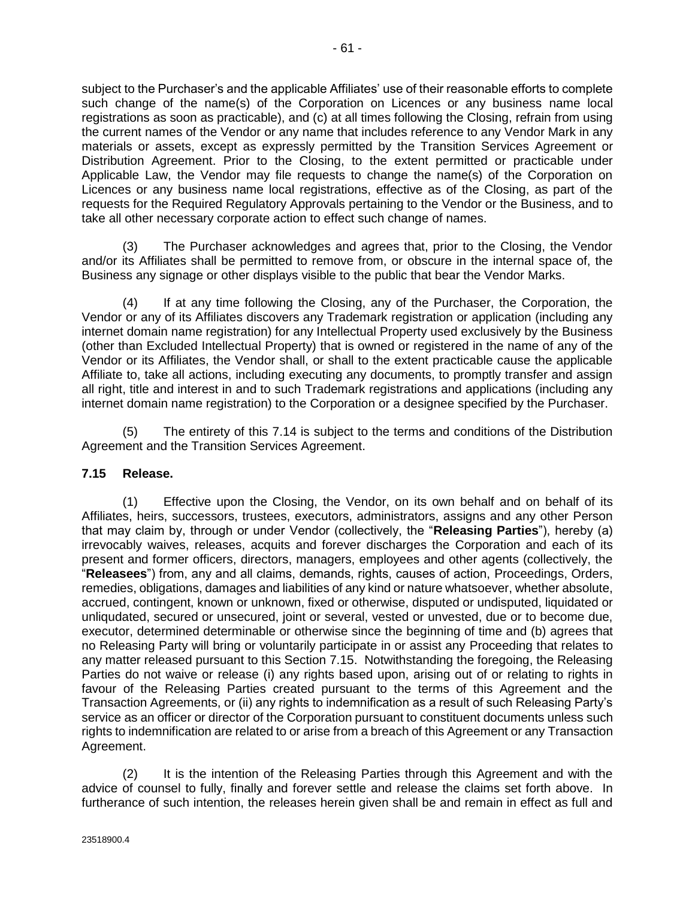subject to the Purchaser's and the applicable Affiliates' use of their reasonable efforts to complete such change of the name(s) of the Corporation on Licences or any business name local registrations as soon as practicable), and (c) at all times following the Closing, refrain from using the current names of the Vendor or any name that includes reference to any Vendor Mark in any materials or assets, except as expressly permitted by the Transition Services Agreement or Distribution Agreement. Prior to the Closing, to the extent permitted or practicable under Applicable Law, the Vendor may file requests to change the name(s) of the Corporation on Licences or any business name local registrations, effective as of the Closing, as part of the requests for the Required Regulatory Approvals pertaining to the Vendor or the Business, and to take all other necessary corporate action to effect such change of names.

(3) The Purchaser acknowledges and agrees that, prior to the Closing, the Vendor and/or its Affiliates shall be permitted to remove from, or obscure in the internal space of, the Business any signage or other displays visible to the public that bear the Vendor Marks.

(4) If at any time following the Closing, any of the Purchaser, the Corporation, the Vendor or any of its Affiliates discovers any Trademark registration or application (including any internet domain name registration) for any Intellectual Property used exclusively by the Business (other than Excluded Intellectual Property) that is owned or registered in the name of any of the Vendor or its Affiliates, the Vendor shall, or shall to the extent practicable cause the applicable Affiliate to, take all actions, including executing any documents, to promptly transfer and assign all right, title and interest in and to such Trademark registrations and applications (including any internet domain name registration) to the Corporation or a designee specified by the Purchaser.

(5) The entirety of this [7.14](#page-67-0) is subject to the terms and conditions of the Distribution Agreement and the Transition Services Agreement.

### **7.15 Release.**

(1) Effective upon the Closing, the Vendor, on its own behalf and on behalf of its Affiliates, heirs, successors, trustees, executors, administrators, assigns and any other Person that may claim by, through or under Vendor (collectively, the "**Releasing Parties**"), hereby (a) irrevocably waives, releases, acquits and forever discharges the Corporation and each of its present and former officers, directors, managers, employees and other agents (collectively, the "**Releasees**") from, any and all claims, demands, rights, causes of action, Proceedings, Orders, remedies, obligations, damages and liabilities of any kind or nature whatsoever, whether absolute, accrued, contingent, known or unknown, fixed or otherwise, disputed or undisputed, liquidated or unliqudated, secured or unsecured, joint or several, vested or unvested, due or to become due, executor, determined determinable or otherwise since the beginning of time and (b) agrees that no Releasing Party will bring or voluntarily participate in or assist any Proceeding that relates to any matter released pursuant to this Section 7.15. Notwithstanding the foregoing, the Releasing Parties do not waive or release (i) any rights based upon, arising out of or relating to rights in favour of the Releasing Parties created pursuant to the terms of this Agreement and the Transaction Agreements, or (ii) any rights to indemnification as a result of such Releasing Party's service as an officer or director of the Corporation pursuant to constituent documents unless such rights to indemnification are related to or arise from a breach of this Agreement or any Transaction Agreement.

(2) It is the intention of the Releasing Parties through this Agreement and with the advice of counsel to fully, finally and forever settle and release the claims set forth above. In furtherance of such intention, the releases herein given shall be and remain in effect as full and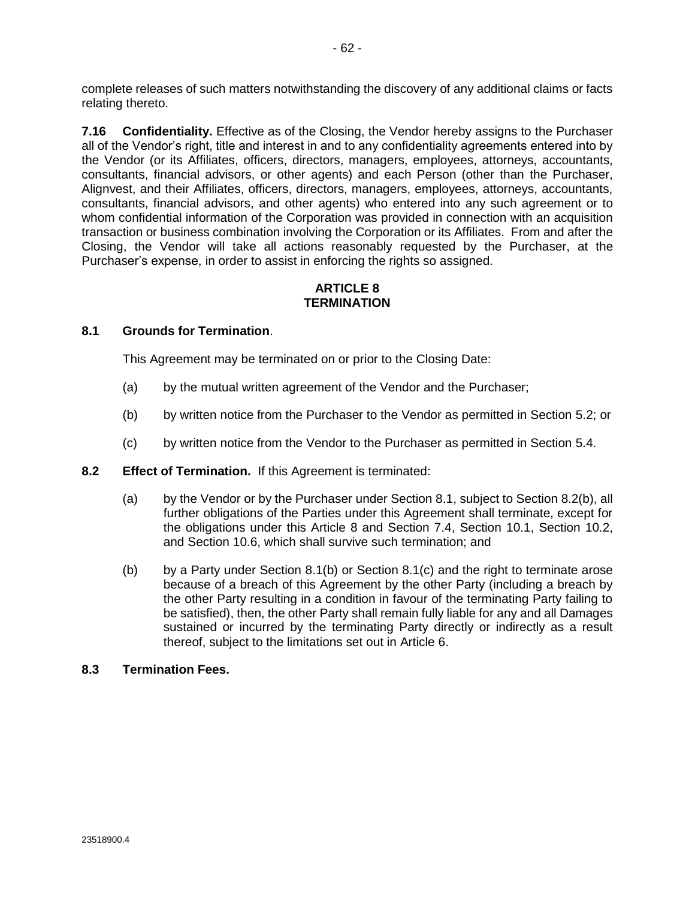<span id="page-69-0"></span>complete releases of such matters notwithstanding the discovery of any additional claims or facts relating thereto.

**7.16 Confidentiality.** Effective as of the Closing, the Vendor hereby assigns to the Purchaser all of the Vendor's right, title and interest in and to any confidentiality agreements entered into by the Vendor (or its Affiliates, officers, directors, managers, employees, attorneys, accountants, consultants, financial advisors, or other agents) and each Person (other than the Purchaser, Alignvest, and their Affiliates, officers, directors, managers, employees, attorneys, accountants, consultants, financial advisors, and other agents) who entered into any such agreement or to whom confidential information of the Corporation was provided in connection with an acquisition transaction or business combination involving the Corporation or its Affiliates. From and after the Closing, the Vendor will take all actions reasonably requested by the Purchaser, at the Purchaser's expense, in order to assist in enforcing the rights so assigned.

#### **ARTICLE 8 TERMINATION**

### **8.1 Grounds for Termination**.

This Agreement may be terminated on or prior to the Closing Date:

- (a) by the mutual written agreement of the Vendor and the Purchaser;
- (b) by written notice from the Purchaser to the Vendor as permitted in Section [5.2;](#page-44-0) or
- (c) by written notice from the Vendor to the Purchaser as permitted in Section [5.4.](#page-46-0)

#### **8.2 Effect of Termination.** If this Agreement is terminated:

- (a) by the Vendor or by the Purchaser under Section 8.1, subject to Section 8.2(b), all further obligations of the Parties under this Agreement shall terminate, except for the obligations under this Article 8 and Section [7.4,](#page-57-0) Section [10.1,](#page-71-0) Section [10.2,](#page-71-0) and Sectio[n 10.6,](#page-74-0) which shall survive such termination; and
- (b) by a Party under Section 8.1(b) or Section 8.1(c) and the right to terminate arose because of a breach of this Agreement by the other Party (including a breach by the other Party resulting in a condition in favour of the terminating Party failing to be satisfied), then, the other Party shall remain fully liable for any and all Damages sustained or incurred by the terminating Party directly or indirectly as a result thereof, subject to the limitations set out in [Article 6.](#page-46-0)

#### **8.3 Termination Fees.**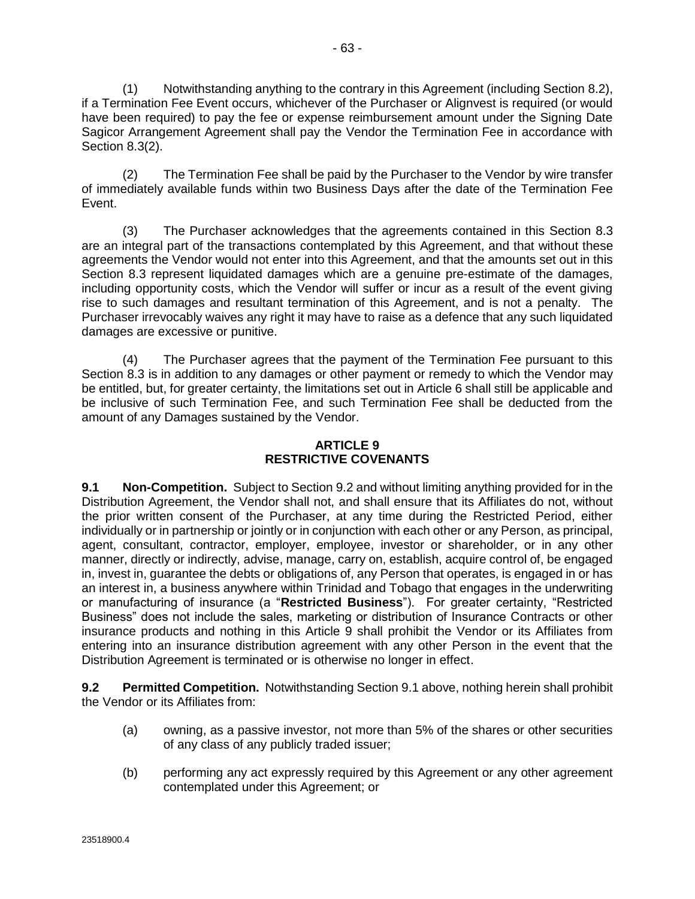<span id="page-70-0"></span>(1) Notwithstanding anything to the contrary in this Agreement (including Section [8.2\)](#page-69-0), if a Termination Fee Event occurs, whichever of the Purchaser or Alignvest is required (or would have been required) to pay the fee or expense reimbursement amount under the Signing Date Sagicor Arrangement Agreement shall pay the Vendor the Termination Fee in accordance with Section 8.3(2).

(2) The Termination Fee shall be paid by the Purchaser to the Vendor by wire transfer of immediately available funds within two Business Days after the date of the Termination Fee Event.

(3) The Purchaser acknowledges that the agreements contained in this Section [8.3](#page-69-0) are an integral part of the transactions contemplated by this Agreement, and that without these agreements the Vendor would not enter into this Agreement, and that the amounts set out in this Section [8.3](#page-69-0) represent liquidated damages which are a genuine pre-estimate of the damages, including opportunity costs, which the Vendor will suffer or incur as a result of the event giving rise to such damages and resultant termination of this Agreement, and is not a penalty. The Purchaser irrevocably waives any right it may have to raise as a defence that any such liquidated damages are excessive or punitive.

(4) The Purchaser agrees that the payment of the Termination Fee pursuant to this Section [8.3](#page-69-0) is in addition to any damages or other payment or remedy to which the Vendor may be entitled, but, for greater certainty, the limitations set out in [Article 6](#page-46-0) shall still be applicable and be inclusive of such Termination Fee, and such Termination Fee shall be deducted from the amount of any Damages sustained by the Vendor.

## **ARTICLE 9 RESTRICTIVE COVENANTS**

**9.1 Non-Competition.** Subject to Section 9.2 and without limiting anything provided for in the Distribution Agreement, the Vendor shall not, and shall ensure that its Affiliates do not, without the prior written consent of the Purchaser, at any time during the Restricted Period, either individually or in partnership or jointly or in conjunction with each other or any Person, as principal, agent, consultant, contractor, employer, employee, investor or shareholder, or in any other manner, directly or indirectly, advise, manage, carry on, establish, acquire control of, be engaged in, invest in, guarantee the debts or obligations of, any Person that operates, is engaged in or has an interest in, a business anywhere within Trinidad and Tobago that engages in the underwriting or manufacturing of insurance (a "**Restricted Business**"). For greater certainty, "Restricted Business" does not include the sales, marketing or distribution of Insurance Contracts or other insurance products and nothing in this Article 9 shall prohibit the Vendor or its Affiliates from entering into an insurance distribution agreement with any other Person in the event that the Distribution Agreement is terminated or is otherwise no longer in effect.

**9.2 Permitted Competition.** Notwithstanding Section 9.1 above, nothing herein shall prohibit the Vendor or its Affiliates from:

- (a) owning, as a passive investor, not more than 5% of the shares or other securities of any class of any publicly traded issuer;
- (b) performing any act expressly required by this Agreement or any other agreement contemplated under this Agreement; or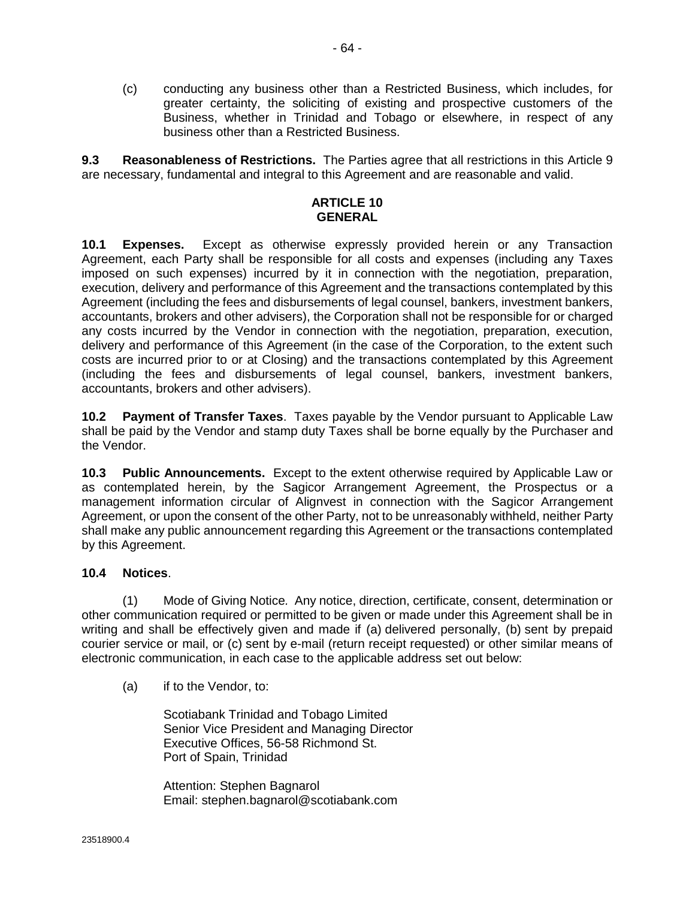<span id="page-71-0"></span>(c) conducting any business other than a Restricted Business, which includes, for greater certainty, the soliciting of existing and prospective customers of the Business, whether in Trinidad and Tobago or elsewhere, in respect of any business other than a Restricted Business.

**9.3 Reasonableness of Restrictions.** The Parties agree that all restrictions in this [Article 9](#page-70-0) are necessary, fundamental and integral to this Agreement and are reasonable and valid.

#### **ARTICLE 10 GENERAL**

**10.1 Expenses.** Except as otherwise expressly provided herein or any Transaction Agreement, each Party shall be responsible for all costs and expenses (including any Taxes imposed on such expenses) incurred by it in connection with the negotiation, preparation, execution, delivery and performance of this Agreement and the transactions contemplated by this Agreement (including the fees and disbursements of legal counsel, bankers, investment bankers, accountants, brokers and other advisers), the Corporation shall not be responsible for or charged any costs incurred by the Vendor in connection with the negotiation, preparation, execution, delivery and performance of this Agreement (in the case of the Corporation, to the extent such costs are incurred prior to or at Closing) and the transactions contemplated by this Agreement (including the fees and disbursements of legal counsel, bankers, investment bankers, accountants, brokers and other advisers).

**10.2 Payment of Transfer Taxes**. Taxes payable by the Vendor pursuant to Applicable Law shall be paid by the Vendor and stamp duty Taxes shall be borne equally by the Purchaser and the Vendor.

**10.3 Public Announcements.** Except to the extent otherwise required by Applicable Law or as contemplated herein, by the Sagicor Arrangement Agreement, the Prospectus or a management information circular of Alignvest in connection with the Sagicor Arrangement Agreement, or upon the consent of the other Party, not to be unreasonably withheld, neither Party shall make any public announcement regarding this Agreement or the transactions contemplated by this Agreement.

# **10.4 Notices**.

(1) Mode of Giving Notice*.* Any notice, direction, certificate, consent, determination or other communication required or permitted to be given or made under this Agreement shall be in writing and shall be effectively given and made if (a) delivered personally, (b) sent by prepaid courier service or mail, or (c) sent by e-mail (return receipt requested) or other similar means of electronic communication, in each case to the applicable address set out below:

(a) if to the Vendor, to:

Scotiabank Trinidad and Tobago Limited Senior Vice President and Managing Director Executive Offices, 56-58 Richmond St. Port of Spain, Trinidad

Attention: Stephen Bagnarol Email: stephen.bagnarol@scotiabank.com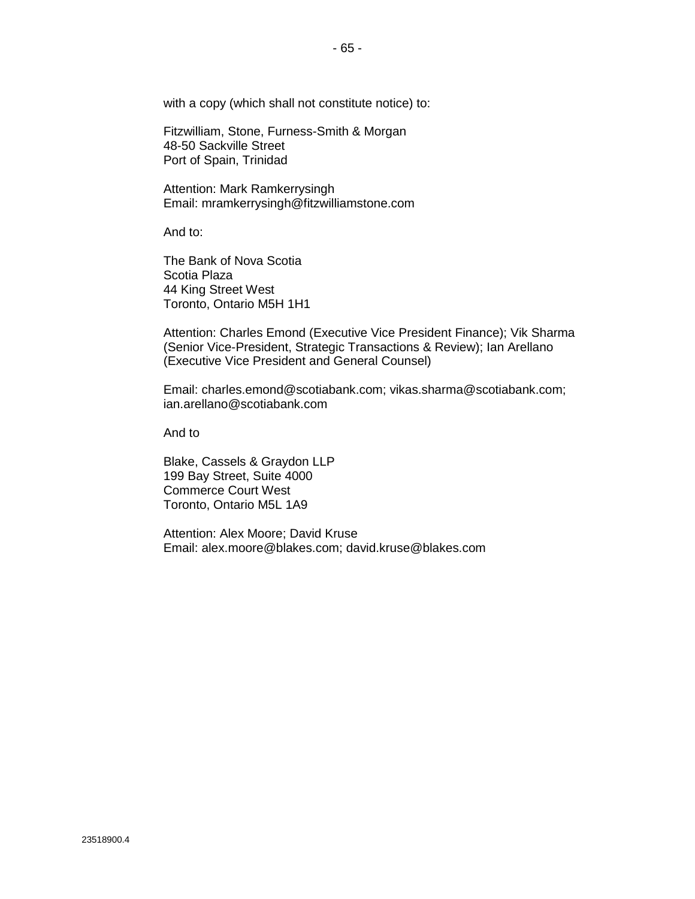with a copy (which shall not constitute notice) to:

Fitzwilliam, Stone, Furness-Smith & Morgan 48-50 Sackville Street Port of Spain, Trinidad

Attention: Mark Ramkerrysingh Email: mramkerrysingh@fitzwilliamstone.com

And to:

The Bank of Nova Scotia Scotia Plaza 44 King Street West Toronto, Ontario M5H 1H1

Attention: Charles Emond (Executive Vice President Finance); Vik Sharma (Senior Vice-President, Strategic Transactions & Review); Ian Arellano (Executive Vice President and General Counsel)

Email: charles.emond@scotiabank.com; vikas.sharma@scotiabank.com; ian.arellano@scotiabank.com

And to

Blake, Cassels & Graydon LLP 199 Bay Street, Suite 4000 Commerce Court West Toronto, Ontario M5L 1A9

Attention: Alex Moore; David Kruse Email: alex.moore@blakes.com; david.kruse@blakes.com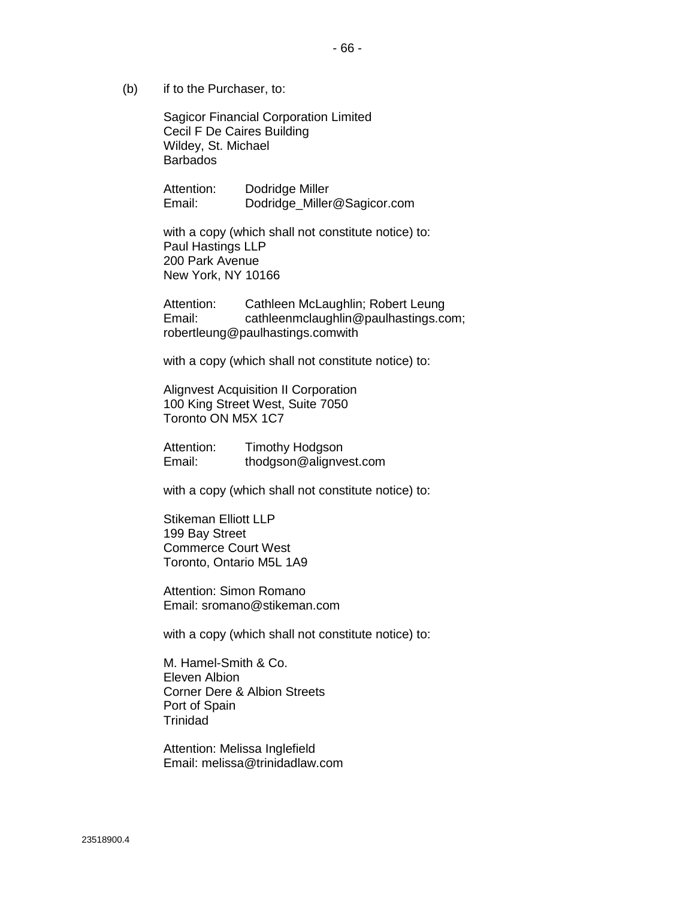(b) if to the Purchaser, to:

Sagicor Financial Corporation Limited Cecil F De Caires Building Wildey, St. Michael Barbados

Attention: Dodridge Miller Email: Dodridge\_Miller@Sagicor.com

with a copy (which shall not constitute notice) to: Paul Hastings LLP 200 Park Avenue New York, NY 10166

Attention: Cathleen McLaughlin; Robert Leung Email: cathleenmclaughlin@paulhastings.com; robertleung@paulhastings.comwith

with a copy (which shall not constitute notice) to:

Alignvest Acquisition II Corporation 100 King Street West, Suite 7050 Toronto ON M5X 1C7

Attention: Timothy Hodgson Email: thodgson@alignvest.com

with a copy (which shall not constitute notice) to:

Stikeman Elliott LLP 199 Bay Street Commerce Court West Toronto, Ontario M5L 1A9

Attention: Simon Romano Email: sromano@stikeman.com

with a copy (which shall not constitute notice) to:

M. Hamel-Smith & Co. Eleven Albion Corner Dere & Albion Streets Port of Spain **Trinidad** 

Attention: Melissa Inglefield Email: melissa@trinidadlaw.com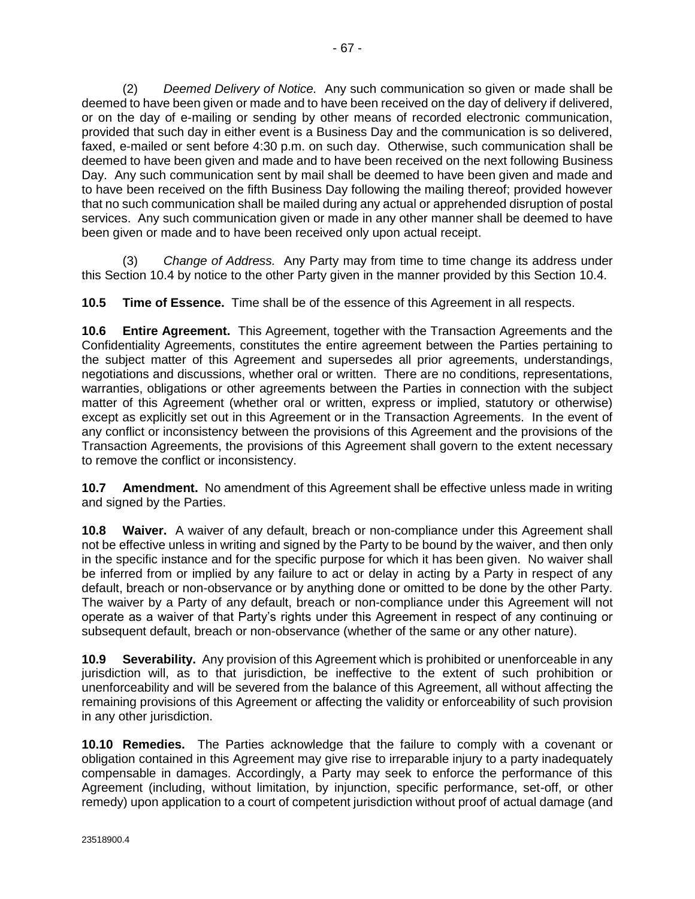<span id="page-74-0"></span>(2) *Deemed Delivery of Notice.* Any such communication so given or made shall be deemed to have been given or made and to have been received on the day of delivery if delivered, or on the day of e-mailing or sending by other means of recorded electronic communication, provided that such day in either event is a Business Day and the communication is so delivered, faxed, e-mailed or sent before 4:30 p.m. on such day. Otherwise, such communication shall be deemed to have been given and made and to have been received on the next following Business Day. Any such communication sent by mail shall be deemed to have been given and made and to have been received on the fifth Business Day following the mailing thereof; provided however that no such communication shall be mailed during any actual or apprehended disruption of postal services. Any such communication given or made in any other manner shall be deemed to have been given or made and to have been received only upon actual receipt.

(3) *Change of Address.* Any Party may from time to time change its address under this Section [10.4](#page-71-0) by notice to the other Party given in the manner provided by this Section [10.4.](#page-71-0)

**10.5 Time of Essence.** Time shall be of the essence of this Agreement in all respects.

**10.6 Entire Agreement.** This Agreement, together with the Transaction Agreements and the Confidentiality Agreements, constitutes the entire agreement between the Parties pertaining to the subject matter of this Agreement and supersedes all prior agreements, understandings, negotiations and discussions, whether oral or written. There are no conditions, representations, warranties, obligations or other agreements between the Parties in connection with the subject matter of this Agreement (whether oral or written, express or implied, statutory or otherwise) except as explicitly set out in this Agreement or in the Transaction Agreements. In the event of any conflict or inconsistency between the provisions of this Agreement and the provisions of the Transaction Agreements, the provisions of this Agreement shall govern to the extent necessary to remove the conflict or inconsistency.

**10.7 Amendment.** No amendment of this Agreement shall be effective unless made in writing and signed by the Parties.

**10.8 Waiver.** A waiver of any default, breach or non-compliance under this Agreement shall not be effective unless in writing and signed by the Party to be bound by the waiver, and then only in the specific instance and for the specific purpose for which it has been given. No waiver shall be inferred from or implied by any failure to act or delay in acting by a Party in respect of any default, breach or non-observance or by anything done or omitted to be done by the other Party. The waiver by a Party of any default, breach or non-compliance under this Agreement will not operate as a waiver of that Party's rights under this Agreement in respect of any continuing or subsequent default, breach or non-observance (whether of the same or any other nature).

**10.9 Severability.** Any provision of this Agreement which is prohibited or unenforceable in any jurisdiction will, as to that jurisdiction, be ineffective to the extent of such prohibition or unenforceability and will be severed from the balance of this Agreement, all without affecting the remaining provisions of this Agreement or affecting the validity or enforceability of such provision in any other jurisdiction.

**10.10 Remedies.** The Parties acknowledge that the failure to comply with a covenant or obligation contained in this Agreement may give rise to irreparable injury to a party inadequately compensable in damages. Accordingly, a Party may seek to enforce the performance of this Agreement (including, without limitation, by injunction, specific performance, set-off, or other remedy) upon application to a court of competent jurisdiction without proof of actual damage (and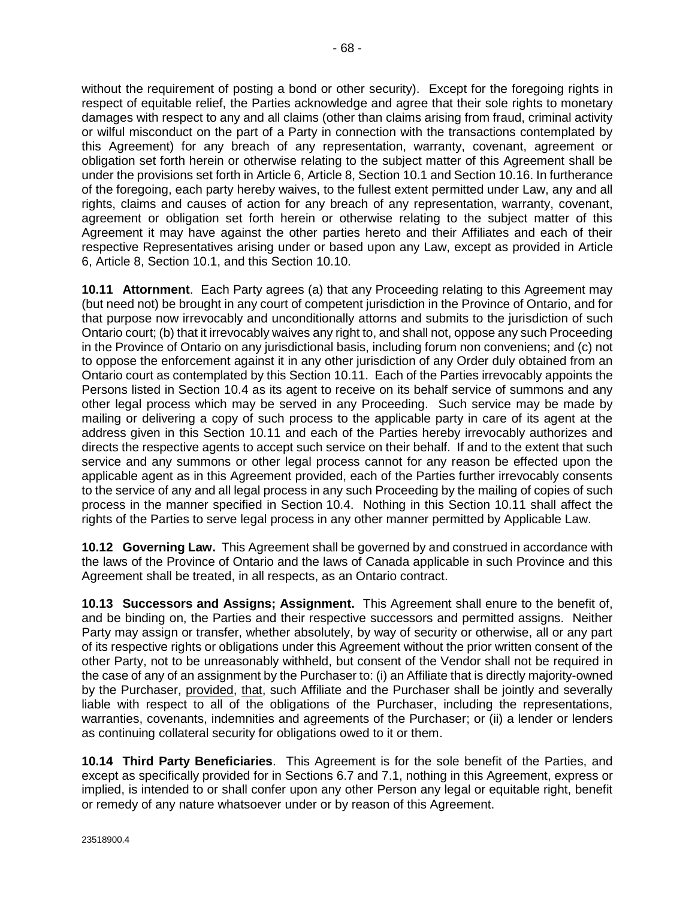without the requirement of posting a bond or other security). Except for the foregoing rights in respect of equitable relief, the Parties acknowledge and agree that their sole rights to monetary damages with respect to any and all claims (other than claims arising from fraud, criminal activity or wilful misconduct on the part of a Party in connection with the transactions contemplated by this Agreement) for any breach of any representation, warranty, covenant, agreement or obligation set forth herein or otherwise relating to the subject matter of this Agreement shall be under the provisions set forth i[n Article 6,](#page-46-0) [Article 8,](#page-69-0) Sectio[n 10.1](#page-71-0) and Section [10.16.](#page-76-0) In furtherance of the foregoing, each party hereby waives, to the fullest extent permitted under Law, any and all rights, claims and causes of action for any breach of any representation, warranty, covenant, agreement or obligation set forth herein or otherwise relating to the subject matter of this Agreement it may have against the other parties hereto and their Affiliates and each of their respective Representatives arising under or based upon any Law, except as provided in [Article](#page-46-0)  [6,](#page-46-0) [Article 8,](#page-69-0) Section [10.1,](#page-71-0) and this Section [10.10.](#page-74-0)

**10.11 Attornment**. Each Party agrees (a) that any Proceeding relating to this Agreement may (but need not) be brought in any court of competent jurisdiction in the Province of Ontario, and for that purpose now irrevocably and unconditionally attorns and submits to the jurisdiction of such Ontario court; (b) that it irrevocably waives any right to, and shall not, oppose any such Proceeding in the Province of Ontario on any jurisdictional basis, including forum non conveniens; and (c) not to oppose the enforcement against it in any other jurisdiction of any Order duly obtained from an Ontario court as contemplated by this Section 10.11. Each of the Parties irrevocably appoints the Persons listed in Section [10.4](#page-71-0) as its agent to receive on its behalf service of summons and any other legal process which may be served in any Proceeding. Such service may be made by mailing or delivering a copy of such process to the applicable party in care of its agent at the address given in this Section 10.11 and each of the Parties hereby irrevocably authorizes and directs the respective agents to accept such service on their behalf. If and to the extent that such service and any summons or other legal process cannot for any reason be effected upon the applicable agent as in this Agreement provided, each of the Parties further irrevocably consents to the service of any and all legal process in any such Proceeding by the mailing of copies of such process in the manner specified in Section [10.4.](#page-71-0) Nothing in this Section 10.11 shall affect the rights of the Parties to serve legal process in any other manner permitted by Applicable Law.

**10.12 Governing Law.** This Agreement shall be governed by and construed in accordance with the laws of the Province of Ontario and the laws of Canada applicable in such Province and this Agreement shall be treated, in all respects, as an Ontario contract.

**10.13 Successors and Assigns; Assignment.** This Agreement shall enure to the benefit of, and be binding on, the Parties and their respective successors and permitted assigns. Neither Party may assign or transfer, whether absolutely, by way of security or otherwise, all or any part of its respective rights or obligations under this Agreement without the prior written consent of the other Party, not to be unreasonably withheld, but consent of the Vendor shall not be required in the case of any of an assignment by the Purchaser to: (i) an Affiliate that is directly majority-owned by the Purchaser, provided, that, such Affiliate and the Purchaser shall be jointly and severally liable with respect to all of the obligations of the Purchaser, including the representations, warranties, covenants, indemnities and agreements of the Purchaser; or (ii) a lender or lenders as continuing collateral security for obligations owed to it or them.

**10.14 Third Party Beneficiaries**. This Agreement is for the sole benefit of the Parties, and except as specifically provided for in Sections [6.7](#page-51-0) and [7.1,](#page-54-0) nothing in this Agreement, express or implied, is intended to or shall confer upon any other Person any legal or equitable right, benefit or remedy of any nature whatsoever under or by reason of this Agreement.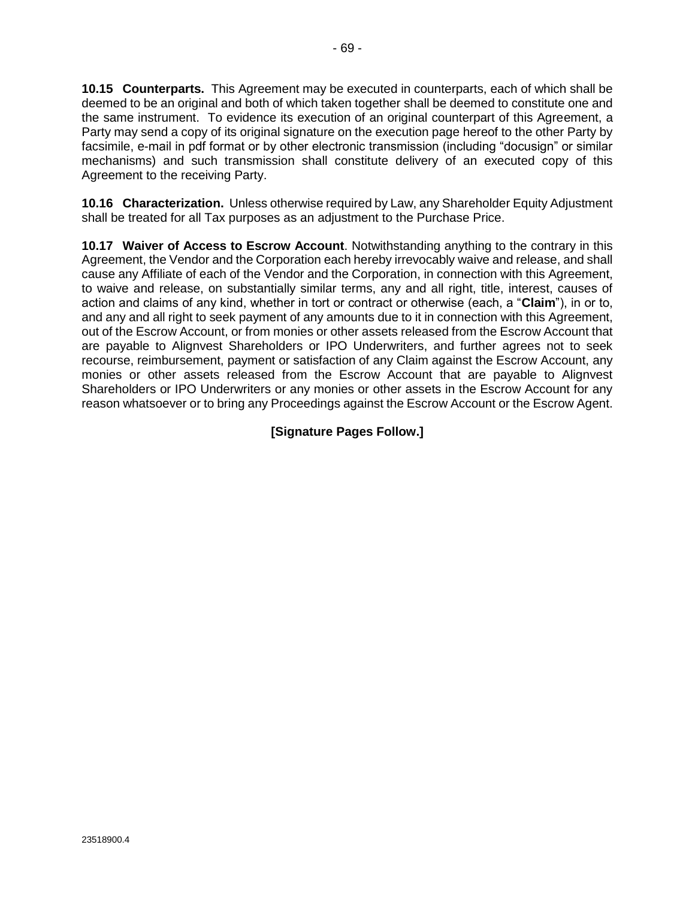<span id="page-76-0"></span>**10.15 Counterparts.** This Agreement may be executed in counterparts, each of which shall be deemed to be an original and both of which taken together shall be deemed to constitute one and the same instrument. To evidence its execution of an original counterpart of this Agreement, a Party may send a copy of its original signature on the execution page hereof to the other Party by facsimile, e-mail in pdf format or by other electronic transmission (including "docusign" or similar mechanisms) and such transmission shall constitute delivery of an executed copy of this Agreement to the receiving Party.

**10.16 Characterization.** Unless otherwise required by Law, any Shareholder Equity Adjustment shall be treated for all Tax purposes as an adjustment to the Purchase Price.

**10.17 Waiver of Access to Escrow Account**. Notwithstanding anything to the contrary in this Agreement, the Vendor and the Corporation each hereby irrevocably waive and release, and shall cause any Affiliate of each of the Vendor and the Corporation, in connection with this Agreement, to waive and release, on substantially similar terms, any and all right, title, interest, causes of action and claims of any kind, whether in tort or contract or otherwise (each, a "**Claim**"), in or to, and any and all right to seek payment of any amounts due to it in connection with this Agreement, out of the Escrow Account, or from monies or other assets released from the Escrow Account that are payable to Alignvest Shareholders or IPO Underwriters, and further agrees not to seek recourse, reimbursement, payment or satisfaction of any Claim against the Escrow Account, any monies or other assets released from the Escrow Account that are payable to Alignvest Shareholders or IPO Underwriters or any monies or other assets in the Escrow Account for any reason whatsoever or to bring any Proceedings against the Escrow Account or the Escrow Agent.

**[Signature Pages Follow.]**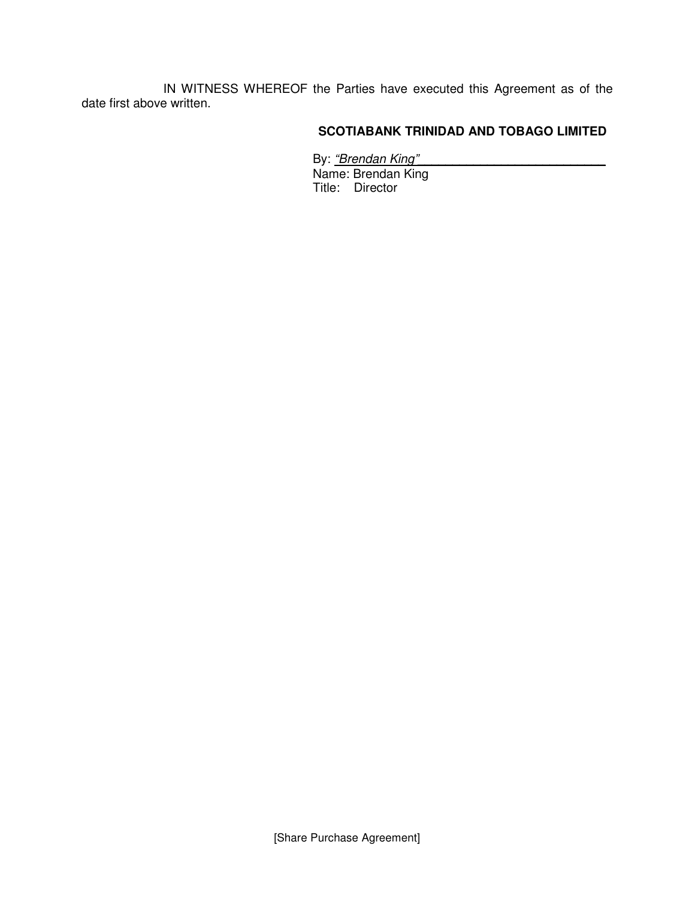IN WITNESS WHEREOF the Parties have executed this Agreement as of the date first above written.

## **SCOTIABANK TRINIDAD AND TOBAGO LIMITED**

By: <u>"Brendan King"</u>\_\_\_\_\_\_\_\_\_\_\_\_\_\_\_\_\_\_\_\_\_\_\_\_\_\_\_\_\_\_

Name: Brendan King Title: Director